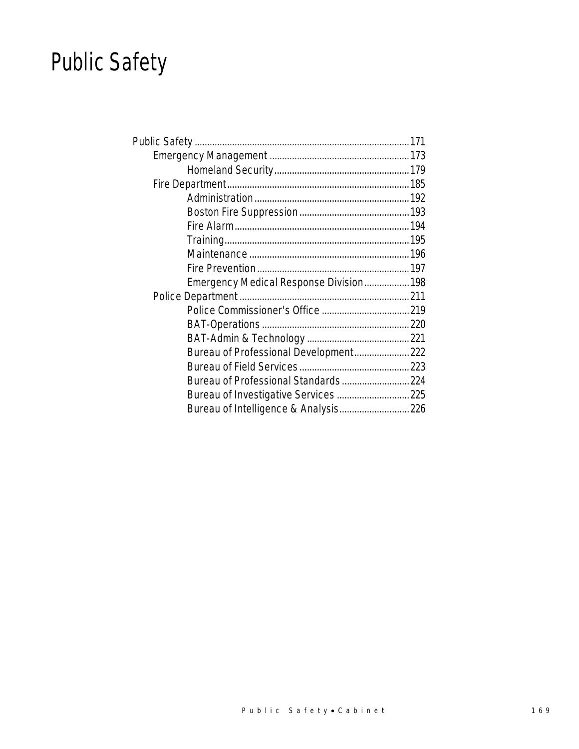## Public Safety

| Emergency Medical Response Division 198 |  |
|-----------------------------------------|--|
|                                         |  |
|                                         |  |
|                                         |  |
|                                         |  |
| Bureau of Professional Development 222  |  |
|                                         |  |
| Bureau of Professional Standards 224    |  |
|                                         |  |
| Bureau of Intelligence & Analysis 226   |  |
|                                         |  |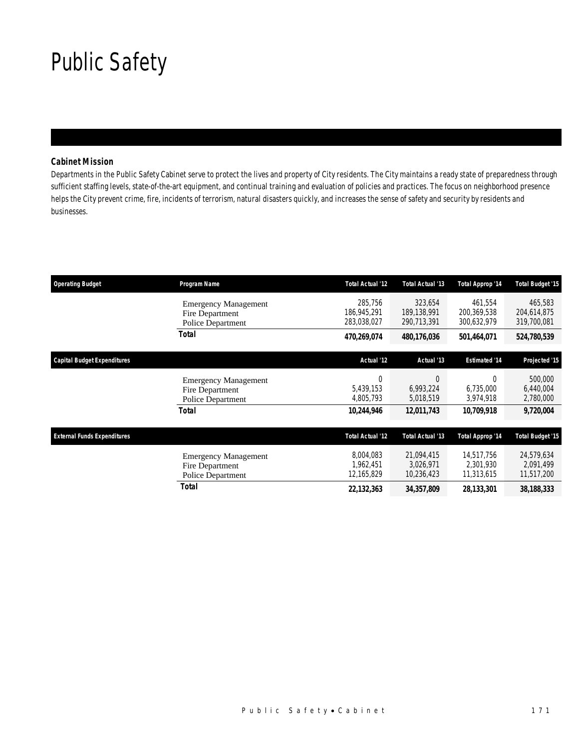## Public Safety

## *Cabinet Mission*

Departments in the Public Safety Cabinet serve to protect the lives and property of City residents. The City maintains a ready state of preparedness through sufficient staffing levels, state-of-the-art equipment, and continual training and evaluation of policies and practices. The focus on neighborhood presence helps the City prevent crime, fire, incidents of terrorism, natural disasters quickly, and increases the sense of safety and security by residents and businesses.

| <b>Operating Budget</b>            | Program Name                                                        | <b>Total Actual '12</b>               | Total Actual '13                      | Total Approp '14                      | <b>Total Budget '15</b>               |
|------------------------------------|---------------------------------------------------------------------|---------------------------------------|---------------------------------------|---------------------------------------|---------------------------------------|
|                                    | <b>Emergency Management</b><br>Fire Department<br>Police Department | 285.756<br>186,945,291<br>283,038,027 | 323,654<br>189,138,991<br>290,713,391 | 461,554<br>200,369,538<br>300,632,979 | 465,583<br>204,614,875<br>319,700,081 |
|                                    | Total                                                               | 470,269,074                           | 480,176,036                           | 501,464,071                           | 524,780,539                           |
| Capital Budget Expenditures        |                                                                     | Actual '12                            | Actual '13                            | <b>Estimated '14</b>                  | Projected '15                         |
|                                    | <b>Emergency Management</b><br>Fire Department<br>Police Department | $\theta$<br>5,439,153<br>4,805,793    | $\Omega$<br>6,993,224<br>5,018,519    | $\Omega$<br>6,735,000<br>3,974,918    | 500,000<br>6,440,004<br>2,780,000     |
|                                    | Total                                                               | 10,244,946                            | 12,011,743                            | 10,709,918                            | 9,720,004                             |
| <b>External Funds Expenditures</b> |                                                                     | <b>Total Actual '12</b>               | Total Actual '13                      | Total Approp '14                      | <b>Total Budget '15</b>               |
|                                    | <b>Emergency Management</b><br>Fire Department<br>Police Department | 8,004,083<br>1,962,451<br>12,165,829  | 21,094,415<br>3,026,971<br>10,236,423 | 14.517.756<br>2,301,930<br>11,313,615 | 24,579,634<br>2,091,499<br>11,517,200 |
|                                    | Total                                                               | 22,132,363                            | 34,357,809                            | 28,133,301                            | 38,188,333                            |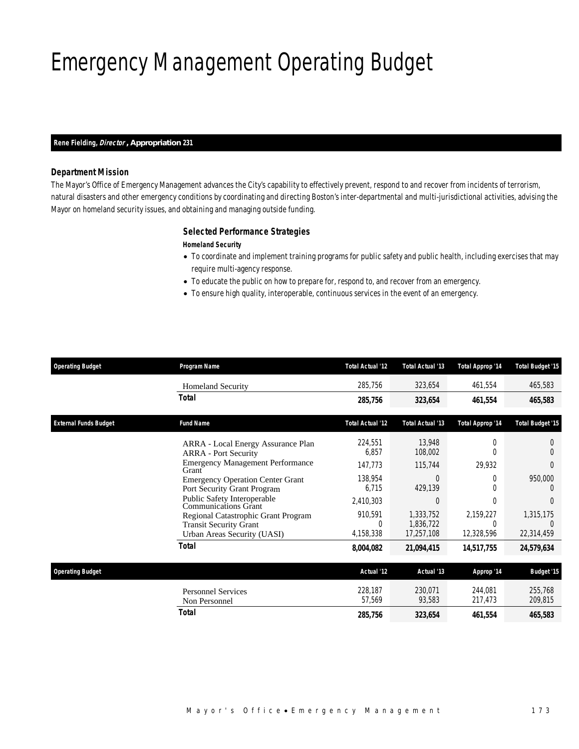## Emergency Management Operating Budget

#### *Rene Fielding, Director , Appropriation 231*

### *Department Mission*

The Mayor's Office of Emergency Management advances the City's capability to effectively prevent, respond to and recover from incidents of terrorism, natural disasters and other emergency conditions by coordinating and directing Boston's inter-departmental and multi-jurisdictional activities, advising the Mayor on homeland security issues, and obtaining and managing outside funding.

### *Selected Performance Strategies*

### *Homeland Security*

- To coordinate and implement training programs for public safety and public health, including exercises that may require multi-agency response.
- To educate the public on how to prepare for, respond to, and recover from an emergency.
- To ensure high quality, interoperable, continuous services in the event of an emergency.

| <b>Operating Budget</b>      | Program Name                                                                                               | <b>Total Actual '12</b>   | Total Actual '13                     | <b>Total Approp '14</b>             | <b>Total Budget '15</b> |
|------------------------------|------------------------------------------------------------------------------------------------------------|---------------------------|--------------------------------------|-------------------------------------|-------------------------|
|                              | <b>Homeland Security</b>                                                                                   | 285,756                   | 323,654                              | 461,554                             | 465,583                 |
|                              | <b>Total</b>                                                                                               | 285,756                   | 323,654                              | 461,554                             | 465,583                 |
| <b>External Funds Budget</b> | <b>Fund Name</b>                                                                                           | <b>Total Actual '12</b>   | Total Actual '13                     | <b>Total Approp '14</b>             | <b>Total Budget '15</b> |
|                              | ARRA - Local Energy Assurance Plan<br><b>ARRA</b> - Port Security                                          | 224,551<br>6,857          | 13,948<br>108,002                    | $\Omega$                            | U                       |
|                              | <b>Emergency Management Performance</b><br>Grant                                                           | 147,773                   | 115,744                              | 29,932                              | 0                       |
|                              | <b>Emergency Operation Center Grant</b><br>Port Security Grant Program                                     | 138,954<br>6.715          | 0<br>429,139                         | 0                                   | 950,000                 |
|                              | Public Safety Interoperable<br>Communications Grant                                                        | 2,410,303                 | $\Omega$                             | $\Omega$                            | $\Omega$                |
|                              | Regional Catastrophic Grant Program<br><b>Transit Security Grant</b><br><b>Urban Areas Security (UASI)</b> | 910,591<br>0<br>4,158,338 | 1,333,752<br>1,836,722<br>17,257,108 | 2,159,227<br>$\Omega$<br>12,328,596 | 1,315,175<br>22,314,459 |
|                              | <b>Total</b>                                                                                               | 8,004,082                 | 21,094,415                           | 14,517,755                          | 24,579,634              |
| <b>Operating Budget</b>      |                                                                                                            | Actual '12                | Actual '13                           | Approp '14                          | <b>Budget '15</b>       |
|                              | <b>Personnel Services</b><br>Non Personnel                                                                 | 228,187<br>57,569         | 230,071<br>93,583                    | 244,081<br>217,473                  | 255,768<br>209,815      |
|                              | <b>Total</b>                                                                                               | 285,756                   | 323,654                              | 461,554                             | 465,583                 |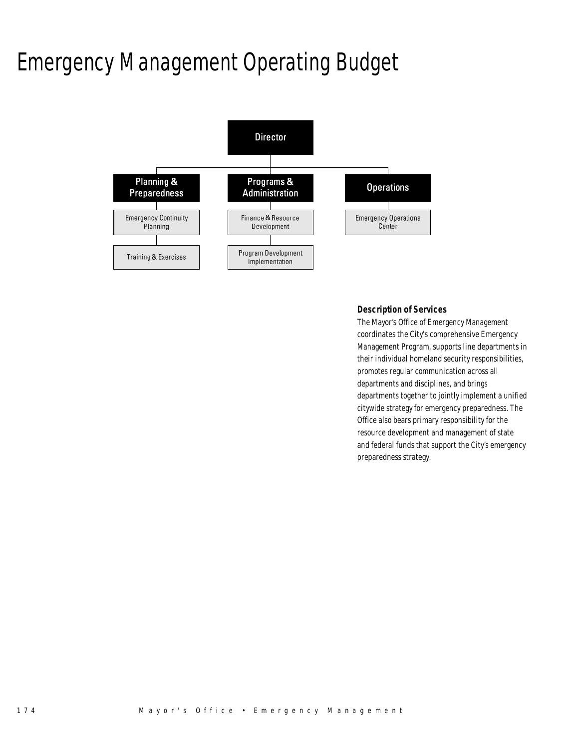## Emergency Management Operating Budget



## *Description of Services*

The Mayor's Office of Emergency Management coordinates the City's comprehensive Emergency Management Program, supports line departments in their individual homeland security responsibilities, promotes regular communication across all departments and disciplines, and brings departments together to jointly implement a unified citywide strategy for emergency preparedness. The Office also bears primary responsibility for the resource development and management of state and federal funds that support the City's emergency preparedness strategy.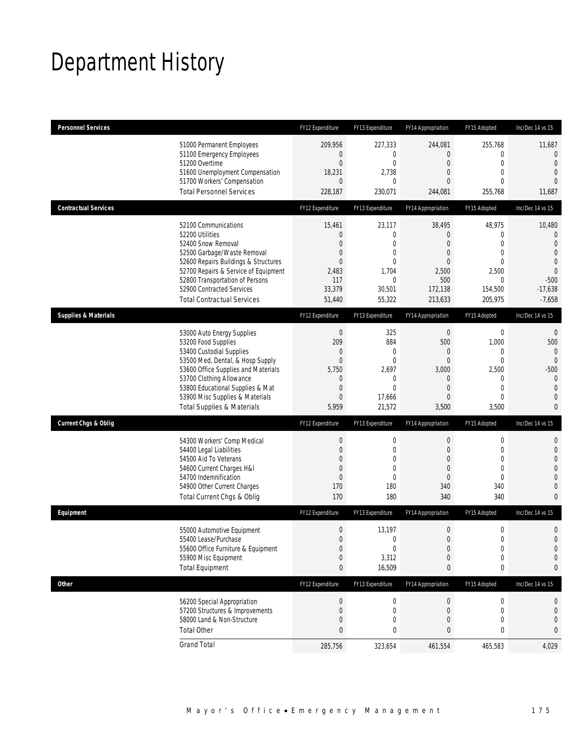## Department History

| <b>Personnel Services</b>       |                                                                                                                                                                                                                                                                                                      | FY12 Expenditure                                                                                                          | FY13 Expenditure                                                                                            | FY14 Appropriation                                                                                            | FY15 Adopted                                                                                              | Inc/Dec 14 vs 15                                                                                                      |
|---------------------------------|------------------------------------------------------------------------------------------------------------------------------------------------------------------------------------------------------------------------------------------------------------------------------------------------------|---------------------------------------------------------------------------------------------------------------------------|-------------------------------------------------------------------------------------------------------------|---------------------------------------------------------------------------------------------------------------|-----------------------------------------------------------------------------------------------------------|-----------------------------------------------------------------------------------------------------------------------|
|                                 | 51000 Permanent Employees<br>51100 Emergency Employees<br>51200 Overtime<br>51600 Unemployment Compensation<br>51700 Workers' Compensation<br><b>Total Personnel Services</b>                                                                                                                        | 209,956<br>0<br>$\boldsymbol{0}$<br>18,231<br>$\theta$<br>228,187                                                         | 227,333<br>0<br>$\mathbf 0$<br>2,738<br>$\mathbf{0}$<br>230,071                                             | 244,081<br>0<br>$\boldsymbol{0}$<br>0<br>0<br>244,081                                                         | 255,768<br>0<br>$\boldsymbol{0}$<br>$\mathbf{0}$<br>$\Omega$<br>255,768                                   | 11,687<br>0<br>$\theta$<br>$\overline{0}$<br>$\Omega$<br>11,687                                                       |
| <b>Contractual Services</b>     |                                                                                                                                                                                                                                                                                                      | FY12 Expenditure                                                                                                          | FY13 Expenditure                                                                                            | FY14 Appropriation                                                                                            | FY15 Adopted                                                                                              | Inc/Dec 14 vs 15                                                                                                      |
|                                 | 52100 Communications<br>52200 Utilities<br>52400 Snow Removal<br>52500 Garbage/Waste Removal<br>52600 Repairs Buildings & Structures<br>52700 Repairs & Service of Equipment<br>52800 Transportation of Persons<br>52900 Contracted Services<br><b>Total Contractual Services</b>                    | 15,461<br>$\theta$<br>$\overline{0}$<br>$\mathbf 0$<br>$\overline{0}$<br>2,483<br>117<br>33,379<br>51,440                 | 23,117<br>$\boldsymbol{0}$<br>$\mathbf{0}$<br>$\mathbf 0$<br>$\mathbf{0}$<br>1,704<br>0<br>30,501<br>55,322 | 38,495<br>$\overline{0}$<br>$\overline{0}$<br>0<br>0<br>2,500<br>500<br>172,138<br>213,633                    | 48,975<br>$\mathbf 0$<br>$\mathbf{0}$<br>$\mathbf{0}$<br>$\mathbf{0}$<br>2,500<br>0<br>154,500<br>205,975 | 10,480<br>$\theta$<br>$\theta$<br>$\overline{0}$<br>$\overline{0}$<br>$\mathbf{0}$<br>$-500$<br>$-17,638$<br>$-7,658$ |
| <b>Supplies &amp; Materials</b> |                                                                                                                                                                                                                                                                                                      | FY12 Expenditure                                                                                                          | FY13 Expenditure                                                                                            | FY14 Appropriation                                                                                            | FY15 Adopted                                                                                              | Inc/Dec 14 vs 15                                                                                                      |
|                                 | 53000 Auto Energy Supplies<br>53200 Food Supplies<br>53400 Custodial Supplies<br>53500 Med, Dental, & Hosp Supply<br>53600 Office Supplies and Materials<br>53700 Clothing Allowance<br>53800 Educational Supplies & Mat<br>53900 Misc Supplies & Materials<br><b>Total Supplies &amp; Materials</b> | $\boldsymbol{0}$<br>209<br>$\mathbf 0$<br>$\mathbf 0$<br>5,750<br>$\theta$<br>$\boldsymbol{0}$<br>$\overline{0}$<br>5,959 | 325<br>884<br>$\mathbf{0}$<br>$\mathbf 0$<br>2,697<br>0<br>$\mathbf{0}$<br>17,666<br>21,572                 | $\theta$<br>500<br>0<br>$\boldsymbol{0}$<br>3,000<br>$\mathbf 0$<br>$\overline{0}$<br>$\overline{0}$<br>3,500 | 0<br>1,000<br>$\mathbf 0$<br>$\mathbf 0$<br>2,500<br>0<br>$\overline{0}$<br>$\mathbf 0$<br>3,500          | 0<br>500<br>0<br>$\mathbf{0}$<br>$-500$<br>$\theta$<br>$\theta$<br>$\overline{0}$<br>0                                |
| <b>Current Chgs &amp; Oblig</b> |                                                                                                                                                                                                                                                                                                      | FY12 Expenditure                                                                                                          | FY13 Expenditure                                                                                            | FY14 Appropriation                                                                                            | FY15 Adopted                                                                                              | Inc/Dec 14 vs 15                                                                                                      |
|                                 | 54300 Workers' Comp Medical<br>54400 Legal Liabilities<br>54500 Aid To Veterans<br>54600 Current Charges H&I<br>54700 Indemnification<br>54900 Other Current Charges<br>Total Current Chgs & Oblig                                                                                                   | $\boldsymbol{0}$<br>$\boldsymbol{0}$<br>$\overline{0}$<br>$\mathbf 0$<br>$\boldsymbol{0}$<br>170<br>170                   | 0<br>$\mathbf 0$<br>$\mathbf{0}$<br>$\mathbf 0$<br>$\mathbf{0}$<br>180<br>180                               | $\boldsymbol{0}$<br>$\boldsymbol{0}$<br>0<br>$\mathbf{0}$<br>$\mathbf{0}$<br>340<br>340                       | $\boldsymbol{0}$<br>$\mathbf 0$<br>$\mathbf{0}$<br>$\mathbf 0$<br>$\mathbf{0}$<br>340<br>340              | 0<br>$\mathbf 0$<br>$\overline{0}$<br>0<br>0<br>$\mathbf 0$<br>0                                                      |
| Equipment                       |                                                                                                                                                                                                                                                                                                      | FY12 Expenditure                                                                                                          | FY13 Expenditure                                                                                            | FY14 Appropriation                                                                                            | FY15 Adopted                                                                                              | Inc/Dec 14 vs 15                                                                                                      |
|                                 | 55000 Automotive Equipment<br>55400 Lease/Purchase<br>55600 Office Furniture & Equipment<br>55900 Misc Equipment<br><b>Total Equipment</b>                                                                                                                                                           | $\theta$<br>$\overline{0}$<br>$\boldsymbol{0}$<br>$\boldsymbol{0}$<br>$\bf{0}$                                            | 13,197<br>$\mathbf 0$<br>$\boldsymbol{0}$<br>3,312<br>16,509                                                | $\boldsymbol{0}$<br>$\overline{0}$<br>$\boldsymbol{0}$<br>$\boldsymbol{0}$<br>0                               | $\boldsymbol{0}$<br>$\overline{0}$<br>$\boldsymbol{0}$<br>$\boldsymbol{0}$<br>0                           | 0<br>$\overline{0}$<br>$\mathbf 0$<br>0<br>0                                                                          |
| <b>Other</b>                    |                                                                                                                                                                                                                                                                                                      | FY12 Expenditure                                                                                                          | FY13 Expenditure                                                                                            | FY14 Appropriation                                                                                            | FY15 Adopted                                                                                              | Inc/Dec 14 vs 15                                                                                                      |
|                                 | 56200 Special Appropriation<br>57200 Structures & Improvements<br>58000 Land & Non-Structure<br><b>Total Other</b>                                                                                                                                                                                   | $\boldsymbol{0}$<br>$\boldsymbol{0}$<br>$\boldsymbol{0}$<br>$\bf{0}$                                                      | 0<br>0<br>0<br>0                                                                                            | $\boldsymbol{0}$<br>$\mathbf 0$<br>$\boldsymbol{0}$<br>0                                                      | 0<br>0<br>0<br>0                                                                                          | 0<br>0<br>0<br>0                                                                                                      |
|                                 | <b>Grand Total</b>                                                                                                                                                                                                                                                                                   | 285,756                                                                                                                   | 323,654                                                                                                     | 461,554                                                                                                       | 465,583                                                                                                   | 4,029                                                                                                                 |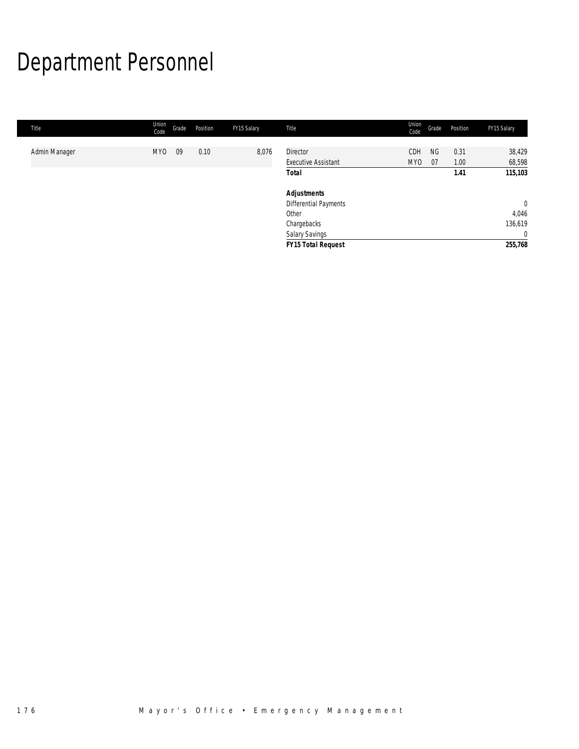# Department Personnel

| Title         | Union<br>Code   | Grade | Position | FY15 Salary | Title                                         | Union<br>Code | Grade           | Position     | FY15 Salary      |
|---------------|-----------------|-------|----------|-------------|-----------------------------------------------|---------------|-----------------|--------------|------------------|
| Admin Manager | MY <sub>0</sub> | 09    | 0.10     | 8,076       | <b>Director</b><br><b>Executive Assistant</b> | CDH<br>MY0    | <b>NG</b><br>07 | 0.31<br>1.00 | 38,429<br>68,598 |
|               |                 |       |          |             | Total                                         |               |                 | 1.41         | 115,103          |
|               |                 |       |          |             | <b>Adjustments</b>                            |               |                 |              |                  |
|               |                 |       |          |             | <b>Differential Payments</b>                  |               |                 |              | $\mathbf 0$      |
|               |                 |       |          |             | Other                                         |               |                 |              | 4,046            |
|               |                 |       |          |             | Chargebacks                                   |               |                 |              | 136,619          |
|               |                 |       |          |             | <b>Salary Savings</b>                         |               |                 |              | $\overline{0}$   |
|               |                 |       |          |             | <b>FY15 Total Request</b>                     |               |                 |              | 255,768          |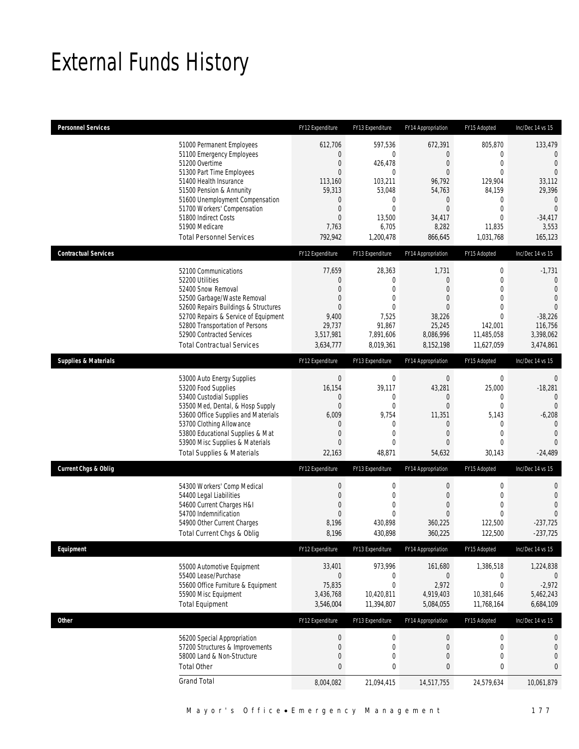## External Funds History

| <b>Personnel Services</b>       |                                                                                                                                                                                                                                                                                                            | FY12 Expenditure                                                                                                                 | FY13 Expenditure                                                                                         | FY14 Appropriation                                                                                                               | FY15 Adopted                                                                                                                                       | Inc/Dec 14 vs 15                                                                                                                              |
|---------------------------------|------------------------------------------------------------------------------------------------------------------------------------------------------------------------------------------------------------------------------------------------------------------------------------------------------------|----------------------------------------------------------------------------------------------------------------------------------|----------------------------------------------------------------------------------------------------------|----------------------------------------------------------------------------------------------------------------------------------|----------------------------------------------------------------------------------------------------------------------------------------------------|-----------------------------------------------------------------------------------------------------------------------------------------------|
|                                 | 51000 Permanent Employees<br>51100 Emergency Employees<br>51200 Overtime<br>51300 Part Time Employees<br>51400 Health Insurance<br>51500 Pension & Annunity<br>51600 Unemployment Compensation<br>51700 Workers' Compensation<br>51800 Indirect Costs<br>51900 Medicare<br><b>Total Personnel Services</b> | 612,706<br>$\mathbf{0}$<br>0<br>$\mathbf{0}$<br>113,160<br>59,313<br>0<br>$\boldsymbol{0}$<br>$\overline{0}$<br>7,763<br>792,942 | 597,536<br>0<br>426,478<br>0<br>103,211<br>53,048<br>0<br>0<br>13,500<br>6,705<br>1,200,478              | 672,391<br>0<br>$\mathbf 0$<br>$\overline{0}$<br>96,792<br>54,763<br>$\mathbf 0$<br>$\overline{0}$<br>34,417<br>8,282<br>866,645 | 805,870<br>$\mathbf 0$<br>$\mathbf 0$<br>$\mathbf{0}$<br>129,904<br>84,159<br>$\mathbf 0$<br>$\mathbf{0}$<br>$\overline{0}$<br>11,835<br>1,031,768 | 133,479<br>$\theta$<br>$\overline{0}$<br>$\overline{0}$<br>33,112<br>29,396<br>$\mathbf 0$<br>$\overline{0}$<br>$-34,417$<br>3,553<br>165,123 |
| <b>Contractual Services</b>     |                                                                                                                                                                                                                                                                                                            | FY12 Expenditure                                                                                                                 | FY13 Expenditure                                                                                         | FY14 Appropriation                                                                                                               | FY15 Adopted                                                                                                                                       | Inc/Dec 14 vs 15                                                                                                                              |
|                                 | 52100 Communications<br>52200 Utilities<br>52400 Snow Removal<br>52500 Garbage/Waste Removal<br>52600 Repairs Buildings & Structures<br>52700 Repairs & Service of Equipment<br>52800 Transportation of Persons<br>52900 Contracted Services<br><b>Total Contractual Services</b>                          | 77,659<br>0<br>$\overline{0}$<br>0<br>$\Omega$<br>9,400<br>29,737<br>3,517,981<br>3,634,777                                      | 28,363<br>0<br>$\overline{0}$<br>$\overline{0}$<br>$\Omega$<br>7,525<br>91,867<br>7,891,606<br>8,019,361 | 1,731<br>$\mathbf 0$<br>0<br>0<br>$\Omega$<br>38,226<br>25,245<br>8,086,996<br>8,152,198                                         | $\boldsymbol{0}$<br>$\overline{0}$<br>$\mathbf 0$<br>$\mathbf 0$<br>$\theta$<br>$\overline{0}$<br>142,001<br>11,485,058<br>11,627,059              | $-1,731$<br>$\mathbf 0$<br>$\mathbf 0$<br>$\overline{0}$<br>$\theta$<br>$-38,226$<br>116,756<br>3,398,062<br>3,474,861                        |
| <b>Supplies &amp; Materials</b> |                                                                                                                                                                                                                                                                                                            | FY12 Expenditure                                                                                                                 | FY13 Expenditure                                                                                         | FY14 Appropriation                                                                                                               | FY15 Adopted                                                                                                                                       | Inc/Dec 14 vs 15                                                                                                                              |
|                                 | 53000 Auto Energy Supplies<br>53200 Food Supplies<br>53400 Custodial Supplies<br>53500 Med, Dental, & Hosp Supply<br>53600 Office Supplies and Materials<br>53700 Clothing Allowance<br>53800 Educational Supplies & Mat<br>53900 Misc Supplies & Materials<br><b>Total Supplies &amp; Materials</b>       | $\boldsymbol{0}$<br>16,154<br>$\mathbf 0$<br>$\boldsymbol{0}$<br>6,009<br>0<br>$\mathbf 0$<br>$\Omega$<br>22,163                 | 0<br>39,117<br>0<br>$\boldsymbol{0}$<br>9,754<br>0<br>0<br>$\Omega$<br>48,871                            | $\boldsymbol{0}$<br>43,281<br>0<br>$\mathbf 0$<br>11,351<br>0<br>$\overline{0}$<br>0<br>54,632                                   | $\mathbf 0$<br>25,000<br>0<br>$\mathbf 0$<br>5,143<br>$\mathbf{0}$<br>$\mathbf{0}$<br>$\mathbf 0$<br>30,143                                        | $\theta$<br>$-18,281$<br>$\mathbf 0$<br>$\Omega$<br>$-6,208$<br>$\bigcap$<br>$\mathbf 0$<br>$\Omega$<br>$-24,489$                             |
| <b>Current Chgs &amp; Oblig</b> |                                                                                                                                                                                                                                                                                                            | FY12 Expenditure                                                                                                                 | FY13 Expenditure                                                                                         | FY14 Appropriation                                                                                                               | FY15 Adopted                                                                                                                                       | Inc/Dec 14 vs 15                                                                                                                              |
|                                 | 54300 Workers' Comp Medical<br>54400 Legal Liabilities<br>54600 Current Charges H&I<br>54700 Indemnification<br>54900 Other Current Charges<br>Total Current Chgs & Oblig                                                                                                                                  | $\boldsymbol{0}$<br>$\boldsymbol{0}$<br>0<br>$\mathbf{0}$<br>8,196<br>8,196                                                      | 0<br>0<br>0<br>0<br>430,898<br>430,898                                                                   | 0<br>$\mathbf 0$<br>0<br>$\overline{0}$<br>360,225<br>360,225                                                                    | $\boldsymbol{0}$<br>$\mathbf{0}$<br>$\mathbf{0}$<br>$\mathbf{0}$<br>122,500<br>122,500                                                             | $\mathbf{0}$<br>$\mathbf{0}$<br>$\overline{0}$<br>$\Omega$<br>$-237,725$<br>$-237,725$                                                        |
| Equipment                       |                                                                                                                                                                                                                                                                                                            | FY12 Expenditure                                                                                                                 | FY13 Expenditure                                                                                         | FY14 Appropriation                                                                                                               | FY15 Adopted                                                                                                                                       | Inc/Dec 14 vs 15                                                                                                                              |
|                                 | 55000 Automotive Equipment<br>55400 Lease/Purchase<br>55600 Office Furniture & Equipment<br>55900 Misc Equipment<br><b>Total Equipment</b>                                                                                                                                                                 | 33,401<br>$\boldsymbol{0}$<br>75,835<br>3,436,768<br>3,546,004                                                                   | 973,996<br>0<br>0<br>10,420,811<br>11,394,807                                                            | 161,680<br>$\overline{0}$<br>2,972<br>4,919,403<br>5,084,055                                                                     | 1,386,518<br>$\boldsymbol{0}$<br>$\mathbf{0}$<br>10,381,646<br>11,768,164                                                                          | 1,224,838<br>$\mathbf 0$<br>$-2,972$<br>5,462,243<br>6,684,109                                                                                |
| <b>Other</b>                    |                                                                                                                                                                                                                                                                                                            | FY12 Expenditure                                                                                                                 | FY13 Expenditure                                                                                         | FY14 Appropriation                                                                                                               | FY15 Adopted                                                                                                                                       | Inc/Dec 14 vs 15                                                                                                                              |
|                                 | 56200 Special Appropriation<br>57200 Structures & Improvements<br>58000 Land & Non-Structure<br><b>Total Other</b>                                                                                                                                                                                         | $\boldsymbol{0}$<br>$\boldsymbol{0}$<br>$\boldsymbol{0}$<br>$\bf{0}$                                                             | $\boldsymbol{0}$<br>$\boldsymbol{0}$<br>0<br>0                                                           | 0<br>$\mathbf 0$<br>0<br>0                                                                                                       | $\boldsymbol{0}$<br>$\mathbf 0$<br>$\boldsymbol{0}$<br>0                                                                                           | $\boldsymbol{0}$<br>$\boldsymbol{0}$<br>$\overline{0}$<br>$\mathbf{0}$                                                                        |
|                                 | <b>Grand Total</b>                                                                                                                                                                                                                                                                                         | 8,004,082                                                                                                                        | 21,094,415                                                                                               | 14,517,755                                                                                                                       | 24,579,634                                                                                                                                         | 10,061,879                                                                                                                                    |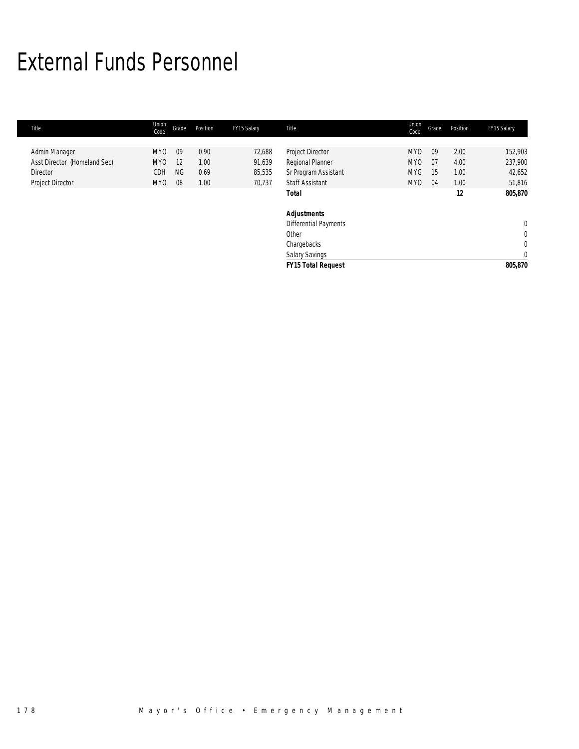## External Funds Personnel

| Title                        | Union<br>Code   | Grade     | Position | FY15 Salary | Title                        | Union<br>Code | Grade | Position | FY15 Salary    |
|------------------------------|-----------------|-----------|----------|-------------|------------------------------|---------------|-------|----------|----------------|
|                              |                 |           |          |             |                              |               |       |          |                |
| Admin Manager                | MY <sub>0</sub> | 09        | 0.90     | 72,688      | Project Director             | MY0           | 09    | 2.00     | 152,903        |
| Asst Director (Homeland Sec) | MY0             | 12        | 1.00     | 91,639      | Regional Planner             | MY0           | 07    | 4.00     | 237,900        |
| Director                     | CDH             | <b>NG</b> | 0.69     | 85,535      | Sr Program Assistant         | <b>MYG</b>    | 15    | 1.00     | 42,652         |
| Project Director             | MY <sub>0</sub> | 08        | 1.00     | 70,737      | <b>Staff Assistant</b>       | <b>MYO</b>    | 04    | 1.00     | 51,816         |
|                              |                 |           |          |             | <b>Total</b>                 |               |       | 12       | 805,870        |
|                              |                 |           |          |             | <b>Adjustments</b>           |               |       |          |                |
|                              |                 |           |          |             | <b>Differential Payments</b> |               |       |          | $\overline{0}$ |
|                              |                 |           |          |             | Other                        |               |       |          | $\mathbf 0$    |
|                              |                 |           |          |             | Chargebacks                  |               |       |          | $\mathbf 0$    |
|                              |                 |           |          |             | Salary Savings               |               |       |          | $\mathbf 0$    |
|                              |                 |           |          |             | <b>FY15 Total Request</b>    |               |       |          | 805,870        |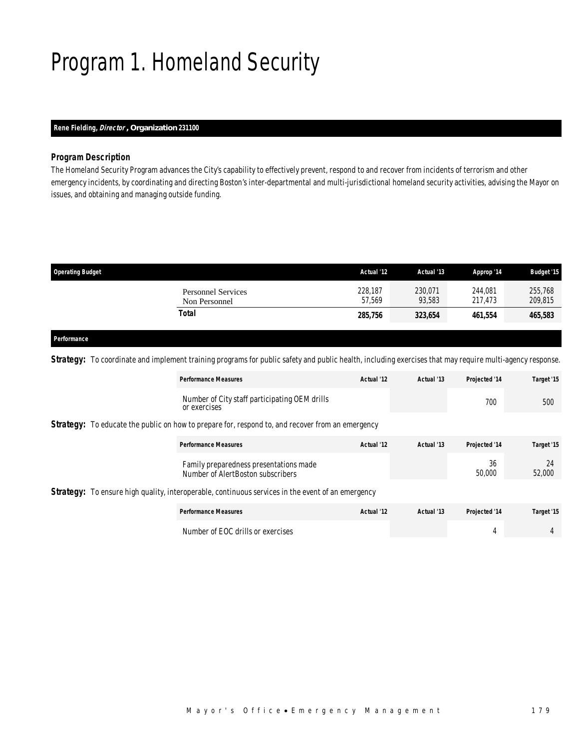## Program 1. Homeland Security

## *Rene Fielding, Director , Organization 231100*

### *Program Description*

The Homeland Security Program advances the City's capability to effectively prevent, respond to and recover from incidents of terrorism and other emergency incidents, by coordinating and directing Boston's inter-departmental and multi-jurisdictional homeland security activities, advising the Mayor on issues, and obtaining and managing outside funding.

| <b>Operating Budget</b>                    | Actual '12        | Actual '13        | Approp '14         | <b>Budget '15</b>  |
|--------------------------------------------|-------------------|-------------------|--------------------|--------------------|
| <b>Personnel Services</b><br>Non Personnel | 228,187<br>57.569 | 230.071<br>93.583 | 244,081<br>217.473 | 255,768<br>209,815 |
| Total                                      | 285,756           | 323,654           | 461,554            | 465,583            |
|                                            |                   |                   |                    |                    |

## *Performance*

**Strategy:** To coordinate and implement training programs for public safety and public health, including exercises that may require multi-agency response.

|  | <b>Performance Measures</b>                                                                              | Actual '12 | Actual '13 | Projected '14 | Target '15   |
|--|----------------------------------------------------------------------------------------------------------|------------|------------|---------------|--------------|
|  | Number of City staff participating OEM drills<br>or exercises                                            |            |            | 700           | 500          |
|  | <b>Strategy:</b> To educate the public on how to prepare for, respond to, and recover from an emergency  |            |            |               |              |
|  | <b>Performance Measures</b>                                                                              | Actual '12 | Actual '13 | Projected '14 | Target '15   |
|  | Family preparedness presentations made<br>Number of AlertBoston subscribers                              |            |            | 36<br>50,000  | 24<br>52,000 |
|  | <b>Strategy:</b> To ensure high quality, interoperable, continuous services in the event of an emergency |            |            |               |              |
|  | <b>Performance Measures</b>                                                                              | Actual '12 | Actual '13 | Projected '14 | Target '15   |
|  | Number of EOC drills or exercises                                                                        |            |            | 4             | 4            |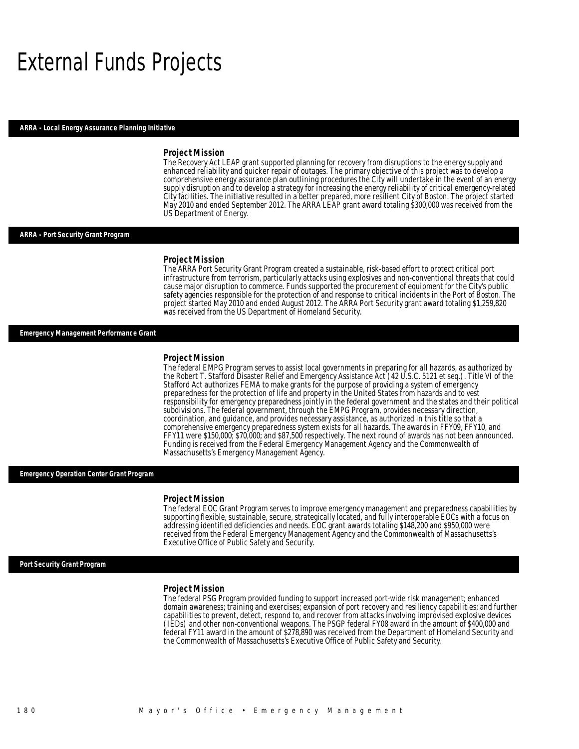## External Funds Projects

#### *ARRA - Local Energy Assurance Planning Initiative*

#### *Project Mission*

The Recovery Act LEAP grant supported planning for recovery from disruptions to the energy supply and enhanced reliability and quicker repair of outages. The primary objective of this project was to develop a comprehensive energy assurance plan outlining procedures the City will undertake in the event of an energy supply disruption and to develop a strategy for increasing the energy reliability of critical emergency-related City facilities. The initiative resulted in a better prepared, more resilient City of Boston. The project started May 2010 and ended September 2012. The ARRA LEAP grant award totaling \$300,000 was received from the US Department of Energy.

#### *ARRA - Port Security Grant Program*

#### *Project Mission*

The ARRA Port Security Grant Program created a sustainable, risk-based effort to protect critical port infrastructure from terrorism, particularly attacks using explosives and non-conventional threats that could cause major disruption to commerce. Funds supported the procurement of equipment for the City's public safety agencies responsible for the protection of and response to critical incidents in the Port of Boston. The project started May 2010 and ended August 2012. The ARRA Port Security grant award totaling \$1,259,820 was received from the US Department of Homeland Security.

#### *Emergency Management Performance Grant*

#### *Project Mission*

The federal EMPG Program serves to assist local governments in preparing for all hazards, as authorized by the Robert T. Stafford Disaster Relief and Emergency Assistance Act (42 U.S.C. 5121 et seq.). Title VI of the Stafford Act authorizes FEMA to make grants for the purpose of providing a system of emergency preparedness for the protection of life and property in the United States from hazards and to vest responsibility for emergency preparedness jointly in the federal government and the states and their political subdivisions. The federal government, through the EMPG Program, provides necessary direction, coordination, and guidance, and provides necessary assistance, as authorized in this title so that a comprehensive emergency preparedness system exists for all hazards. The awards in FFY09, FFY10, and FFY11 were \$150,000; \$70,000; and \$87,500 respectively. The next round of awards has not been announced. Funding is received from the Federal Emergency Management Agency and the Commonwealth of Massachusetts's Emergency Management Agency.

#### *Emergency Operation Center Grant Program*

#### *Project Mission*

The federal EOC Grant Program serves to improve emergency management and preparedness capabilities by supporting flexible, sustainable, secure, strategically located, and fully interoperable EOCs with a focus on addressing identified deficiencies and needs. EOC grant awards totaling \$148,200 and \$950,000 were received from the Federal Emergency Management Agency and the Commonwealth of Massachusetts's Executive Office of Public Safety and Security.

#### *Port Security Grant Program*

#### *Project Mission*

The federal PSG Program provided funding to support increased port-wide risk management; enhanced domain awareness; training and exercises; expansion of port recovery and resiliency capabilities; and further capabilities to prevent, detect, respond to, and recover from attacks involving improvised explosive devices (IEDs) and other non-conventional weapons. The PSGP federal FY08 award in the amount of \$400,000 and federal FY11 award in the amount of \$278,890 was received from the Department of Homeland Security and the Commonwealth of Massachusetts's Executive Office of Public Safety and Security.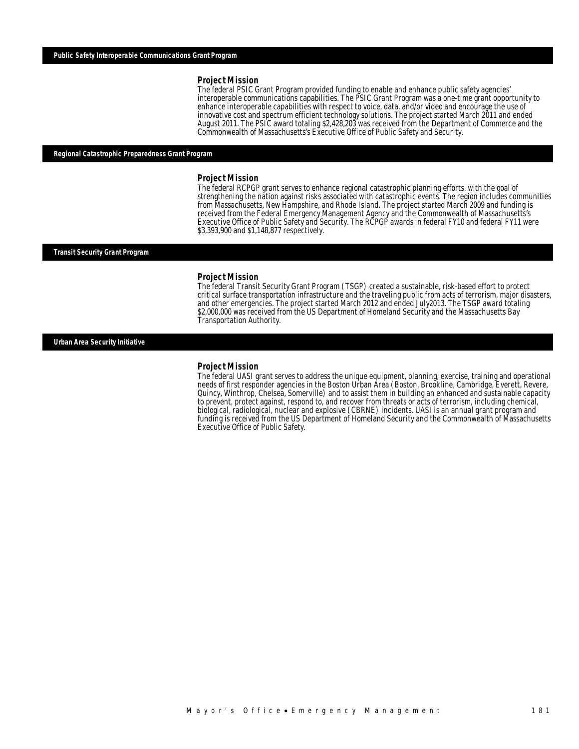#### *Project Mission*

The federal PSIC Grant Program provided funding to enable and enhance public safety agencies' interoperable communications capabilities. The PSIC Grant Program was a one-time grant opportunity to enhance interoperable capabilities with respect to voice, data, and/or video and encourage the use of innovative cost and spectrum efficient technology solutions. The project started March 2011 and ended August 2011. The PSIC award totaling \$2,428,203 was received from the Department of Commerce and the Commonwealth of Massachusetts's Executive Office of Public Safety and Security.

#### *Regional Catastrophic Preparedness Grant Program*

#### *Project Mission*

The federal RCPGP grant serves to enhance regional catastrophic planning efforts, with the goal of strengthening the nation against risks associated with catastrophic events. The region includes communities from Massachusetts, New Hampshire, and Rhode Island. The project started March 2009 and funding is received from the Federal Emergency Management Agency and the Commonwealth of Massachusetts's Executive Office of Public Safety and Security. The RCPGP awards in federal FY10 and federal FY11 were \$3,393,900 and \$1,148,877 respectively.

#### *Transit Security Grant Program*

#### *Project Mission*

The federal Transit Security Grant Program (TSGP) created a sustainable, risk-based effort to protect critical surface transportation infrastructure and the traveling public from acts of terrorism, major disasters, and other emergencies. The project started March 2012 and ended July2013. The TSGP award totaling \$2,000,000 was received from the US Department of Homeland Security and the Massachusetts Bay Transportation Authority.

#### *Urban Area Security Initiative*

#### *Project Mission*

The federal UASI grant serves to address the unique equipment, planning, exercise, training and operational needs of first responder agencies in the Boston Urban Area (Boston, Brookline, Cambridge, Everett, Revere, Quincy, Winthrop, Chelsea, Somerville) and to assist them in building an enhanced and sustainable capacity to prevent, protect against, respond to, and recover from threats or acts of terrorism, including chemical, biological, radiological, nuclear and explosive (CBRNE) incidents. UASI is an annual grant program and funding is received from the US Department of Homeland Security and the Commonwealth of Massachusetts Executive Office of Public Safety.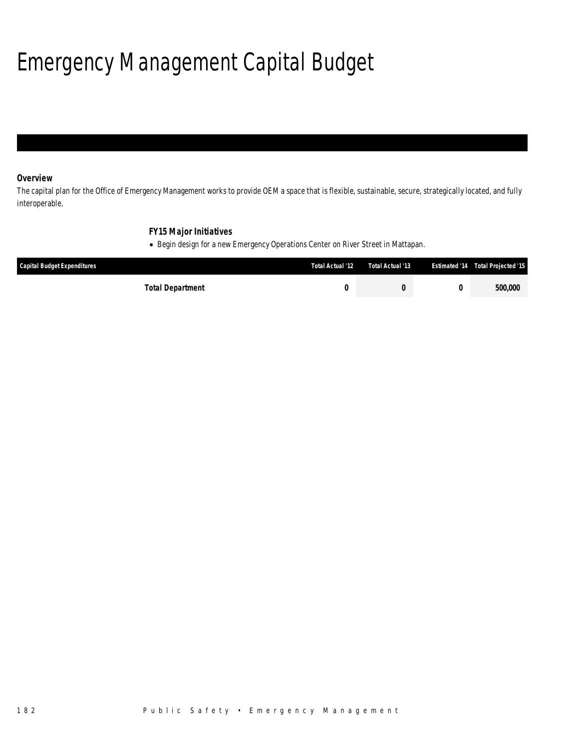## Emergency Management Capital Budget

## *Overview*

The capital plan for the Office of Emergency Management works to provide OEM a space that is flexible, sustainable, secure, strategically located, and fully interoperable.

## *FY15 Major Initiatives*

• Begin design for a new Emergency Operations Center on River Street in Mattapan.

| Capital Budget Expenditures | Total Actual '12 | Total Actual '13 | <b>Estimated '14 Total Projected '15</b> |
|-----------------------------|------------------|------------------|------------------------------------------|
| Total Department            |                  |                  | 500,000                                  |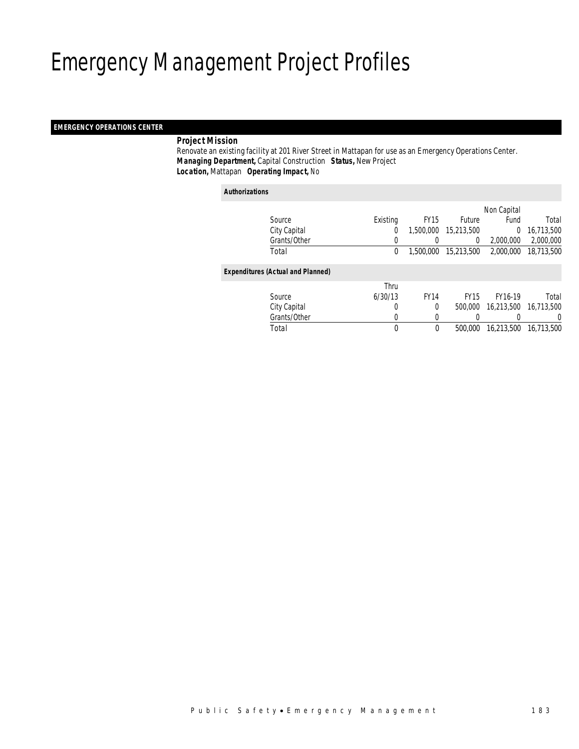## Emergency Management Project Profiles

### *EMERGENCY OPERATIONS CENTER*

### *Project Mission*

 Renovate an existing facility at 201 River Street in Mattapan for use as an Emergency Operations Center. *Managing Department,* Capital Construction *Status,* New Project*Location,* Mattapan *Operating Impact,* No

#### *Authorizations*

|                                          |          |             |               | Non Capital |            |
|------------------------------------------|----------|-------------|---------------|-------------|------------|
| Source                                   | Existing | <b>FY15</b> | <b>Future</b> | Fund        | Total      |
| City Capital                             | 0        | 1,500,000   | 15,213,500    | $\Omega$    | 16,713,500 |
| Grants/Other                             | 0        |             | 0             | 2,000,000   | 2,000,000  |
| Total                                    | 0        | 1,500,000   | 15,213,500    | 2,000,000   | 18,713,500 |
| <b>Expenditures (Actual and Planned)</b> |          |             |               |             |            |
|                                          | Thru     |             |               |             |            |
| Source                                   | 6/30/13  | <b>FY14</b> | <b>FY15</b>   | FY16-19     | Total      |
| City Capital                             | 0        | $\theta$    | 500,000       | 16.213.500  | 16,713,500 |
| Grants/Other                             | 0        |             |               |             | 0          |
| Total                                    | 0        | $\bf{0}$    | 500,000       | 16,213,500  | 16,713,500 |
|                                          |          |             |               |             |            |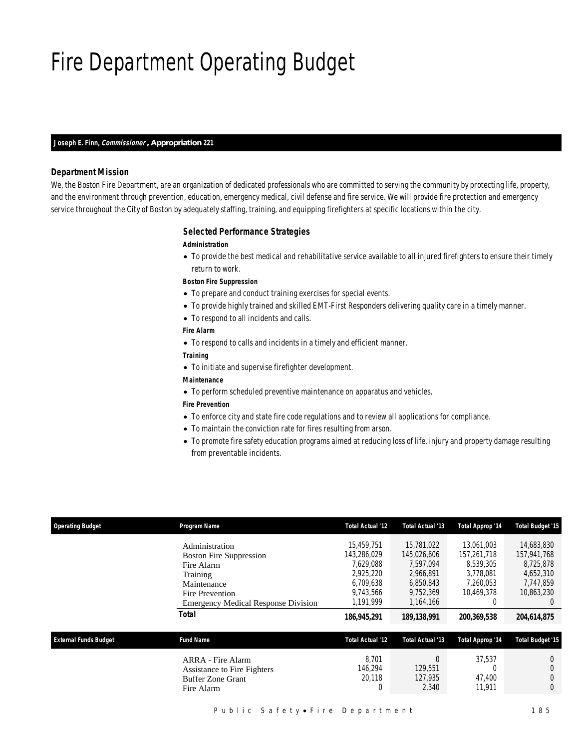## Fire Department Operating Budget

#### *Joseph E. Finn, Commissioner , Appropriation 221*

### *Department Mission*

We, the Boston Fire Department, are an organization of dedicated professionals who are committed to serving the community by protecting life, property, and the environment through prevention, education, emergency medical, civil defense and fire service. We will provide fire protection and emergency service throughout the City of Boston by adequately staffing, training, and equipping firefighters at specific locations within the city.

### *Selected Performance Strategies*

#### *Administration*

• To provide the best medical and rehabilitative service available to all injured firefighters to ensure their timely return to work.

#### *Boston Fire Suppression*

- To prepare and conduct training exercises for special events.
- To provide highly trained and skilled EMT-First Responders delivering quality care in a timely manner.
- To respond to all incidents and calls.

#### *Fire Alarm*

- To respond to calls and incidents in a timely and efficient manner.
- *Training*
- To initiate and supervise firefighter development.
- *Maintenance*
- To perform scheduled preventive maintenance on apparatus and vehicles.

### *Fire Prevention*

- To enforce city and state fire code regulations and to review all applications for compliance.
- To maintain the conviction rate for fires resulting from arson.
- To promote fire safety education programs aimed at reducing loss of life, injury and property damage resulting from preventable incidents.

| <b>Operating Budget</b>      | Program Name                                                                                                                                                        | Total Actual '12                                                                                          | Total Actual '13                                                                                            | Total Approp '14                                                                              | <b>Total Budget '15</b>                                                                                           |
|------------------------------|---------------------------------------------------------------------------------------------------------------------------------------------------------------------|-----------------------------------------------------------------------------------------------------------|-------------------------------------------------------------------------------------------------------------|-----------------------------------------------------------------------------------------------|-------------------------------------------------------------------------------------------------------------------|
|                              | Administration<br><b>Boston Fire Suppression</b><br>Fire Alarm<br>Training<br>Maintenance<br>Fire Prevention<br><b>Emergency Medical Response Division</b><br>Total | 15.459.751<br>143,286,029<br>7.629.088<br>2.925.220<br>6,709,638<br>9.743.566<br>1.191.999<br>186,945,291 | 15,781,022<br>145,026,606<br>7.597.094<br>2.966.891<br>6,850,843<br>9,752,369<br>1,164,166<br>189, 138, 991 | 13.061.003<br>157,261,718<br>8.539.305<br>3.778.081<br>7,260,053<br>10.469.378<br>200,369,538 | 14,683,830<br>157,941,768<br>8,725,878<br>4.652.310<br>7,747,859<br>10.863.230<br>$\left( \right)$<br>204.614.875 |
| <b>External Funds Budget</b> | <b>Fund Name</b>                                                                                                                                                    | Total Actual '12                                                                                          | Total Actual '13                                                                                            | Total Approp '14                                                                              | <b>Total Budget '15</b>                                                                                           |
|                              | ARRA - Fire Alarm<br>Assistance to Fire Fighters<br><b>Buffer Zone Grant</b><br>Fire Alarm                                                                          | 8.701<br>146.294<br>20.118<br>0                                                                           | $\Omega$<br>129.551<br>127.935<br>2,340                                                                     | 37.537<br>47.400<br>11,911                                                                    | $\theta$<br>$\Omega$                                                                                              |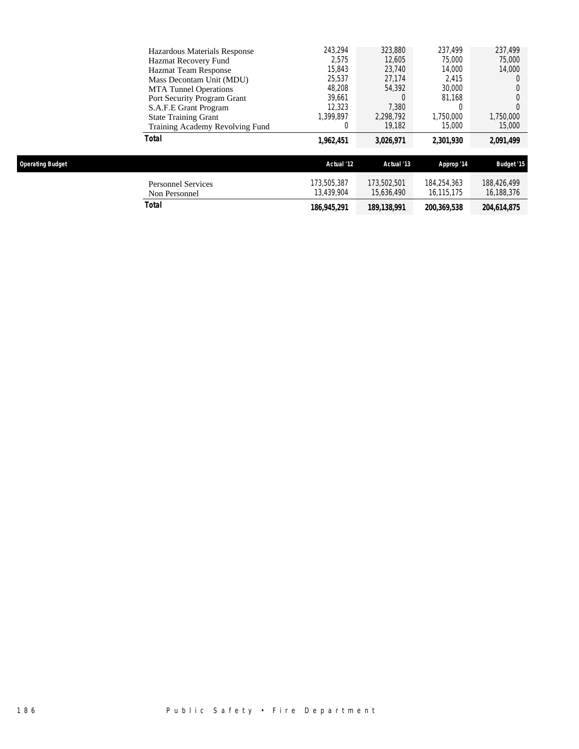| Total                           | 1,962,451 | 3,026,971 | 2,301,930 | 2,091,499 |
|---------------------------------|-----------|-----------|-----------|-----------|
| Training Academy Revolving Fund |           | 19.182    | 15,000    | 15,000    |
| <b>State Training Grant</b>     | 1.399.897 | 2,298,792 | 1,750,000 | 1,750,000 |
| S.A.F.E Grant Program           | 12,323    | 7.380     | 0         |           |
| Port Security Program Grant     | 39.661    |           | 81.168    |           |
| <b>MTA</b> Tunnel Operations    | 48.208    | 54,392    | 30,000    |           |
| Mass Decontam Unit (MDU)        | 25.537    | 27.174    | 2.415     |           |
| <b>Hazmat Team Response</b>     | 15,843    | 23.740    | 14.000    | 14,000    |
| Hazmat Recovery Fund            | 2.575     | 12,605    | 75,000    | 75,000    |
| Hazardous Materials Response    | 243.294   | 323,880   | 237.499   | 237.499   |

| )perating Budget |  |  |
|------------------|--|--|
|                  |  |  |

| <b>Operating Budget</b>             | Actual '12                | Actual '13                | Approp '14                | <b>Budget '15</b>         |
|-------------------------------------|---------------------------|---------------------------|---------------------------|---------------------------|
| Personnel Services<br>Non Personnel | 173.505.387<br>13.439.904 | 173.502.501<br>15.636.490 | 184,254,363<br>16.115.175 | 188.426.499<br>16,188,376 |
| Total                               | 186,945,291               | 189, 138, 991             | 200,369,538               | 204.614.875               |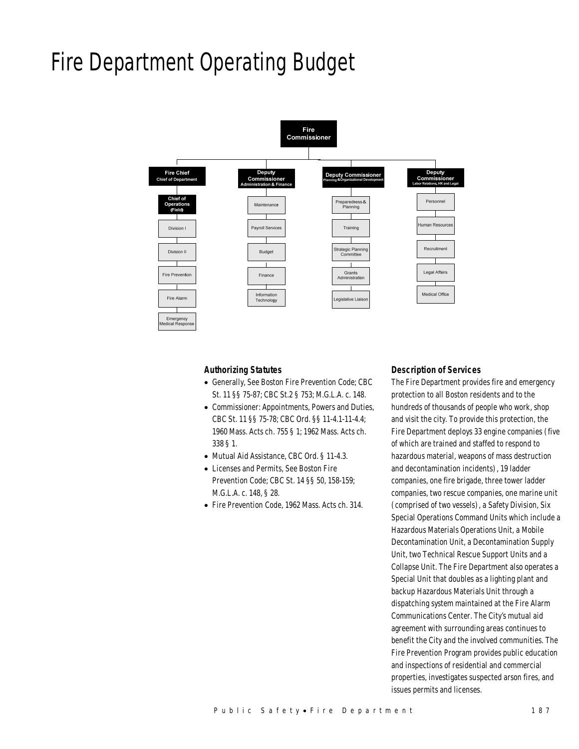## Fire Department Operating Budget



### *Authorizing Statutes*

- Generally, See Boston Fire Prevention Code; CBC St. 11 §§ 75-87; CBC St.2 § 753; M.G.L.A. c. 148.
- Commissioner: Appointments, Powers and Duties, CBC St. 11 §§ 75-78; CBC Ord. §§ 11-4.1-11-4.4; 1960 Mass. Acts ch. 755 § 1; 1962 Mass. Acts ch. 338 § 1.
- Mutual Aid Assistance, CBC Ord. § 11-4.3.
- Licenses and Permits, See Boston Fire Prevention Code; CBC St. 14 §§ 50, 158-159; M.G.L.A. c. 148, § 28.
- Fire Prevention Code, 1962 Mass. Acts ch. 314.

#### *Description of Services*

The Fire Department provides fire and emergency protection to all Boston residents and to the hundreds of thousands of people who work, shop and visit the city. To provide this protection, the Fire Department deploys 33 engine companies (five of which are trained and staffed to respond to hazardous material, weapons of mass destruction and decontamination incidents), 19 ladder companies, one fire brigade, three tower ladder companies, two rescue companies, one marine unit (comprised of two vessels), a Safety Division, Six Special Operations Command Units which include a Hazardous Materials Operations Unit, a Mobile Decontamination Unit, a Decontamination Supply Unit, two Technical Rescue Support Units and a Collapse Unit. The Fire Department also operates a Special Unit that doubles as a lighting plant and backup Hazardous Materials Unit through a dispatching system maintained at the Fire Alarm Communications Center. The City's mutual aid agreement with surrounding areas continues to benefit the City and the involved communities. The Fire Prevention Program provides public education and inspections of residential and commercial properties, investigates suspected arson fires, and issues permits and licenses.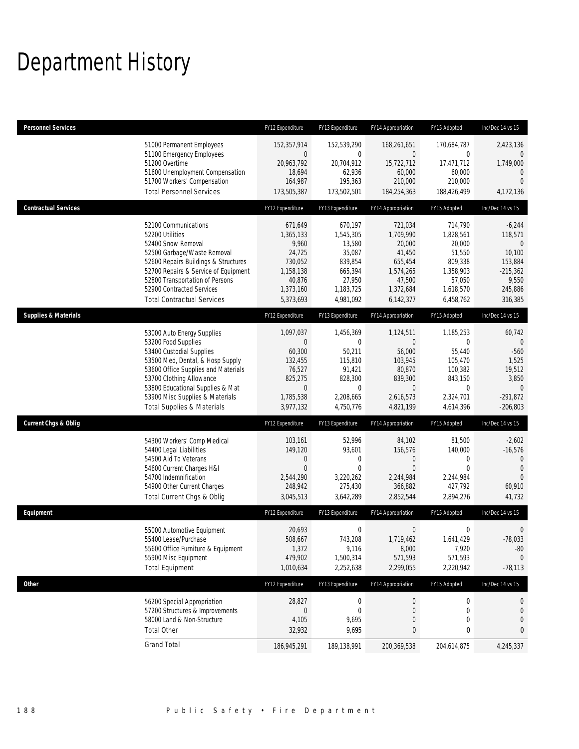## Department History

| <b>Personnel Services</b>       |                                                                                                                                                                                                                                                                                                      | FY12 Expenditure                                                                                         | FY13 Expenditure                                                                                            | FY14 Appropriation                                                                                                | FY15 Adopted                                                                                                  | Inc/Dec 14 vs 15                                                                                          |
|---------------------------------|------------------------------------------------------------------------------------------------------------------------------------------------------------------------------------------------------------------------------------------------------------------------------------------------------|----------------------------------------------------------------------------------------------------------|-------------------------------------------------------------------------------------------------------------|-------------------------------------------------------------------------------------------------------------------|---------------------------------------------------------------------------------------------------------------|-----------------------------------------------------------------------------------------------------------|
|                                 | 51000 Permanent Employees<br>51100 Emergency Employees<br>51200 Overtime<br>51600 Unemployment Compensation<br>51700 Workers' Compensation<br><b>Total Personnel Services</b>                                                                                                                        | 152,357,914<br>$\mathbf 0$<br>20,963,792<br>18,694<br>164,987<br>173,505,387                             | 152,539,290<br>$\mathbf 0$<br>20,704,912<br>62,936<br>195,363<br>173,502,501                                | 168,261,651<br>0<br>15,722,712<br>60,000<br>210,000<br>184,254,363                                                | 170,684,787<br>0<br>17,471,712<br>60,000<br>210,000<br>188,426,499                                            | 2,423,136<br>$\mathbf{0}$<br>1,749,000<br>$\mathbf{0}$<br>$\Omega$<br>4,172,136                           |
| <b>Contractual Services</b>     |                                                                                                                                                                                                                                                                                                      | FY12 Expenditure                                                                                         | FY13 Expenditure                                                                                            | FY14 Appropriation                                                                                                | FY15 Adopted                                                                                                  | Inc/Dec 14 vs 15                                                                                          |
|                                 | 52100 Communications<br>52200 Utilities<br>52400 Snow Removal<br>52500 Garbage/Waste Removal<br>52600 Repairs Buildings & Structures<br>52700 Repairs & Service of Equipment<br>52800 Transportation of Persons<br>52900 Contracted Services<br><b>Total Contractual Services</b>                    | 671,649<br>1,365,133<br>9,960<br>24,725<br>730,052<br>1,158,138<br>40,876<br>1,373,160<br>5,373,693      | 670.197<br>1,545,305<br>13,580<br>35,087<br>839,854<br>665,394<br>27,950<br>1,183,725<br>4,981,092          | 721,034<br>1,709,990<br>20,000<br>41,450<br>655,454<br>1,574,265<br>47,500<br>1,372,684<br>6,142,377              | 714,790<br>1,828,561<br>20,000<br>51,550<br>809,338<br>1,358,903<br>57,050<br>1,618,570<br>6,458,762          | $-6,244$<br>118,571<br>$\Omega$<br>10,100<br>153,884<br>$-215,362$<br>9,550<br>245,886<br>316,385         |
| <b>Supplies &amp; Materials</b> |                                                                                                                                                                                                                                                                                                      | FY12 Expenditure                                                                                         | FY13 Expenditure                                                                                            | FY14 Appropriation                                                                                                | FY15 Adopted                                                                                                  | Inc/Dec 14 vs 15                                                                                          |
|                                 | 53000 Auto Energy Supplies<br>53200 Food Supplies<br>53400 Custodial Supplies<br>53500 Med, Dental, & Hosp Supply<br>53600 Office Supplies and Materials<br>53700 Clothing Allowance<br>53800 Educational Supplies & Mat<br>53900 Misc Supplies & Materials<br><b>Total Supplies &amp; Materials</b> | 1,097,037<br>$\theta$<br>60,300<br>132,455<br>76,527<br>825,275<br>$\mathbf 0$<br>1,785,538<br>3,977,132 | 1,456,369<br>$\mathbf 0$<br>50,211<br>115,810<br>91,421<br>828,300<br>$\mathbf 0$<br>2,208,665<br>4,750,776 | 1,124,511<br>$\overline{0}$<br>56,000<br>103,945<br>80,870<br>839,300<br>$\overline{0}$<br>2,616,573<br>4,821,199 | 1,185,253<br>$\mathbf{0}$<br>55,440<br>105,470<br>100,382<br>843,150<br>$\mathbf 0$<br>2,324,701<br>4,614,396 | 60,742<br>$\mathbf 0$<br>$-560$<br>1,525<br>19,512<br>3,850<br>$\overline{0}$<br>$-291,872$<br>$-206,803$ |
| <b>Current Chgs &amp; Oblig</b> |                                                                                                                                                                                                                                                                                                      | FY12 Expenditure                                                                                         | FY13 Expenditure                                                                                            | FY14 Appropriation                                                                                                | FY15 Adopted                                                                                                  | Inc/Dec 14 vs 15                                                                                          |
|                                 | 54300 Workers' Comp Medical<br>54400 Legal Liabilities<br>54500 Aid To Veterans<br>54600 Current Charges H&I<br>54700 Indemnification<br>54900 Other Current Charges<br>Total Current Chgs & Oblig                                                                                                   | 103,161<br>149,120<br>0<br>$\overline{0}$<br>2,544,290<br>248,942<br>3,045,513                           | 52,996<br>93,601<br>$\mathbf 0$<br>$\mathbf 0$<br>3,220,262<br>275,430<br>3,642,289                         | 84,102<br>156,576<br>$\mathbf 0$<br>$\mathbf{0}$<br>2,244,984<br>366,882<br>2,852,544                             | 81,500<br>140,000<br>$\mathbf 0$<br>$\mathbf{0}$<br>2,244,984<br>427,792<br>2,894,276                         | $-2,602$<br>$-16,576$<br>$\mathbf{0}$<br>$\mathbf{0}$<br>$\Omega$<br>60,910<br>41,732                     |
| Equipment                       |                                                                                                                                                                                                                                                                                                      | FY12 Expenditure                                                                                         | FY13 Expenditure                                                                                            | FY14 Appropriation                                                                                                | FY15 Adopted                                                                                                  | Inc/Dec 14 vs 15                                                                                          |
|                                 | 55000 Automotive Equipment<br>55400 Lease/Purchase<br>55600 Office Furniture & Equipment<br>55900 Misc Equipment<br><b>Total Equipment</b>                                                                                                                                                           | 20,693<br>508,667<br>1,372<br>479,902<br>1,010,634                                                       | $\boldsymbol{0}$<br>743,208<br>9,116<br>1,500,314<br>2,252,638                                              | $\mathbf 0$<br>1,719,462<br>8,000<br>571,593<br>2,299,055                                                         | 0<br>1,641,429<br>7,920<br>571,593<br>2,220,942                                                               | $\mathbf 0$<br>$-78,033$<br>$-80$<br>$\mathbf{0}$<br>$-78,113$                                            |
| Other                           |                                                                                                                                                                                                                                                                                                      | FY12 Expenditure                                                                                         | FY13 Expenditure                                                                                            | FY14 Appropriation                                                                                                | FY15 Adopted                                                                                                  | Inc/Dec 14 vs 15                                                                                          |
|                                 | 56200 Special Appropriation<br>57200 Structures & Improvements<br>58000 Land & Non-Structure<br><b>Total Other</b>                                                                                                                                                                                   | 28,827<br>$\mathbf 0$<br>4,105<br>32,932                                                                 | $\boldsymbol{0}$<br>$\boldsymbol{0}$<br>9,695<br>9,695                                                      | 0<br>0<br>$\mathbf 0$<br>0                                                                                        | 0<br>0<br>0<br>0                                                                                              | $\theta$<br>$\mathbf 0$<br>0<br>0                                                                         |
|                                 | <b>Grand Total</b>                                                                                                                                                                                                                                                                                   | 186,945,291                                                                                              | 189,138,991                                                                                                 | 200,369,538                                                                                                       | 204,614,875                                                                                                   | 4,245,337                                                                                                 |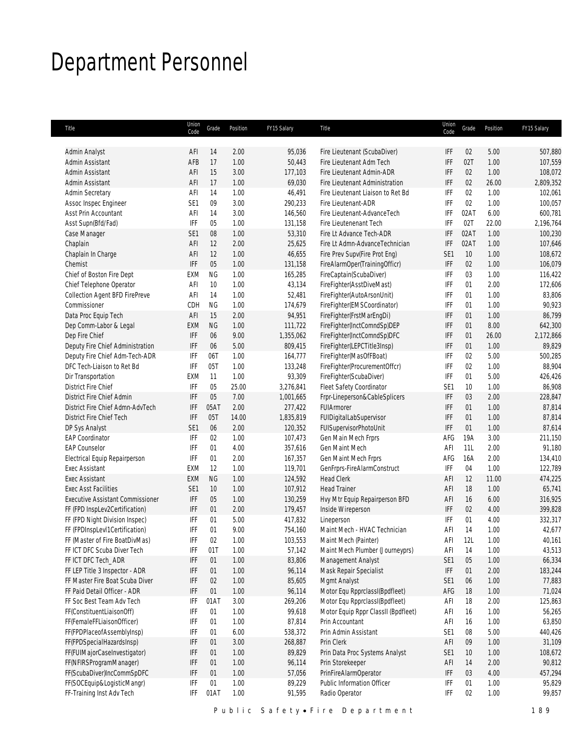## Department Personnel

| Title                                   | Union<br>Code   | Grade     | Position | FY15 Salary | Title                               | Union<br>Code   | Grade | Position | FY15 Salary |
|-----------------------------------------|-----------------|-----------|----------|-------------|-------------------------------------|-----------------|-------|----------|-------------|
|                                         |                 |           |          |             |                                     |                 |       |          |             |
| Admin Analyst                           | AFI             | 14        | 2.00     | 95,036      | Fire Lieutenant (ScubaDiver)        | IFF             | 02    | 5.00     | 507,880     |
| Admin Assistant                         | AFB             | 17        | 1.00     | 50,443      | Fire Lieutenant Adm Tech            | IFF             | 02T   | 1.00     | 107,559     |
| <b>Admin Assistant</b>                  | AFI             | 15        | 3.00     | 177,103     | Fire Lieutenant Admin-ADR           | IFF             | 02    | 1.00     | 108,072     |
| Admin Assistant                         | AFI             | 17        | 1.00     | 69,030      | Fire Lieutenant Administration      | IFF             | 02    | 26.00    | 2,809,352   |
| Admin Secretary                         | AFI             | 14        | 1.00     | 46,491      | Fire Lieutenant Liaison to Ret Bd   | IFF             | 02    | 1.00     | 102,061     |
| Assoc Inspec Engineer                   | SE <sub>1</sub> | 09        | 3.00     | 290,233     | Fire Lieutenant-ADR                 | IFF             | 02    | 1.00     | 100,057     |
| Asst Prin Accountant                    | AFI             | 14        | 3.00     | 146,560     | Fire Lieutenant-AdvanceTech         | IFF             | 02AT  | 6.00     | 600,781     |
| Asst Supn(Bfd/Fad)                      | IFF             | 05        | 1.00     | 131,158     | Fire Lieutenenant Tech              | IFF             | 02T   | 22.00    | 2,196,764   |
| Case Manager                            | SE1             | $08\,$    | 1.00     | 53,310      | Fire Lt Advance Tech-ADR            | IFF             | 02AT  | 1.00     | 100,230     |
| Chaplain                                | AFI             | 12        | 2.00     | 25,625      | Fire Lt Admn-AdvanceTechnician      | IFF             | 02AT  | 1.00     | 107,646     |
| Chaplain In Charge                      | AFI             | 12        | 1.00     | 46,655      | Fire Prev Supv(Fire Prot Eng)       | SE1             | 10    | 1.00     | 108,672     |
| Chemist                                 | IFF             | 05        | 1.00     | 131,158     | FireAlarmOper(TrainingOfficr)       | IFF             | 02    | 1.00     | 106,079     |
| Chief of Boston Fire Dept               | EXM             | ΝG        | 1.00     | 165,285     | FireCaptain(ScubaDiver)             | IFF             | 03    | 1.00     | 116,422     |
| Chief Telephone Operator                | AFI             | 10        | 1.00     | 43,134      | FireFighter(AsstDiveMast)           | IFF             | 01    | 2.00     | 172,606     |
| Collection Agent BFD FirePreve          | AFI             | 14        | 1.00     | 52,481      | FireFighter(AutoArsonUnit)          | IFF             | 01    | 1.00     | 83,806      |
| Commissioner                            | CDH             | <b>NG</b> | 1.00     | 174,679     | FireFighter(EMSCoordinator)         | IFF             | 01    | 1.00     | 90,923      |
| Data Proc Equip Tech                    | AFI             | 15        | 2.00     | 94,951      | FireFighter(FrstMarEngDi)           | IFF             | 01    | 1.00     | 86,799      |
| Dep Comm-Labor & Legal                  | <b>EXM</b>      | <b>NG</b> | 1.00     | 111,722     | FireFighter(InctComndSp)DEP         | IFF             | 01    | 8.00     | 642,300     |
| Dep Fire Chief                          | IFF             | 06        | 9.00     | 1,355,062   | FireFighter(InctComndSp)DFC         | IFF             | 01    | 26.00    | 2,172,866   |
| Deputy Fire Chief Administration        | IFF             | 06        | 5.00     | 809,415     | FireFighter(LEPCTitle3Insp)         | IFF             | 01    | 1.00     | 89,829      |
| Deputy Fire Chief Adm-Tech-ADR          | IFF             | 06T       | 1.00     | 164,777     | FireFighter(MasOfFBoat)             | IFF             | 02    | 5.00     | 500,285     |
| DFC Tech-Liaison to Ret Bd              | IFF             | 05T       | 1.00     | 133,248     | FireFighter(ProcurementOffcr)       | IFF             | 02    | 1.00     | 88,904      |
| Dir Transportation                      | <b>EXM</b>      | 11        | 1.00     | 93,309      | FireFighter(ScubaDiver)             | IFF             | 01    | 5.00     | 426,426     |
| <b>District Fire Chief</b>              | IFF             | 05        | 25.00    | 3,276,841   | Fleet Safety Coordinator            | SE1             | 10    | 1.00     | 86,908      |
| District Fire Chief Admin               | IFF             | 05        | 7.00     | 1,001,665   | Frpr-Lineperson&CableSplicers       | IFF             | 03    | 2.00     | 228,847     |
| District Fire Chief Admn-AdvTech        | IFF             | 05AT      | 2.00     | 277,422     | <b>FUIArmorer</b>                   | IFF             | 01    | 1.00     | 87,814      |
| District Fire Chief Tech                | IFF             | 05T       | 14.00    | 1,835,819   | FUIDigitalLabSupervisor             | IFF             | 01    | 1.00     | 87,814      |
| DP Sys Analyst                          | SE1             | 06        | 2.00     | 120,352     | FUISupervisorPhotoUnit              | IFF             | 01    | 1.00     | 87,614      |
| <b>EAP Coordinator</b>                  | IFF             | 02        | 1.00     | 107,473     | Gen Main Mech Frprs                 | AFG             | 19A   | 3.00     | 211,150     |
| <b>EAP Counselor</b>                    | IFF             | 01        | 4.00     | 357,616     | Gen Maint Mech                      | AFI             | 11L   | 2.00     | 91,180      |
| Electrical Equip Repairperson           | IFF             | 01        | 2.00     | 167,357     | Gen Maint Mech Frprs                | AFG             | 16A   | 2.00     | 134,410     |
| <b>Exec Assistant</b>                   | <b>EXM</b>      | 12        | 1.00     | 119,701     | GenFrprs-FireAlarmConstruct         | IFF             | 04    | 1.00     | 122,789     |
| <b>Exec Assistant</b>                   | <b>EXM</b>      | <b>NG</b> | 1.00     | 124,592     | <b>Head Clerk</b>                   | AFI             | 12    | 11.00    | 474,225     |
| <b>Exec Asst Facilities</b>             | SE1             | 10        | 1.00     | 107,912     | <b>Head Trainer</b>                 | AFI             | 18    | 1.00     | 65,741      |
| <b>Executive Assistant Commissioner</b> | IFF             | 05        | 1.00     | 130,259     | Hvy Mtr Equip Repairperson BFD      | AFI             | 16    | 6.00     | 316,925     |
| FF (FPD InspLev2Certification)          | IFF             | 01        | 2.00     | 179,457     | Inside Wireperson                   | IFF             | 02    | 4.00     | 399,828     |
| FF (FPD Night Division Inspec)          | IFF             | 01        | 5.00     | 417,832     | Lineperson                          | IFF             | 01    | 4.00     | 332,317     |
| FF (FPDInspLevI1Certification)          | IFF             | 01        | 9.00     | 754,160     | Maint Mech - HVAC Technician        | AFI             | 14    | 1.00     | 42,677      |
| FF (Master of Fire BoatDivMas)          | IFF             | 02        | 1.00     | 103,553     | Maint Mech (Painter)                | AFI             | 12L   | 1.00     | 40,161      |
| FF ICT DFC Scuba Diver Tech             | IFF             | 01T       | 1.00     | 57,142      | Maint Mech Plumber (Journeyprs)     | AFI             | 14    | 1.00     | 43,513      |
| FF ICT DFC Tech_ADR                     | IFF             | 01        | 1.00     | 83,806      | Management Analyst                  | SE1             | 05    | 1.00     | 66,334      |
| FF LEP Title 3 Inspector - ADR          | IFF             | 01        | 1.00     | 96,114      | Mask Repair Specialist              | IFF             | 01    | 2.00     | 183,244     |
| FF Master Fire Boat Scuba Diver         | IFF             | 02        | 1.00     | 85,605      | Mgmt Analyst                        | SE1             | 06    | 1.00     | 77,883      |
| FF Paid Detail Officer - ADR            | IFF             | 01        | 1.00     | 96,114      | Motor Equ RpprclassI(Bpdfleet)      | AFG             | 18    | 1.00     | 71,024      |
| FF Soc Best Team Adv Tech               | IFF             | 01AT      | 3.00     | 269,206     | Motor Equ RpprclassI(Bpdfleet)      | AFI             | 18    | 2.00     | 125,863     |
| FF(ConstituentLiaisonOff)               | IFF             | 01        | 1.00     | 99,618      | Motor Equip Rppr ClassII (Bpdfleet) | AFI             | 16    | 1.00     | 56,265      |
| FF(FemaleFFLiaisonOfficer)              | IFF             | 01        | 1.00     | 87,814      | Prin Accountant                     | AFI             | 16    | 1.00     | 63,850      |
| FF(FPDPlaceofAssemblyInsp)              | IFF             | 01        | 6.00     | 538,372     | Prin Admin Assistant                | SE1             | 08    | 5.00     | 440,426     |
| FF(FPDSpecialHazardsInsp)               | IFF             | 01        | 3.00     | 268,887     | Prin Clerk                          | AFI             | 09    | 1.00     | 31,109      |
| FF(FUIMajorCaseInvestigator)            | IFF             | 01        | 1.00     | 89,829      | Prin Data Proc Systems Analyst      | SE <sub>1</sub> | 10    | 1.00     | 108,672     |
| FF(NFIRSProgramManager)                 | IFF             | 01        | 1.00     | 96,114      | Prin Storekeeper                    | AFI             | 14    | 2.00     | 90,812      |
| FF(ScubaDiver)IncCommSpDFC              | IFF             | 01        | 1.00     | 57,056      | PrinFireAlarmOperator               | IFF             | 03    | 4.00     | 457,294     |
| FF(SOCEquip&LogisticMangr)              | IFF             | 01        | 1.00     | 89,229      | Public Information Officer          | IFF             | 01    | 1.00     | 95,829      |
| FF-Training Inst Adv Tech               | IFF             | 01AT      | 1.00     | 91,595      | Radio Operator                      | IFF             | 02    | 1.00     | 99,857      |
|                                         |                 |           |          |             |                                     |                 |       |          |             |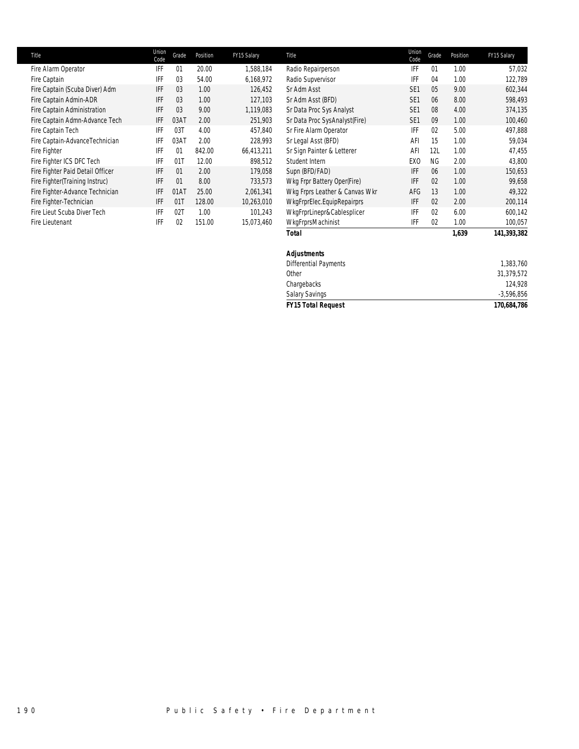| Title                            | Union<br>Code | Grade | Position | FY15 Salary | Title                          | Union<br>Code   | Grade     | Position | FY15 Salary |
|----------------------------------|---------------|-------|----------|-------------|--------------------------------|-----------------|-----------|----------|-------------|
| Fire Alarm Operator              | IFF           | 01    | 20.00    | 1,588,184   | Radio Repairperson             | IFF             | 01        | 1.00     | 57,032      |
| Fire Captain                     | IFF           | 03    | 54.00    | 6,168,972   | Radio Supvervisor              | IFF             | 04        | 1.00     | 122,789     |
| Fire Captain (Scuba Diver) Adm   | IFF           | 03    | 1.00     | 126,452     | Sr Adm Asst                    | SE <sub>1</sub> | 05        | 9.00     | 602,344     |
| Fire Captain Admin-ADR           | IFF           | 03    | 1.00     | 127,103     | Sr Adm Asst (BFD)              | SE <sub>1</sub> | 06        | 8.00     | 598,493     |
| Fire Captain Administration      | IFF           | 03    | 9.00     | 1,119,083   | Sr Data Proc Sys Analyst       | SE <sub>1</sub> | 08        | 4.00     | 374,135     |
| Fire Captain Admn-Advance Tech   | IFF           | 03AT  | 2.00     | 251,903     | Sr Data Proc SysAnalyst(Fire)  | SE <sub>1</sub> | 09        | 1.00     | 100,460     |
| Fire Captain Tech                | IFF           | 03T   | 4.00     | 457,840     | Sr Fire Alarm Operator         | IFF             | 02        | 5.00     | 497,888     |
| Fire Captain-AdvanceTechnician   | <b>IFF</b>    | 03AT  | 2.00     | 228,993     | Sr Legal Asst (BFD)            | AFI             | 15        | 1.00     | 59,034      |
| Fire Fighter                     | <b>IFF</b>    | 01    | 842.00   | 66,413,211  | Sr Sign Painter & Letterer     | AFI             | 12L       | 1.00     | 47,455      |
| Fire Fighter ICS DFC Tech        | IFF           | 01T   | 12.00    | 898,512     | Student Intern                 | EXO             | <b>NG</b> | 2.00     | 43,800      |
| Fire Fighter Paid Detail Officer | IFF           | 01    | 2.00     | 179,058     | Supn (BFD/FAD)                 | <b>IFF</b>      | 06        | 1.00     | 150,653     |
| Fire Fighter (Training Instruc)  | IFF           | 01    | 8.00     | 733,573     | Wkg Frpr Battery Oper(Fire)    | <b>IFF</b>      | 02        | 1.00     | 99,658      |
| Fire Fighter-Advance Technician  | IFF           | 01AT  | 25.00    | 2,061,341   | Wkg Frprs Leather & Canvas Wkr | AFG             | 13        | 1.00     | 49,322      |
| Fire Fighter-Technician          | IFF           | 01T   | 128.00   | 10,263,010  | WkgFrprElec.EquipRepairprs     | IFF             | 02        | 2.00     | 200,114     |
| Fire Lieut Scuba Diver Tech      | IFF           | 02T   | 1.00     | 101,243     | WkgFrprLinepr&Cablesplicer     | IFF             | 02        | 6.00     | 600,142     |
| Fire Lieutenant                  | IFF           | 02    | 151.00   | 15,073,460  | WkgFrprsMachinist              | IFF             | 02        | 1.00     | 100,057     |
|                                  |               |       |          |             | <b>Total</b>                   |                 |           | 1,639    | 141,393,382 |
|                                  |               |       |          |             |                                |                 |           |          |             |

## *Adjustments*

| <b>FY15 Total Request</b> | 170,684,786  |
|---------------------------|--------------|
| <b>Salary Savings</b>     | $-3,596,856$ |
| Chargebacks               | 124.928      |
| Other                     | 31.379.572   |
| Differential Payments     | 1.383.760    |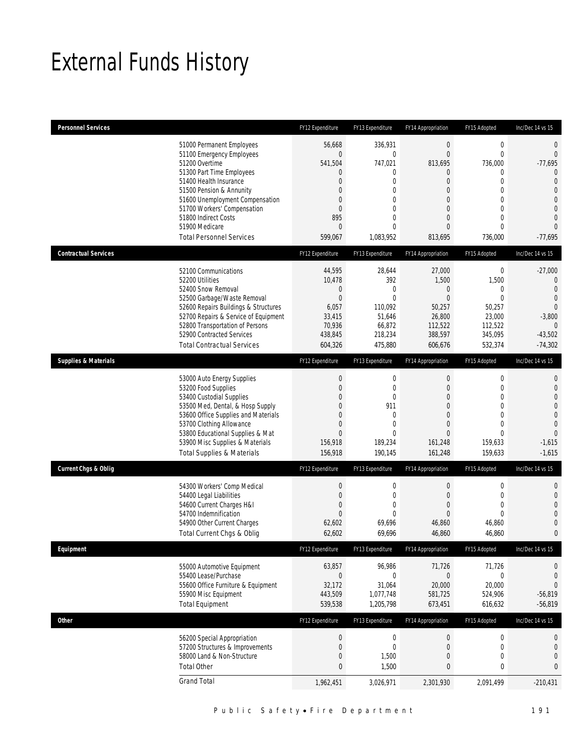## External Funds History

| <b>Personnel Services</b>       |                                                                                                                                                                                                                                                                                                            | FY12 Expenditure                                                                                                | FY13 Expenditure                                                                                                                     | FY14 Appropriation                                                                                                         | FY15 Adopted                                                                                                                             | Inc/Dec 14 vs 15                                                                                                                                                           |
|---------------------------------|------------------------------------------------------------------------------------------------------------------------------------------------------------------------------------------------------------------------------------------------------------------------------------------------------------|-----------------------------------------------------------------------------------------------------------------|--------------------------------------------------------------------------------------------------------------------------------------|----------------------------------------------------------------------------------------------------------------------------|------------------------------------------------------------------------------------------------------------------------------------------|----------------------------------------------------------------------------------------------------------------------------------------------------------------------------|
|                                 | 51000 Permanent Employees<br>51100 Emergency Employees<br>51200 Overtime<br>51300 Part Time Employees<br>51400 Health Insurance<br>51500 Pension & Annunity<br>51600 Unemployment Compensation<br>51700 Workers' Compensation<br>51800 Indirect Costs<br>51900 Medicare<br><b>Total Personnel Services</b> | 56,668<br>$\overline{0}$<br>541,504<br>0<br>0<br>0<br>0<br>$\boldsymbol{0}$<br>895<br>$\overline{0}$<br>599,067 | 336,931<br>$\mathbf 0$<br>747,021<br>0<br>$\mathbf 0$<br>$\mathbf 0$<br>$\mathbf 0$<br>$\mathbf 0$<br>0<br>$\mathbf{0}$<br>1,083,952 | $\boldsymbol{0}$<br>$\overline{0}$<br>813,695<br>0<br>$\overline{0}$<br>0<br>0<br>0<br>0<br>$\overline{0}$<br>813,695      | $\boldsymbol{0}$<br>$\mathbf 0$<br>736,000<br>$\mathbf 0$<br>$\mathbf 0$<br>0<br>$\Omega$<br>$\mathbf{0}$<br>$\mathbf 0$<br>0<br>736,000 | $\mathbf{0}$<br>$\theta$<br>$-77,695$<br>$\overline{0}$<br>$\overline{0}$<br>$\overline{0}$<br>$\overline{0}$<br>$\Omega$<br>$\overline{0}$<br>$\overline{0}$<br>$-77,695$ |
| <b>Contractual Services</b>     |                                                                                                                                                                                                                                                                                                            | FY12 Expenditure                                                                                                | FY13 Expenditure                                                                                                                     | FY14 Appropriation                                                                                                         | FY15 Adopted                                                                                                                             | Inc/Dec 14 vs 15                                                                                                                                                           |
|                                 | 52100 Communications<br>52200 Utilities<br>52400 Snow Removal<br>52500 Garbage/Waste Removal<br>52600 Repairs Buildings & Structures<br>52700 Repairs & Service of Equipment<br>52800 Transportation of Persons<br>52900 Contracted Services<br><b>Total Contractual Services</b>                          | 44,595<br>10,478<br>$\mathbf 0$<br>$\overline{0}$<br>6,057<br>33,415<br>70,936<br>438,845<br>604,326            | 28,644<br>392<br>$\mathbf{0}$<br>$\overline{0}$<br>110,092<br>51,646<br>66.872<br>218,234<br>475,880                                 | 27,000<br>1,500<br>$\mathbf 0$<br>$\overline{0}$<br>50,257<br>26,800<br>112,522<br>388,597<br>606,676                      | $\boldsymbol{0}$<br>1,500<br>$\mathbf 0$<br>$\mathbf{0}$<br>50,257<br>23,000<br>112,522<br>345,095<br>532,374                            | $-27,000$<br>$\mathbf 0$<br>$\overline{0}$<br>$\overline{0}$<br>$\theta$<br>$-3,800$<br>$\theta$<br>$-43,502$<br>$-74,302$                                                 |
| <b>Supplies &amp; Materials</b> |                                                                                                                                                                                                                                                                                                            | FY12 Expenditure                                                                                                | FY13 Expenditure                                                                                                                     | FY14 Appropriation                                                                                                         | FY15 Adopted                                                                                                                             | Inc/Dec 14 vs 15                                                                                                                                                           |
|                                 | 53000 Auto Energy Supplies<br>53200 Food Supplies<br>53400 Custodial Supplies<br>53500 Med, Dental, & Hosp Supply<br>53600 Office Supplies and Materials<br>53700 Clothing Allowance<br>53800 Educational Supplies & Mat<br>53900 Misc Supplies & Materials<br><b>Total Supplies &amp; Materials</b>       | $\theta$<br>$\overline{0}$<br>0<br>0<br>0<br>0<br>$\overline{0}$<br>156,918<br>156,918                          | $\boldsymbol{0}$<br>$\mathbf 0$<br>$\mathbf 0$<br>911<br>$\mathbf 0$<br>$\mathbf 0$<br>$\mathbf{0}$<br>189,234<br>190,145            | 0<br>$\boldsymbol{0}$<br>$\overline{0}$<br>0<br>$\overline{0}$<br>$\boldsymbol{0}$<br>$\overline{0}$<br>161,248<br>161,248 | $\mathbf 0$<br>$\mathbf{0}$<br>$\mathbf 0$<br>$\mathbf 0$<br>$\Omega$<br>$\mathbf{0}$<br>$\mathbf{0}$<br>159,633<br>159,633              | $\mathbf 0$<br>$\mathbf{0}$<br>$\overline{0}$<br>$\overline{0}$<br>$\mathbf{0}$<br>$\overline{0}$<br>$\overline{0}$<br>$-1,615$<br>$-1,615$                                |
| <b>Current Chgs &amp; Oblig</b> |                                                                                                                                                                                                                                                                                                            | FY12 Expenditure                                                                                                | FY13 Expenditure                                                                                                                     | FY14 Appropriation                                                                                                         | FY15 Adopted                                                                                                                             | Inc/Dec 14 vs 15                                                                                                                                                           |
|                                 | 54300 Workers' Comp Medical<br>54400 Legal Liabilities<br>54600 Current Charges H&I<br>54700 Indemnification<br>54900 Other Current Charges<br>Total Current Chgs & Oblig                                                                                                                                  | $\theta$<br>$\boldsymbol{0}$<br>$\overline{0}$<br>$\overline{0}$<br>62,602<br>62,602                            | $\boldsymbol{0}$<br>$\mathbf 0$<br>$\mathbf 0$<br>$\mathbf{0}$<br>69,696<br>69,696                                                   | $\boldsymbol{0}$<br>$\boldsymbol{0}$<br>$\overline{0}$<br>$\mathbf 0$<br>46,860<br>46,860                                  | $\mathbf 0$<br>$\mathbf{0}$<br>$\mathbf 0$<br>$\mathbf{0}$<br>46,860<br>46,860                                                           | $\mathbf{0}$<br>$\mathbf 0$<br>$\mathbf 0$<br>$\mathbf 0$<br>$\mathbf{0}$<br>$\boldsymbol{0}$                                                                              |
| Equipment                       |                                                                                                                                                                                                                                                                                                            | FY12 Expenditure                                                                                                | FY13 Expenditure                                                                                                                     | FY14 Appropriation                                                                                                         | FY15 Adopted                                                                                                                             | Inc/Dec 14 vs 15                                                                                                                                                           |
|                                 | 55000 Automotive Equipment<br>55400 Lease/Purchase<br>55600 Office Furniture & Equipment<br>55900 Misc Equipment<br><b>Total Equipment</b>                                                                                                                                                                 | 63,857<br>$\bf 0$<br>32,172<br>443,509<br>539,538                                                               | 96,986<br>$\boldsymbol{0}$<br>31,064<br>1,077,748<br>1,205,798                                                                       | 71,726<br>$\mathbf 0$<br>20,000<br>581,725<br>673,451                                                                      | 71,726<br>$\boldsymbol{0}$<br>20,000<br>524,906<br>616,632                                                                               | $\boldsymbol{0}$<br>$\mathbf{0}$<br>$\mathbf 0$<br>$-56,819$<br>$-56,819$                                                                                                  |
| Other                           |                                                                                                                                                                                                                                                                                                            | FY12 Expenditure                                                                                                | FY13 Expenditure                                                                                                                     | FY14 Appropriation                                                                                                         | FY15 Adopted                                                                                                                             | Inc/Dec 14 vs 15                                                                                                                                                           |
|                                 | 56200 Special Appropriation<br>57200 Structures & Improvements<br>58000 Land & Non-Structure<br><b>Total Other</b>                                                                                                                                                                                         | $\boldsymbol{0}$<br>$\boldsymbol{0}$<br>0<br>$\pmb{0}$                                                          | $\boldsymbol{0}$<br>$\overline{0}$<br>1,500<br>1,500                                                                                 | $\mathbf 0$<br>$\mathbf 0$<br>0<br>0                                                                                       | $\boldsymbol{0}$<br>$\boldsymbol{0}$<br>$\mathbf 0$<br>0                                                                                 | $\boldsymbol{0}$<br>$\mathbf 0$<br>$\mathbf 0$<br>$\bf{0}$                                                                                                                 |
|                                 | <b>Grand Total</b>                                                                                                                                                                                                                                                                                         | 1,962,451                                                                                                       | 3,026,971                                                                                                                            | 2,301,930                                                                                                                  | 2,091,499                                                                                                                                | $-210,431$                                                                                                                                                                 |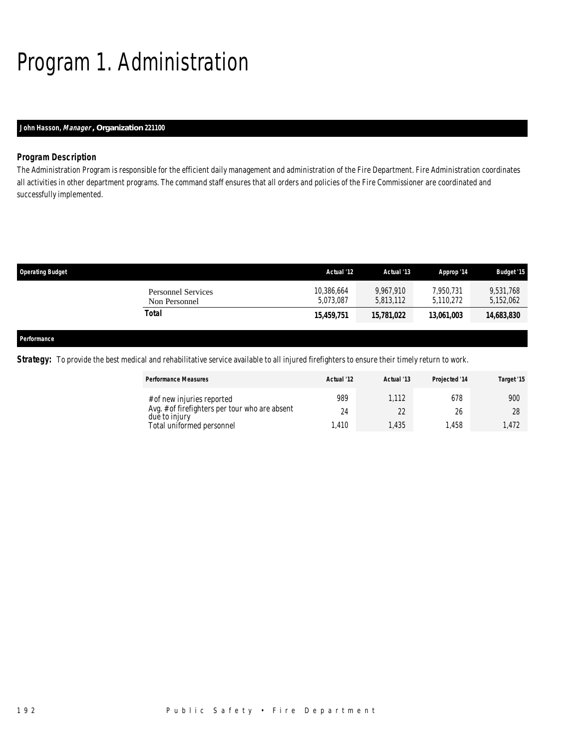## Program 1. Administration

## *John Hasson, Manager , Organization 221100*

## *Program Description*

The Administration Program is responsible for the efficient daily management and administration of the Fire Department. Fire Administration coordinates all activities in other department programs. The command staff ensures that all orders and policies of the Fire Commissioner are coordinated and successfully implemented.

| <b>Operating Budget</b> |                                            | Actual '12              | Actual '13             | Approp '14             | <b>Budget '15</b>      |
|-------------------------|--------------------------------------------|-------------------------|------------------------|------------------------|------------------------|
|                         | <b>Personnel Services</b><br>Non Personnel | 10,386,664<br>5.073.087 | 9.967.910<br>5,813,112 | 7.950.731<br>5,110,272 | 9,531,768<br>5,152,062 |
|                         | Total                                      | 15,459,751              | 15,781,022             | 13,061,003             | 14,683,830             |
|                         |                                            |                         |                        |                        |                        |
| Performance             |                                            |                         |                        |                        |                        |

**Strategy:** To provide the best medical and rehabilitative service available to all injured firefighters to ensure their timely return to work.

| <b>Performance Measures</b>                                                  | Actual '12 | Actual '13  | Projected '14 | Target '15 |
|------------------------------------------------------------------------------|------------|-------------|---------------|------------|
| # of new injuries reported<br>Avg. # of firefighters per tour who are absent | 989<br>24  | 1.112<br>22 | 678<br>26     | 900<br>28  |
| due to injury<br>Total uniformed personnel                                   | .410       | .435        | 1.458         | 1.472      |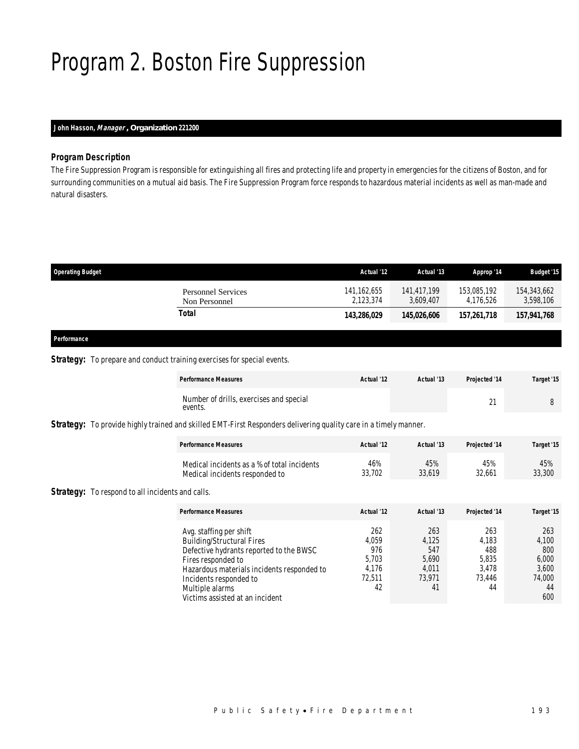## Program 2. Boston Fire Suppression

## *John Hasson, Manager , Organization 221200*

### *Program Description*

The Fire Suppression Program is responsible for extinguishing all fires and protecting life and property in emergencies for the citizens of Boston, and for surrounding communities on a mutual aid basis. The Fire Suppression Program force responds to hazardous material incidents as well as man-made and natural disasters.

| <b>Operating Budget</b>             | Actual '12                 | Actual '13               | Approp '14               | <b>Budget '15</b>        |
|-------------------------------------|----------------------------|--------------------------|--------------------------|--------------------------|
| Personnel Services<br>Non Personnel | 141, 162, 655<br>2.123.374 | 141,417,199<br>3.609.407 | 153,085,192<br>4.176.526 | 154,343,662<br>3,598,106 |
| Total                               | 143,286,029                | 145,026,606              | 157,261,718              | 157,941,768              |

## *Performance*

### **Strategy:** To prepare and conduct training exercises for special events.

| <b>Performance Measures</b>                        | Actual '12 | Actual '13 | <b>Projected '14</b> | Target '15 |
|----------------------------------------------------|------------|------------|----------------------|------------|
| Number of drills, exercises and special<br>events. |            |            | $\sim$<br><u>_</u>   |            |

*Strategy:* To provide highly trained and skilled EMT-First Responders delivering quality care in a timely manner.

| <b>Performance Measures</b>                 | Actual '12 | Actual '13 | <b>Projected '14</b> | Target '15 |
|---------------------------------------------|------------|------------|----------------------|------------|
| Medical incidents as a % of total incidents | 46%        | 45%        | 45%                  | 45%        |
| Medical incidents responded to              | 33.702     | 33.619     | 32.661               | 33,300     |

**Strategy:** To respond to all incidents and calls.

| <b>Performance Measures</b>                | Actual '12 | Actual '13 | Projected '14 | Target '15 |
|--------------------------------------------|------------|------------|---------------|------------|
| Avg. staffing per shift                    | 262        | 263        | 263           | 263        |
| <b>Building/Structural Fires</b>           | 4,059      | 4.125      | 4.183         | 4,100      |
| Defective hydrants reported to the BWSC    | 976        | 547        | 488           | 800        |
| Fires responded to                         | 5.703      | 5,690      | 5.835         | 6,000      |
| Hazardous materials incidents responded to | 4.176      | 4.011      | 3.478         | 3.600      |
| Incidents responded to                     | 72.511     | 73.971     | 73.446        | 74.000     |
| Multiple alarms                            | 42         | 41         | 44            | 44         |
| Victims assisted at an incident            |            |            |               | 600        |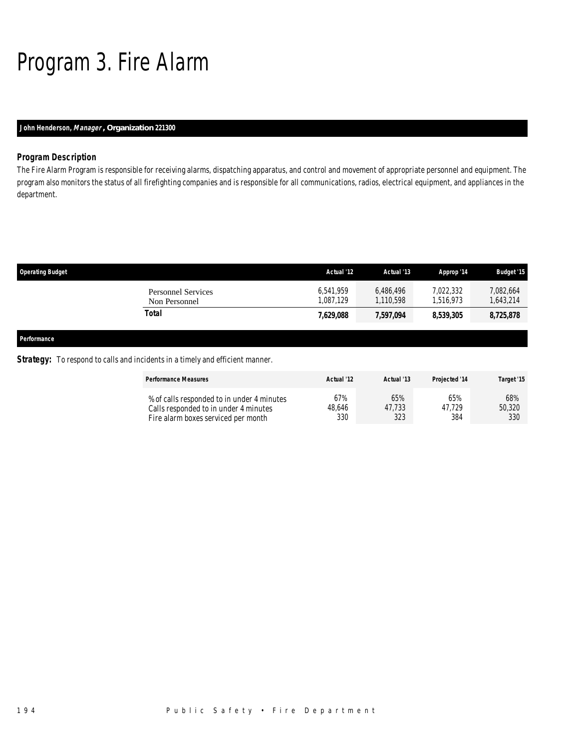## Program 3. Fire Alarm

## *John Henderson, Manager , Organization 221300*

## *Program Description*

The Fire Alarm Program is responsible for receiving alarms, dispatching apparatus, and control and movement of appropriate personnel and equipment. The program also monitors the status of all firefighting companies and is responsible for all communications, radios, electrical equipment, and appliances in the department.

| <b>Operating Budget</b> |                                            | Actual '12            | Actual '13             | Approp '14             | <b>Budget '15</b>    |
|-------------------------|--------------------------------------------|-----------------------|------------------------|------------------------|----------------------|
|                         | <b>Personnel Services</b><br>Non Personnel | 6.541.959<br>,087,129 | 6,486,496<br>1,110,598 | 7,022,332<br>1,516,973 | 7,082,664<br>643,214 |
|                         | Total                                      | 7,629,088             | 7,597,094              | 8,539,305              | 8,725,878            |
| Performance             |                                            |                       |                        |                        |                      |

### **Strategy:** To respond to calls and incidents in a timely and efficient manner.

| <b>Performance Measures</b>                | Actual '12 | Actual '13 | <b>Projected '14</b> | Target '15 |
|--------------------------------------------|------------|------------|----------------------|------------|
| % of calls responded to in under 4 minutes | 67%        | 65%        | 65%                  | 68%        |
| Calls responded to in under 4 minutes      | 48.646     | 47.733     | 47.729               | 50,320     |
| Fire alarm boxes serviced per month        | 330        | 323        | 384                  | 330        |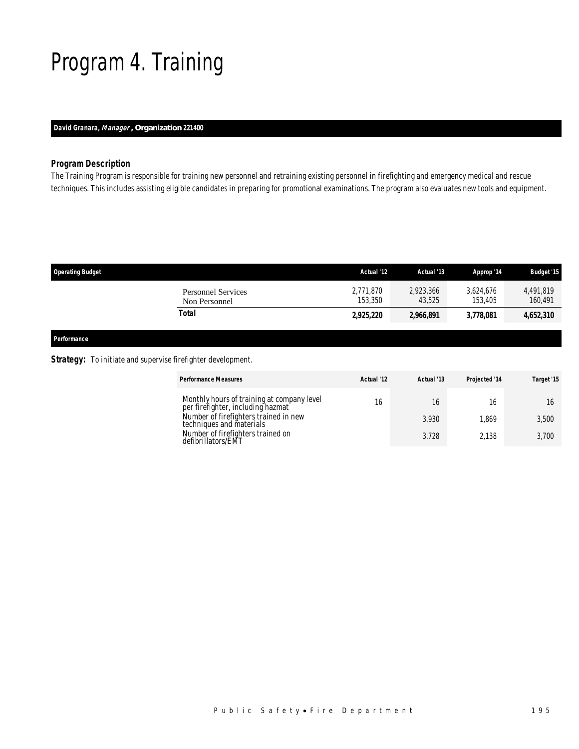## Program 4. Training

## *David Granara, Manager , Organization 221400*

## *Program Description*

The Training Program is responsible for training new personnel and retraining existing personnel in firefighting and emergency medical and rescue techniques. This includes assisting eligible candidates in preparing for promotional examinations. The program also evaluates new tools and equipment.

| <b>Operating Budget</b>                    | Actual '12           | Actual '13          | Approp '14           | <b>Budget '15</b>    |
|--------------------------------------------|----------------------|---------------------|----------------------|----------------------|
| <b>Personnel Services</b><br>Non Personnel | 2,771,870<br>153,350 | 2,923,366<br>43.525 | 3.624.676<br>153,405 | 4,491,819<br>160,491 |
| Total                                      | 2,925,220            | 2,966,891           | 3.778.081            | 4,652,310            |
|                                            |                      |                     |                      |                      |

*Performance* 

### **Strategy:** To initiate and supervise firefighter development.

| <b>Performance Measures</b>                                                     | Actual '12 | Actual '13 | Projected '14 | Target '15 |
|---------------------------------------------------------------------------------|------------|------------|---------------|------------|
| Monthly hours of training at company level<br>per firefighter, including hazmat | 16         | 16         |               |            |
| Number of firefighters trained in new<br>techniques and materials               |            | 3.930      | .869          | 3,500      |
| Number of firefighters trained on<br>defibrillators/EMT                         |            | 3.728      | 2.138         | 3.700      |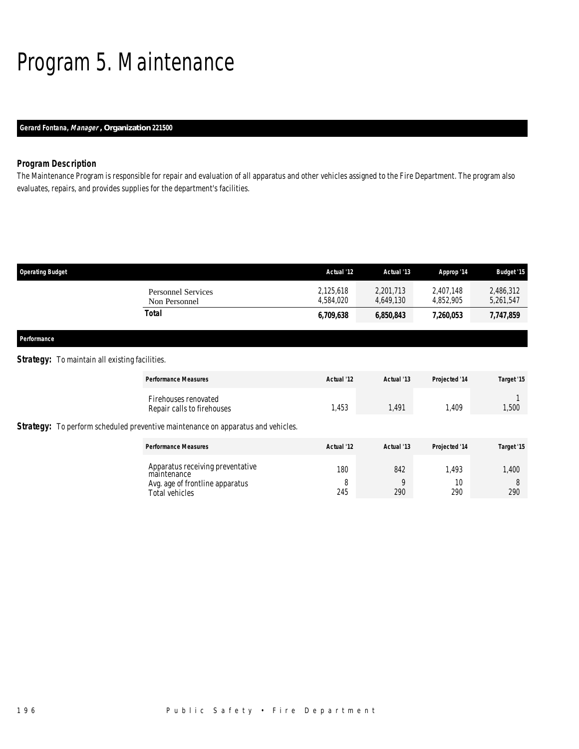## Program 5. Maintenance

## *Gerard Fontana, Manager , Organization 221500*

## *Program Description*

The Maintenance Program is responsible for repair and evaluation of all apparatus and other vehicles assigned to the Fire Department. The program also evaluates, repairs, and provides supplies for the department's facilities.

| <b>Operating Budget</b>             | Actual '12             | Actual '13             | Approp '14             | <b>Budget '15</b>      |
|-------------------------------------|------------------------|------------------------|------------------------|------------------------|
| Personnel Services<br>Non Personnel | 2,125,618<br>4.584.020 | 2,201,713<br>4.649.130 | 2,407,148<br>4.852.905 | 2,486,312<br>5,261,547 |
| Total                               | 6,709,638              | 6,850,843              | 7,260,053              | 7,747,859              |
|                                     |                        |                        |                        |                        |

*Performance* 

### **Strategy:** To maintain all existing facilities.

| <b>Performance Measures</b>                                                                                                                   | Actual '12      | Actual '13      | Projected '14      | Target '15        |
|-----------------------------------------------------------------------------------------------------------------------------------------------|-----------------|-----------------|--------------------|-------------------|
| Firehouses renovated<br>Repair calls to firehouses<br><b>Strategy:</b> To perform scheduled preventive maintenance on apparatus and vehicles. | 1,453           | 1,491           | 1,409              | 1,500             |
| <b>Performance Measures</b>                                                                                                                   | Actual '12      | Actual '13      | Projected '14      | Target '15        |
| Apparatus receiving preventative<br>maintenance<br>Avg. age of frontline apparatus<br>Total vehicles                                          | 180<br>8<br>245 | 842<br>Q<br>290 | 1.493<br>10<br>290 | 1,400<br>8<br>290 |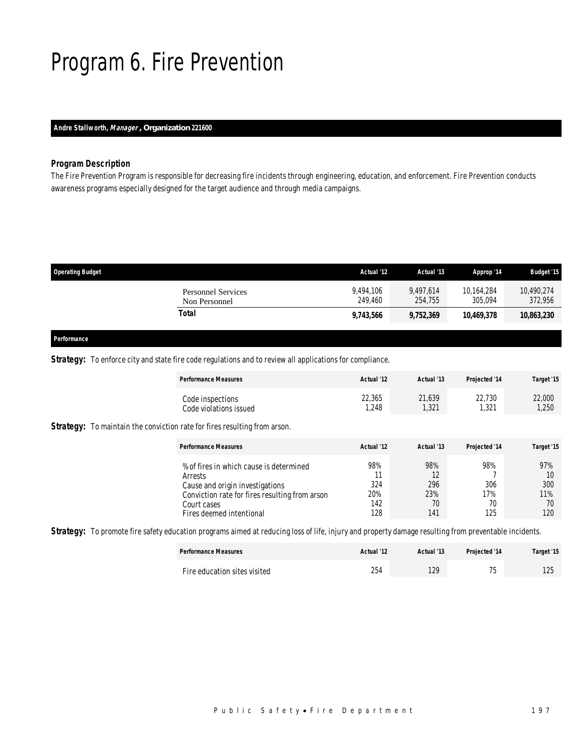## Program 6. Fire Prevention

## *Andre Stallworth, Manager , Organization 221600*

### *Program Description*

The Fire Prevention Program is responsible for decreasing fire incidents through engineering, education, and enforcement. Fire Prevention conducts awareness programs especially designed for the target audience and through media campaigns.

| <b>Operating Budget</b>             | Actual '12           | Actual '13           | Approp '14            | <b>Budget '15</b>     |
|-------------------------------------|----------------------|----------------------|-----------------------|-----------------------|
| Personnel Services<br>Non Personnel | 9.494.106<br>249,460 | 9.497.614<br>254,755 | 10.164.284<br>305.094 | 10.490.274<br>372,956 |
| Total                               | 9,743,566            | 9,752,369            | 10.469.378            | 10,863,230            |
|                                     |                      |                      |                       |                       |

#### *Performance*

### **Strategy:** To enforce city and state fire code regulations and to review all applications for compliance.

| <b>Performance Measures</b> | Actual '12 | Actual '13 | <b>Projected '14</b> | Target '15 |
|-----------------------------|------------|------------|----------------------|------------|
| Code inspections            | 22,365     | 21,639     | 22,730               | 22,000     |
| Code violations issued      | 1.248      | ,321       | .321                 | 1,250      |

**Strategy:** To maintain the conviction rate for fires resulting from arson.

| <b>Performance Measures</b>                                                                                                                                                        | Actual '12                      | Actual '13                           | <b>Projected '14</b>           | Target '15                           |
|------------------------------------------------------------------------------------------------------------------------------------------------------------------------------------|---------------------------------|--------------------------------------|--------------------------------|--------------------------------------|
| % of fires in which cause is determined<br>Arrests<br>Cause and origin investigations<br>Conviction rate for fires resulting from arson<br>Court cases<br>Fires deemed intentional | 98%<br>324<br>20%<br>142<br>128 | 98%<br>12<br>296<br>23%<br>70<br>141 | 98%<br>306<br>17%<br>70<br>125 | 97%<br>10<br>300<br>11%<br>70<br>120 |

**Strategy:** To promote fire safety education programs aimed at reducing loss of life, injury and property damage resulting from preventable incidents.

| <b>Performance Measures</b>  | Actual '12 | Actual '13  | <b>Projected '14</b> | Target '15   |
|------------------------------|------------|-------------|----------------------|--------------|
| Fire education sites visited | 254        | 1 ንር<br>IZ. | 7 <sub>0</sub>       | 125<br>ں ے ا |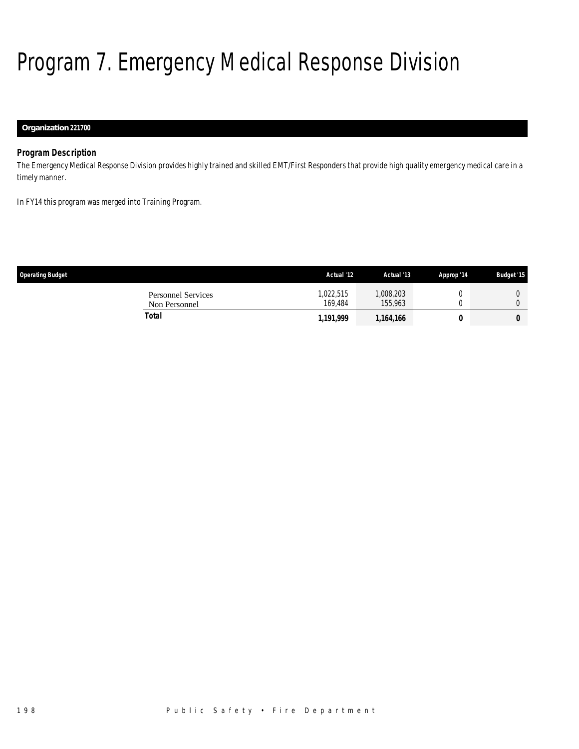# Program 7. Emergency Medical Response Division

## *Organization 221700*

## *Program Description*

The Emergency Medical Response Division provides highly trained and skilled EMT/First Responders that provide high quality emergency medical care in a timely manner.

In FY14 this program was merged into Training Program.

| <b>Operating Budget</b>                    | Actual '12          | Actual '13           | Approp '14 | <b>Budget '15</b> |
|--------------------------------------------|---------------------|----------------------|------------|-------------------|
| <b>Personnel Services</b><br>Non Personnel | ,022,515<br>169.484 | 1,008,203<br>155.963 |            |                   |
| Total                                      | 1,191,999           | 1,164,166            |            | 0                 |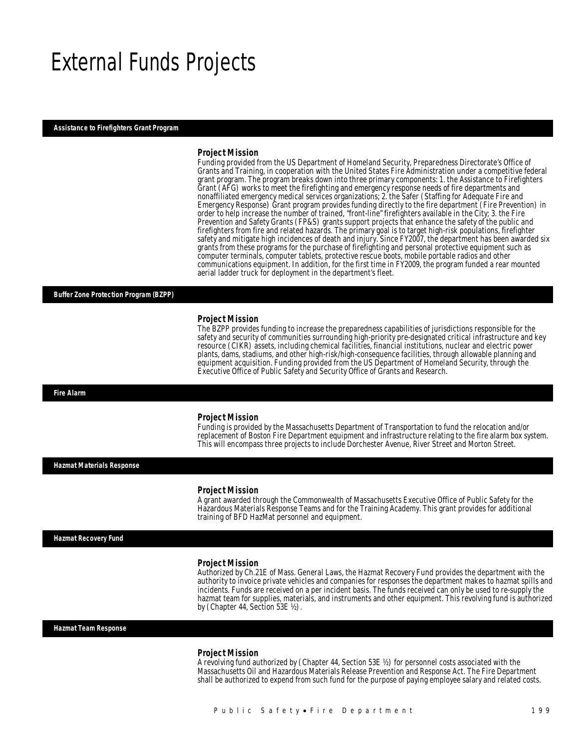## External Funds Projects

#### *Assistance to Firefighters Grant Program*

#### *Project Mission*

Funding provided from the US Department of Homeland Security, Preparedness Directorate's Office of Grants and Training, in cooperation with the United States Fire Administration under a competitive federal grant program. The program breaks down into three primary components: 1. the Assistance to Firefighters Grant (AFG) works to meet the firefighting and emergency response needs of fire departments and nonaffiliated emergency medical services organizations; 2. the Safer (Staffing for Adequate Fire and Emergency Response) Grant program provides funding directly to the fire department (Fire Prevention) in order to help increase the number of trained, "front-line" firefighters available in the City; 3. the Fire Prevention and Safety Grants (FP&S) grants support projects that enhance the safety of the public and firefighters from fire and related hazards. The primary goal is to target high-risk populations, firefighter safety and mitigate high incidences of death and injury. Since FY2007, the department has been awarded six grants from these programs for the purchase of firefighting and personal protective equipment such as computer terminals, computer tablets, protective rescue boots, mobile portable radios and other communications equipment. In addition, for the first time in FY2009, the program funded a rear mounted aerial ladder truck for deployment in the department's fleet.

#### *Buffer Zone Protection Program (BZPP)*

#### *Project Mission*

The BZPP provides funding to increase the preparedness capabilities of jurisdictions responsible for the safety and security of communities surrounding high-priority pre-designated critical infrastructure and key resource (CIKR) assets, including chemical facilities, financial institutions, nuclear and electric power plants, dams, stadiums, and other high-risk/high-consequence facilities, through allowable planning and equipment acquisition. Funding provided from the US Department of Homeland Security, through the Executive Office of Public Safety and Security Office of Grants and Research.

#### *Fire Alarm*

### *Project Mission*

Funding is provided by the Massachusetts Department of Transportation to fund the relocation and/or replacement of Boston Fire Department equipment and infrastructure relating to the fire alarm box system. This will encompass three projects to include Dorchester Avenue, River Street and Morton Street.

*Hazmat Materials Response* 

#### *Project Mission*

A grant awarded through the Commonwealth of Massachusetts Executive Office of Public Safety for the Hazardous Materials Response Teams and for the Training Academy. This grant provides for additional training of BFD HazMat personnel and equipment.

#### *Hazmat Recovery Fund*

#### *Project Mission*

Authorized by Ch.21E of Mass. General Laws, the Hazmat Recovery Fund provides the department with the authority to invoice private vehicles and companies for responses the department makes to hazmat spills and incidents. Funds are received on a per incident basis. The funds received can only be used to re-supply the hazmat team for supplies, materials, and instruments and other equipment. This revolving fund is authorized by (Chapter 44, Section 53E ½).

*Hazmat Team Response* 

#### *Project Mission*

A revolving fund authorized by (Chapter 44, Section 53E ½) for personnel costs associated with the Massachusetts Oil and Hazardous Materials Release Prevention and Response Act. The Fire Department shall be authorized to expend from such fund for the purpose of paying employee salary and related costs.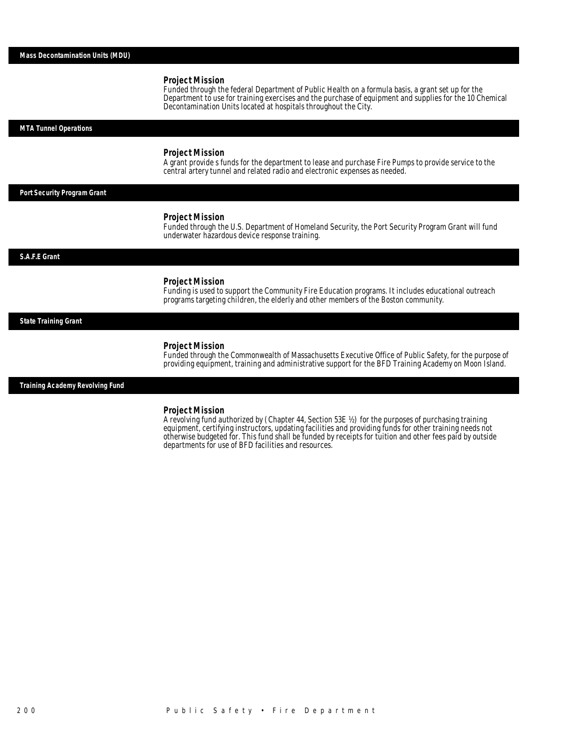#### *Project Mission*

Funded through the federal Department of Public Health on a formula basis, a grant set up for the Department to use for training exercises and the purchase of equipment and supplies for the 10 Chemical Decontamination Units located at hospitals throughout the City.

#### *MTA Tunnel Operations*

#### *Project Mission*

A grant provide s funds for the department to lease and purchase Fire Pumps to provide service to the central artery tunnel and related radio and electronic expenses as needed.

#### *Port Security Program Grant*

#### *Project Mission*

Funded through the U.S. Department of Homeland Security, the Port Security Program Grant will fund underwater hazardous device response training.

#### *S.A.F.E Grant*

#### *Project Mission*

Funding is used to support the Community Fire Education programs. It includes educational outreach programs targeting children, the elderly and other members of the Boston community.

#### *State Training Grant*

#### *Project Mission*

Funded through the Commonwealth of Massachusetts Executive Office of Public Safety, for the purpose of providing equipment, training and administrative support for the BFD Training Academy on Moon Island.

*Training Academy Revolving Fund* 

#### *Project Mission*

A revolving fund authorized by (Chapter 44, Section 53E ½) for the purposes of purchasing training equipment, certifying instructors, updating facilities and providing funds for other training needs not otherwise budgeted for. This fund shall be funded by receipts for tuition and other fees paid by outside departments for use of BFD facilities and resources.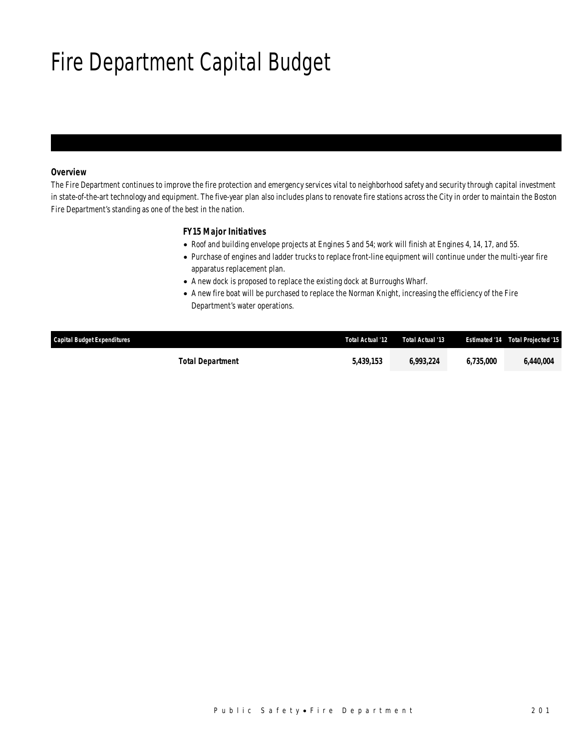## Fire Department Capital Budget

## *Overview*

The Fire Department continues to improve the fire protection and emergency services vital to neighborhood safety and security through capital investment in state-of-the-art technology and equipment. The five-year plan also includes plans to renovate fire stations across the City in order to maintain the Boston Fire Department's standing as one of the best in the nation.

### *FY15 Major Initiatives*

- Roof and building envelope projects at Engines 5 and 54; work will finish at Engines 4, 14, 17, and 55.
- Purchase of engines and ladder trucks to replace front-line equipment will continue under the multi-year fire apparatus replacement plan.
- A new dock is proposed to replace the existing dock at Burroughs Wharf.
- A new fire boat will be purchased to replace the Norman Knight, increasing the efficiency of the Fire Department's water operations.

| Capital Budget Expenditures | Total Actual '12 | Total Actual '13 |           | <b>Estimated '14 Total Projected '15</b> |
|-----------------------------|------------------|------------------|-----------|------------------------------------------|
| <b>Total Department</b>     | 5.439.153        | 6.993.224        | 6.735.000 | 6.440.004                                |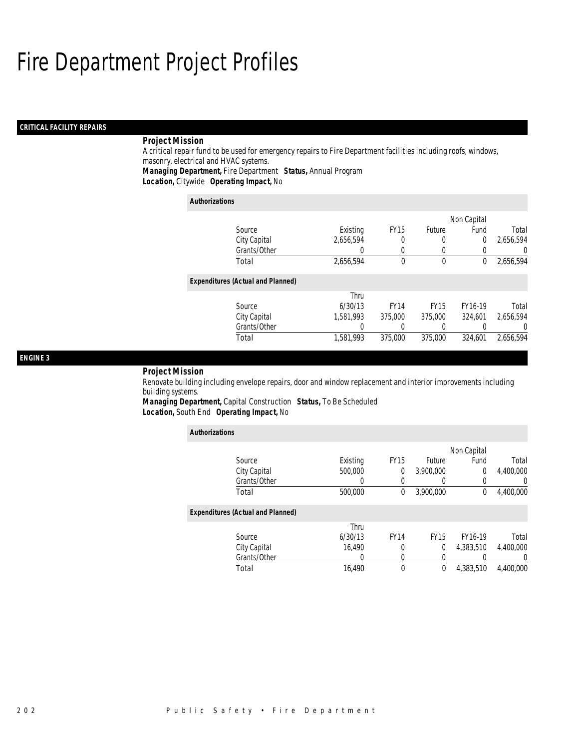## Fire Department Project Profiles

## *CRITICAL FACILITY REPAIRS*

## *Project Mission*

A critical repair fund to be used for emergency repairs to Fire Department facilities including roofs, windows, masonry, electrical and HVAC systems.

*Managing Department,* Fire Department *Status,* Annual Program

*Location,* Citywide *Operating Impact,* No

| <b>Authorizations</b>                    |                  |             |             |                |           |
|------------------------------------------|------------------|-------------|-------------|----------------|-----------|
|                                          |                  |             |             | Non Capital    |           |
| Source                                   | Existing         | <b>FY15</b> | Future      | Fund           | Total     |
| City Capital                             | 2,656,594        |             | 0           | $\overline{0}$ | 2,656,594 |
| Grants/Other                             | $\left( \right)$ | $\Omega$    | 0           | 0              |           |
| Total                                    | 2,656,594        | $\theta$    | 0           | 0              | 2,656,594 |
| <b>Expenditures (Actual and Planned)</b> |                  |             |             |                |           |
|                                          | Thru             |             |             |                |           |
| Source                                   | 6/30/13          | <b>FY14</b> | <b>FY15</b> | FY16-19        | Total     |
| City Capital                             | 1.581.993        | 375,000     | 375,000     | 324.601        | 2.656.594 |
| Grants/Other                             | 0                |             | 0           | 0              |           |
| Total                                    | 1,581,993        | 375,000     | 375,000     | 324.601        | 2.656.594 |

### *ENGINE 3*

### *Project Mission*

Renovate building including envelope repairs, door and window replacement and interior improvements including building systems.

*Managing Department,* Capital Construction *Status,* To Be Scheduled*Location,* South End *Operating Impact,* No

|                                          |          |             |             | Non Capital |                  |
|------------------------------------------|----------|-------------|-------------|-------------|------------------|
| Source                                   | Existing | <b>FY15</b> | Future      | Fund        | Total            |
| City Capital                             | 500,000  | 0           | 3,900,000   | 0           | 4,400,000        |
| Grants/Other                             | 0        | $\left($    |             | $\Omega$    | 0                |
| Total                                    | 500,000  | 0           | 3,900,000   | $\Omega$    | 4,400,000        |
|                                          |          |             |             |             |                  |
| <b>Expenditures (Actual and Planned)</b> |          |             |             |             |                  |
|                                          | Thru     |             |             |             |                  |
| Source                                   | 6/30/13  | <b>FY14</b> | <b>FY15</b> | FY16-19     | Total            |
| City Capital                             | 16,490   | 0           | 0           | 4,383,510   | 4,400,000        |
| Grants/Other                             | 0        | $\left($    |             |             | $\left( \right)$ |
| Total                                    | 16,490   | $\theta$    | 0           | 4,383,510   | 4,400,000        |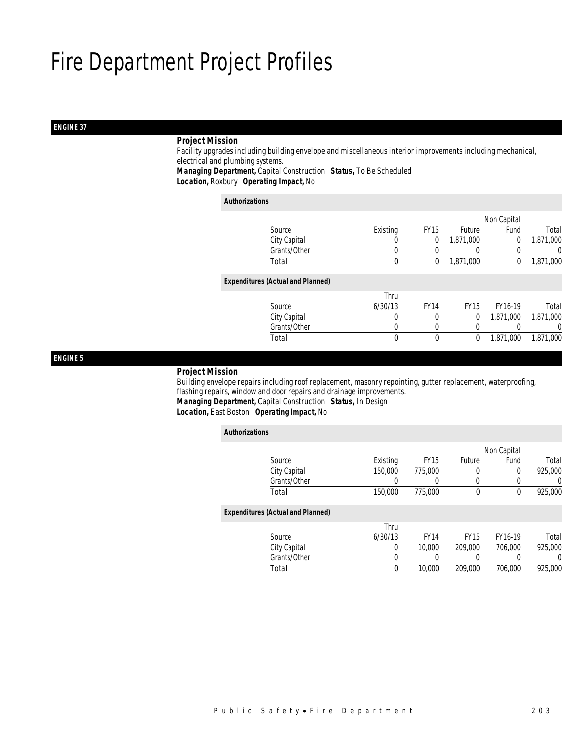## Fire Department Project Profiles

## *ENGINE 37*

### *Project Mission*

 Facility upgrades including building envelope and miscellaneous interior improvements including mechanical, electrical and plumbing systems. *Managing Department,* Capital Construction *Status,* To Be Scheduled

*Location,* Roxbury *Operating Impact,* No

#### *Authorizations*

|                                          |          |             |              | Non Capital |           |
|------------------------------------------|----------|-------------|--------------|-------------|-----------|
| Source                                   | Existing | <b>FY15</b> | Future       | Fund        | Total     |
| City Capital                             | U        | 0           | 1,871,000    | 0           | 1,871,000 |
| Grants/Other                             |          |             |              |             | 0         |
| Total                                    | 0        | 0           | 1,871,000    | 0           | 1,871,000 |
| <b>Expenditures (Actual and Planned)</b> |          |             |              |             |           |
|                                          | Thru     |             |              |             |           |
| Source                                   | 6/30/13  | <b>FY14</b> | <b>FY15</b>  | FY16-19     | Total     |
| City Capital                             | 0        | 0           | 0            | 1,871,000   | 1,871,000 |
| Grants/Other                             | 0        |             | 0            |             | 0         |
| Total                                    | 0        | $\theta$    | $\mathbf{0}$ | 1.871.000   | 1,871,000 |
|                                          |          |             |              |             |           |

### *ENGINE 5*

### *Project Mission*

 Building envelope repairs including roof replacement, masonry repointing, gutter replacement, waterproofing, flashing repairs, window and door repairs and drainage improvements. *Managing Department,* Capital Construction *Status,* In Design

*Location,* East Boston *Operating Impact,* No

| <b>Authorizations</b>                    |          |             |             |             |          |
|------------------------------------------|----------|-------------|-------------|-------------|----------|
|                                          |          |             |             | Non Capital |          |
| Source                                   | Existing | <b>FY15</b> | Future      | Fund        | Total    |
| City Capital                             | 150,000  | 775,000     | 0           | $\Omega$    | 925,000  |
| Grants/Other                             | $\left($ | 0           | 0           | 0           | $\left($ |
| Total                                    | 150,000  | 775,000     | $\theta$    | $\theta$    | 925,000  |
| <b>Expenditures (Actual and Planned)</b> |          |             |             |             |          |
|                                          | Thru     |             |             |             |          |
| Source                                   | 6/30/13  | <b>FY14</b> | <b>FY15</b> | FY16-19     | Total    |
| City Capital                             | 0        | 10,000      | 209,000     | 706.000     | 925,000  |
| Grants/Other                             | 0        |             | 0           |             | $\Omega$ |
| Total                                    | 0        | 10,000      | 209,000     | 706.000     | 925,000  |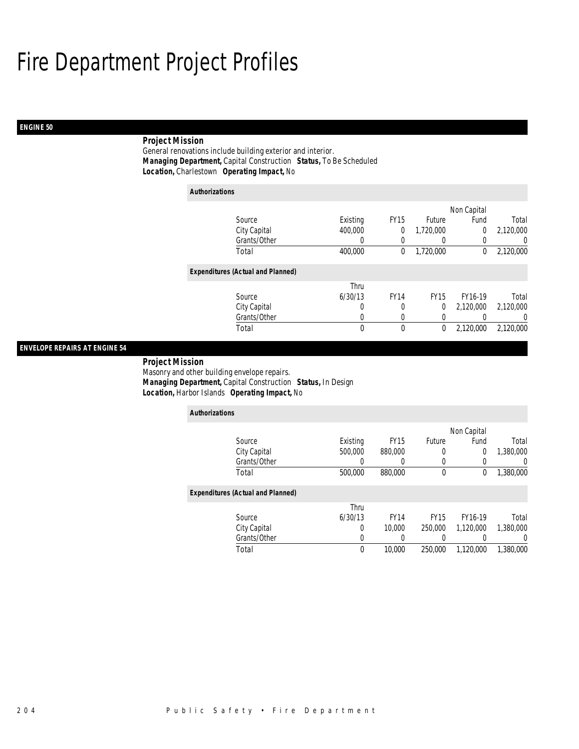## Fire Department Project Profiles

## *ENGINE 50*

## *Project Mission*

General renovations include building exterior and interior. *Managing Department,* Capital Construction *Status,* To Be Scheduled*Location,* Charlestown *Operating Impact,* No

| <b>Authorizations</b> |                                          |          |             |             |             |           |
|-----------------------|------------------------------------------|----------|-------------|-------------|-------------|-----------|
|                       |                                          |          |             |             | Non Capital |           |
|                       | Source                                   | Existing | <b>FY15</b> | Future      | Fund        | Total     |
|                       | City Capital                             | 400,000  | 0           | 1.720.000   | 0           | 2,120,000 |
|                       | Grants/Other                             | 0        | 0           | 0           | 0           | U         |
|                       | Total                                    | 400,000  | 0           | 1,720,000   | 0           | 2,120,000 |
|                       | <b>Expenditures (Actual and Planned)</b> |          |             |             |             |           |
|                       |                                          | Thru     |             |             |             |           |
|                       | Source                                   | 6/30/13  | <b>FY14</b> | <b>FY15</b> | FY16-19     | Total     |
|                       | City Capital                             | 0        | 0           | 0           | 2,120,000   | 2,120,000 |
|                       | Grants/Other                             | 0        | 0           | 0           |             | 0         |
|                       | Total                                    | 0        | 0           | 0           | 2,120,000   | 2,120,000 |

## *ENVELOPE REPAIRS AT ENGINE 54*

 *Project Mission* Masonry and other building envelope repairs. *Managing Department,* Capital Construction *Status,* In Design*Location,* Harbor Islands *Operating Impact,* No

| <b>Authorizations</b>                    |          |             |             |             |           |
|------------------------------------------|----------|-------------|-------------|-------------|-----------|
|                                          |          |             |             | Non Capital |           |
| Source                                   | Existing | <b>FY15</b> | Future      | Fund        | Total     |
| City Capital                             | 500,000  | 880,000     | 0           | $\mathbf 0$ | 1,380,000 |
| Grants/Other                             | 0        | 0           | 0           | 0           |           |
| Total                                    | 500,000  | 880,000     | 0           | 0           | 1,380,000 |
| <b>Expenditures (Actual and Planned)</b> |          |             |             |             |           |
|                                          | Thru     |             |             |             |           |
| Source                                   | 6/30/13  | <b>FY14</b> | <b>FY15</b> | FY16-19     | Total     |
| City Capital                             | 0        | 10,000      | 250,000     | 1.120.000   | 1,380,000 |
| Grants/Other                             | 0        |             |             | 0           |           |
| Total                                    | 0        | 10,000      | 250,000     | 1.120.000   | 1,380,000 |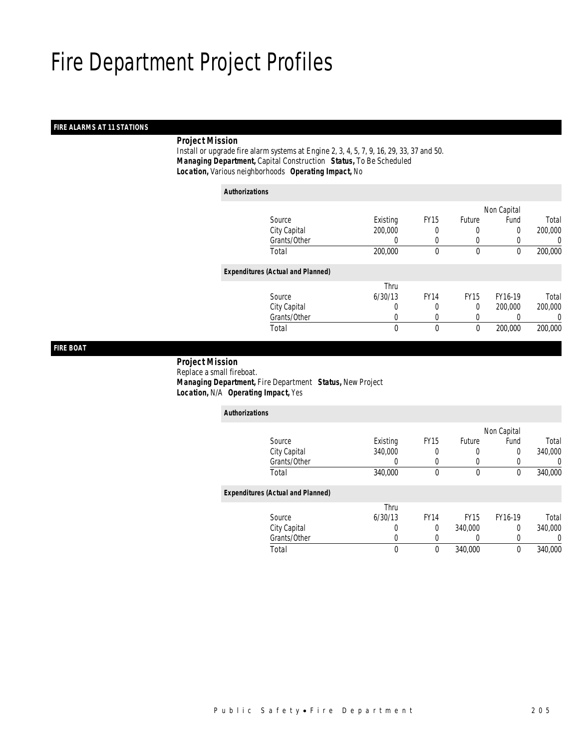## *FIRE ALARMS AT 11 STATIONS*

## *Project Mission*

 Install or upgrade fire alarm systems at Engine 2, 3, 4, 5, 7, 9, 16, 29, 33, 37 and 50. *Managing Department,* Capital Construction *Status,* To Be Scheduled*Location,* Various neighborhoods *Operating Impact,* No

| <b>Authorizations</b>                    |          |             |             |             |         |
|------------------------------------------|----------|-------------|-------------|-------------|---------|
|                                          |          |             |             | Non Capital |         |
| Source                                   | Existing | <b>FY15</b> | Future      | Fund        | Total   |
| City Capital                             | 200,000  | 0           | 0           | $\Omega$    | 200,000 |
| Grants/Other                             | 0        | $\left($    | 0           | 0           | 0       |
| Total                                    | 200,000  | 0           | 0           | 0           | 200,000 |
| <b>Expenditures (Actual and Planned)</b> |          |             |             |             |         |
|                                          | Thru     |             |             |             |         |
| Source                                   | 6/30/13  | <b>FY14</b> | <b>FY15</b> | FY16-19     | Total   |
| City Capital                             | 0        | 0           | 0           | 200,000     | 200,000 |
| Grants/Other                             | 0        |             | 0           |             | 0       |
| Total                                    | 0        | 0           | 0           | 200,000     | 200,000 |

## *FIRE BOAT*

 *Project Mission* Replace a small fireboat. *Managing Department,* Fire Department *Status,* New Project*Location,* N/A *Operating Impact,* Yes

| <b>Authorizations</b>                    |          |             |             |             |         |
|------------------------------------------|----------|-------------|-------------|-------------|---------|
|                                          |          |             |             | Non Capital |         |
| Source                                   | Existing | <b>FY15</b> | Future      | Fund        | Total   |
| City Capital                             | 340,000  | 0           | 0           | 0           | 340,000 |
| Grants/Other                             | 0        | 0           |             |             | 0       |
| Total                                    | 340,000  | $\mathbf 0$ | $\mathbf 0$ | 0           | 340,000 |
| <b>Expenditures (Actual and Planned)</b> |          |             |             |             |         |
|                                          | Thru     |             |             |             |         |
| Source                                   | 6/30/13  | <b>FY14</b> | <b>FY15</b> | FY16-19     | Total   |
| City Capital                             | 0        | $\Omega$    | 340,000     | 0           | 340,000 |
| Grants/Other                             | 0        | 0           |             | 0           | 0       |
| Total                                    | 0        | $\theta$    | 340.000     | 0           | 340,000 |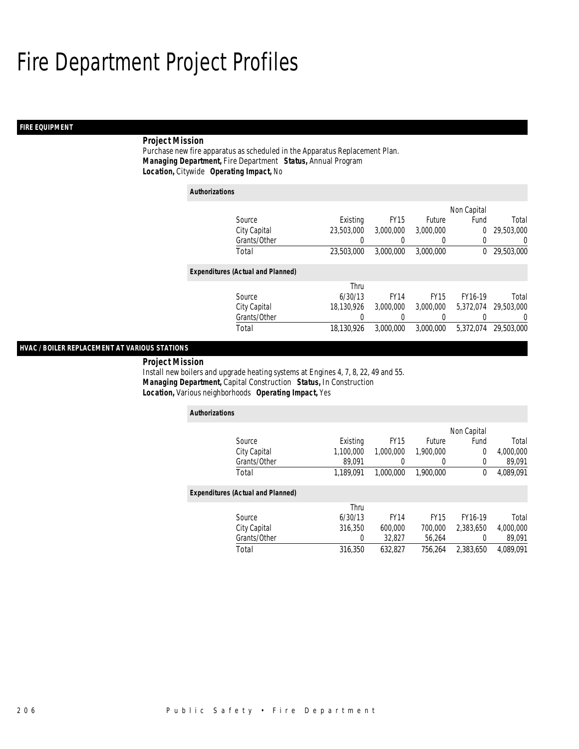## *FIRE EQUIPMENT*

## *Project Mission*

Purchase new fire apparatus as scheduled in the Apparatus Replacement Plan. *Managing Department,* Fire Department *Status,* Annual Program*Location,* Citywide *Operating Impact,* No

### *Authorizations*

|                                          |            |             |             | Non Capital |            |
|------------------------------------------|------------|-------------|-------------|-------------|------------|
| Source                                   | Existing   | <b>FY15</b> | Future      | Fund        | Total      |
| City Capital                             | 23,503,000 | 3,000,000   | 3,000,000   | 0           | 29,503,000 |
| Grants/Other                             |            |             | 0           | 0           | $\Omega$   |
| Total                                    | 23.503.000 | 3,000,000   | 3.000.000   | 0           | 29,503,000 |
|                                          |            |             |             |             |            |
| <b>Expenditures (Actual and Planned)</b> |            |             |             |             |            |
|                                          | Thru       |             |             |             |            |
| Source                                   | 6/30/13    | <b>FY14</b> | <b>FY15</b> | FY16-19     | Total      |
| City Capital                             | 18.130.926 | 3,000,000   | 3.000.000   | 5.372.074   | 29,503,000 |
| Grants/Other                             | 0          | 0           | 0           | 0           | $\Omega$   |
| Total                                    | 18.130.926 | 3,000,000   | 3.000.000   | 5.372.074   | 29,503,000 |
|                                          |            |             |             |             |            |

## *HVAC / BOILER REPLACEMENT AT VARIOUS STATIONS*

 *Project Mission* Install new boilers and upgrade heating systems at Engines 4, 7, 8, 22, 49 and 55. *Managing Department,* Capital Construction *Status,* In Construction*Location,* Various neighborhoods *Operating Impact,* Yes

| <b>Authorizations</b>                    |           |             |               |             |           |
|------------------------------------------|-----------|-------------|---------------|-------------|-----------|
|                                          |           |             |               | Non Capital |           |
| Source                                   | Existing  | <b>FY15</b> | <b>Future</b> | Fund        | Total     |
| City Capital                             | 1,100,000 | 1,000,000   | 1,900,000     | 0           | 4,000,000 |
| Grants/Other                             | 89.091    |             | 0             | 0           | 89,091    |
| Total                                    | 1.189.091 | 1.000.000   | 1.900.000     | $^{0}$      | 4,089,091 |
| <b>Expenditures (Actual and Planned)</b> |           |             |               |             |           |
|                                          | Thru      |             |               |             |           |
| Source                                   | 6/30/13   | <b>FY14</b> | <b>FY15</b>   | FY16-19     | Total     |
| City Capital                             | 316,350   | 600.000     | 700,000       | 2.383.650   | 4,000,000 |
| Grants/Other                             | 0         | 32.827      | 56,264        | $\left($    | 89,091    |
| Total                                    | 316.350   | 632.827     | 756.264       | 2.383.650   | 4.089.091 |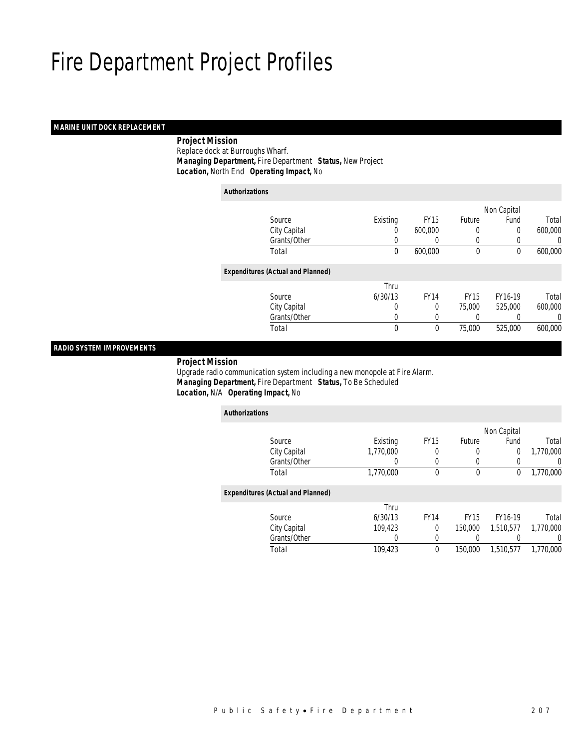## *MARINE UNIT DOCK REPLACEMENT*

 *Project Mission* Replace dock at Burroughs Wharf. *Managing Department,* Fire Department *Status,* New Project*Location,* North End *Operating Impact,* No

| <b>Authorizations</b>                    |          |             |               |             |         |
|------------------------------------------|----------|-------------|---------------|-------------|---------|
|                                          |          |             |               | Non Capital |         |
| Source                                   | Existing | <b>FY15</b> | <b>Future</b> | Fund        | Total   |
| City Capital                             | 0        | 600,000     | 0             | 0           | 600,000 |
| Grants/Other                             | 0        |             | 0             | 0           | 0       |
| Total                                    | 0        | 600,000     | $\mathbf 0$   | 0           | 600,000 |
| <b>Expenditures (Actual and Planned)</b> |          |             |               |             |         |
|                                          | Thru     |             |               |             |         |
| Source                                   | 6/30/13  | <b>FY14</b> | <b>FY15</b>   | FY16-19     | Total   |
| City Capital                             | 0        | 0           | 75,000        | 525,000     | 600,000 |
| Grants/Other                             | 0        | 0           |               |             | 0       |
| Total                                    | 0        | 0           | 75,000        | 525,000     | 600,000 |
|                                          |          |             |               |             |         |

## *RADIO SYSTEM IMPROVEMENTS*

## *Project Mission*

 Upgrade radio communication system including a new monopole at Fire Alarm. *Managing Department,* Fire Department *Status,* To Be Scheduled*Location,* N/A *Operating Impact,* No

| <b>Authorizations</b>                    |           |             |             |             |           |
|------------------------------------------|-----------|-------------|-------------|-------------|-----------|
|                                          |           |             |             | Non Capital |           |
| Source                                   | Existing  | <b>FY15</b> | Future      | Fund        | Total     |
| City Capital                             | 1.770.000 | 0           | 0           | 0           | 1,770,000 |
| Grants/Other                             | 0         | 0           | 0           | 0           | $\left($  |
| Total                                    | 1,770,000 | $\theta$    | $\mathbf 0$ | 0           | 1,770,000 |
| <b>Expenditures (Actual and Planned)</b> |           |             |             |             |           |
|                                          | Thru      |             |             |             |           |
| Source                                   | 6/30/13   | <b>FY14</b> | <b>FY15</b> | FY16-19     | Total     |
| City Capital                             | 109.423   | $\Omega$    | 150,000     | 1.510.577   | 1.770.000 |
| Grants/Other                             | 0         | 0           |             |             | 0         |
| Total                                    | 109,423   | $\theta$    | 150,000     | 1.510.577   | 1.770.000 |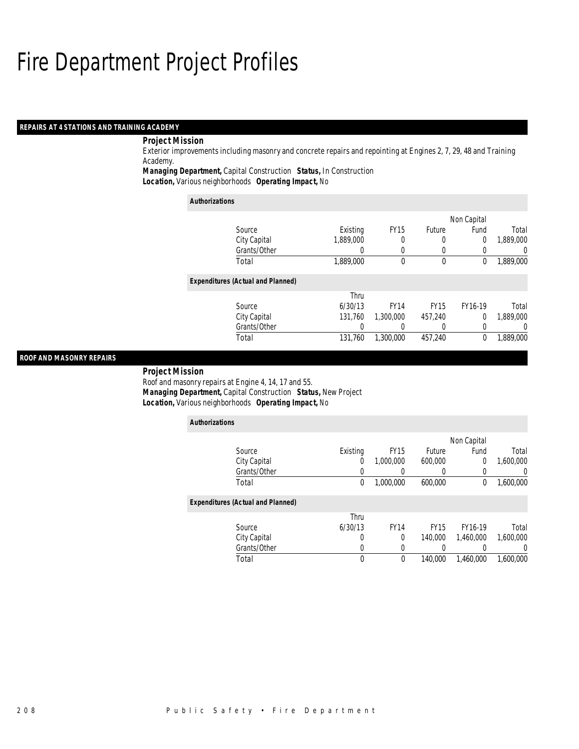## *REPAIRS AT 4 STATIONS AND TRAINING ACADEMY*

## *Project Mission*

Exterior improvements including masonry and concrete repairs and repointing at Engines 2, 7, 29, 48 and Training Academy.

*Managing Department,* Capital Construction *Status,* In Construction

*Location,* Various neighborhoods *Operating Impact,* No

| <b>Authorizations</b>                    |                  |             |             |             |                  |
|------------------------------------------|------------------|-------------|-------------|-------------|------------------|
|                                          |                  |             |             | Non Capital |                  |
| Source                                   | Existing         | <b>FY15</b> | Future      | Fund        | Total            |
| City Capital                             | 1.889.000        | 0           | 0           | 0           | 1,889,000        |
| Grants/Other                             | $\left( \right)$ | 0           |             |             | $\left( \right)$ |
| Total                                    | 1,889,000        | 0           | 0           | 0           | 1,889,000        |
| <b>Expenditures (Actual and Planned)</b> |                  |             |             |             |                  |
|                                          | Thru             |             |             |             |                  |
| Source                                   | 6/30/13          | <b>FY14</b> | <b>FY15</b> | FY16-19     | Total            |
| City Capital                             | 131,760          | 1,300,000   | 457,240     | 0           | 1,889,000        |
| Grants/Other                             | 0                | 0           |             | 0           | 0                |
| Total                                    | 131.760          | 1,300,000   | 457,240     | 0           | 1.889.000        |

## *ROOF AND MASONRY REPAIRS*

#### *Project Mission*

Roof and masonry repairs at Engine 4, 14, 17 and 55. *Managing Department,* Capital Construction *Status,* New Project*Location,* Various neighborhoods *Operating Impact,* No

| <b>Authorizations</b>                    |          |             |             |             |           |
|------------------------------------------|----------|-------------|-------------|-------------|-----------|
|                                          |          |             |             | Non Capital |           |
| Source                                   | Existing | <b>FY15</b> | Future      | Fund        | Total     |
| City Capital                             | 0        | 1.000.000   | 600,000     | 0           | 1,600,000 |
| Grants/Other                             |          |             |             |             | 0         |
| Total                                    | 0        | 1,000,000   | 600.000     | 0           | 1,600,000 |
| <b>Expenditures (Actual and Planned)</b> |          |             |             |             |           |
|                                          | Thru     |             |             |             |           |
| Source                                   | 6/30/13  | <b>FY14</b> | <b>FY15</b> | FY16-19     | Total     |
| City Capital                             | $\Omega$ | 0           | 140,000     | 1,460,000   | 1,600,000 |
| Grants/Other                             | 0        | 0           |             |             | 0         |
| Total                                    | 0        | 0           | 140,000     | 1,460,000   | 1.600.000 |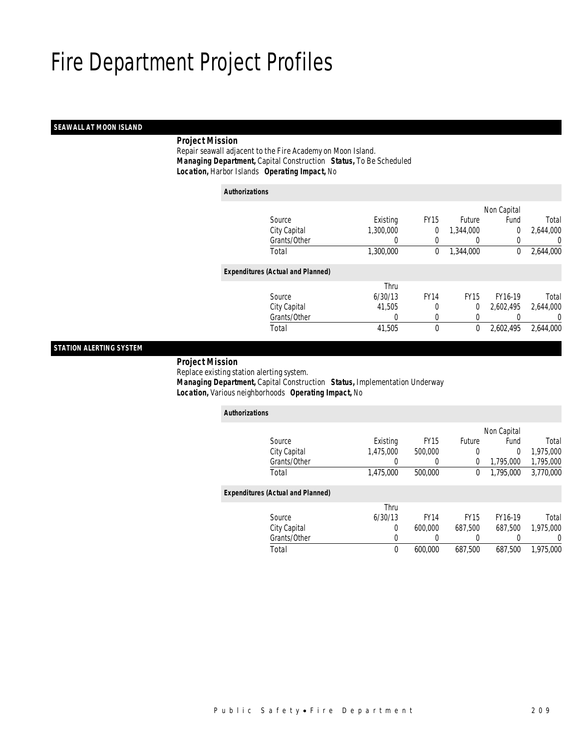## *SEAWALL AT MOON ISLAND*

## *Project Mission*

 Repair seawall adjacent to the Fire Academy on Moon Island. *Managing Department,* Capital Construction *Status,* To Be Scheduled*Location,* Harbor Islands *Operating Impact,* No

| <b>Authorizations</b> |                                          |           |             |                  |             |           |
|-----------------------|------------------------------------------|-----------|-------------|------------------|-------------|-----------|
|                       |                                          |           |             |                  | Non Capital |           |
|                       | Source                                   | Existing  | <b>FY15</b> | <b>Future</b>    | Fund        | Total     |
|                       | City Capital                             | 1,300,000 | 0           | 1,344,000        | 0           | 2,644,000 |
|                       | Grants/Other                             | 0         | 0           | $\left( \right)$ | 0           | 0         |
|                       | Total                                    | 1,300,000 | 0           | 1,344,000        | $\mathbf 0$ | 2,644,000 |
|                       | <b>Expenditures (Actual and Planned)</b> |           |             |                  |             |           |
|                       |                                          | Thru      |             |                  |             |           |
|                       | Source                                   | 6/30/13   | <b>FY14</b> | <b>FY15</b>      | FY16-19     | Total     |
|                       | City Capital                             | 41.505    | 0           | 0                | 2.602.495   | 2,644,000 |
|                       | Grants/Other                             | 0         | 0           | 0                |             | 0         |
|                       | Total                                    | 41,505    | 0           | 0                | 2.602.495   | 2,644,000 |
|                       |                                          |           |             |                  |             |           |

## *STATION ALERTING SYSTEM*

## *Project Mission*

 Replace existing station alerting system.*Managing Department,* Capital Construction *Status,* Implementation Underway

| Location, Various neighborhoods Operating Impact, No |  |
|------------------------------------------------------|--|
|------------------------------------------------------|--|

| <b>Authorizations</b>                    |              |           |             |             |             |           |
|------------------------------------------|--------------|-----------|-------------|-------------|-------------|-----------|
|                                          |              |           |             |             | Non Capital |           |
| Source                                   |              | Existing  | <b>FY15</b> | Future      | Fund        | Total     |
| City Capital                             |              | 1,475,000 | 500,000     | 0           | 0           | 1,975,000 |
|                                          | Grants/Other | $\Omega$  | $\Omega$    | 0           | 1,795,000   | 1,795,000 |
| Total                                    |              | 1,475,000 | 500,000     | 0           | 1,795,000   | 3.770.000 |
| <b>Expenditures (Actual and Planned)</b> |              |           |             |             |             |           |
|                                          |              | Thru      |             |             |             |           |
| Source                                   |              | 6/30/13   | <b>FY14</b> | <b>FY15</b> | FY16-19     | Total     |
| City Capital                             |              | 0         | 600.000     | 687.500     | 687.500     | 1,975,000 |
|                                          | Grants/Other | 0         | 0           | 0           | 0           | 0         |
| Total                                    |              | $\theta$  | 600.000     | 687.500     | 687.500     | 1,975,000 |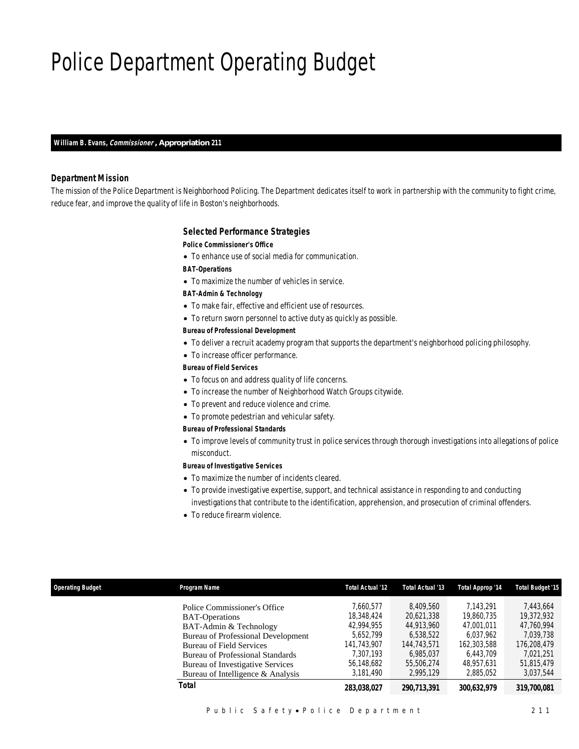# Police Department Operating Budget

*William B. Evans, Commissioner , Appropriation 211* 

## *Department Mission*

The mission of the Police Department is Neighborhood Policing. The Department dedicates itself to work in partnership with the community to fight crime, reduce fear, and improve the quality of life in Boston's neighborhoods.

### *Selected Performance Strategies*

#### *Police Commissioner's Office*

• To enhance use of social media for communication.

*BAT-Operations* 

• To maximize the number of vehicles in service.

### *BAT-Admin & Technology*

- To make fair, effective and efficient use of resources.
- To return sworn personnel to active duty as quickly as possible.

## *Bureau of Professional Development*

- To deliver a recruit academy program that supports the department's neighborhood policing philosophy.
- To increase officer performance.

## *Bureau of Field Services*

- To focus on and address quality of life concerns.
- To increase the number of Neighborhood Watch Groups citywide.
- To prevent and reduce violence and crime.
- To promote pedestrian and vehicular safety.

### *Bureau of Professional Standards*

• To improve levels of community trust in police services through thorough investigations into allegations of police misconduct.

## *Bureau of Investigative Services*

- To maximize the number of incidents cleared.
- To provide investigative expertise, support, and technical assistance in responding to and conducting investigations that contribute to the identification, apprehension, and prosecution of criminal offenders.
- To reduce firearm violence.

| <b>Operating Budget</b> | Program Name                                                                                                                                                                                                                                                                        | <b>Total Actual '12</b>                                                                                   | Total Actual '13                                                                                          | Total Approp '14                                                                                          | <b>Total Budget '15</b>                                                                                   |
|-------------------------|-------------------------------------------------------------------------------------------------------------------------------------------------------------------------------------------------------------------------------------------------------------------------------------|-----------------------------------------------------------------------------------------------------------|-----------------------------------------------------------------------------------------------------------|-----------------------------------------------------------------------------------------------------------|-----------------------------------------------------------------------------------------------------------|
|                         | Police Commissioner's Office<br><b>BAT-Operations</b><br>BAT-Admin & Technology<br><b>Bureau of Professional Development</b><br><b>Bureau of Field Services</b><br><b>Bureau of Professional Standards</b><br>Bureau of Investigative Services<br>Bureau of Intelligence & Analysis | 7.660.577<br>18,348,424<br>42.994.955<br>5.652.799<br>141.743.907<br>7.307.193<br>56,148,682<br>3.181.490 | 8.409.560<br>20.621.338<br>44.913.960<br>6.538.522<br>144.743.571<br>6.985.037<br>55.506.274<br>2.995.129 | 7.143.291<br>19,860,735<br>47.001.011<br>6.037.962<br>162,303,588<br>6.443.709<br>48.957.631<br>2.885.052 | 7.443.664<br>19,372,932<br>47.760.994<br>7.039.738<br>176,208,479<br>7.021.251<br>51.815.479<br>3.037.544 |
|                         | Total                                                                                                                                                                                                                                                                               | 283.038.027                                                                                               | 290.713.391                                                                                               | 300.632.979                                                                                               | 319,700,081                                                                                               |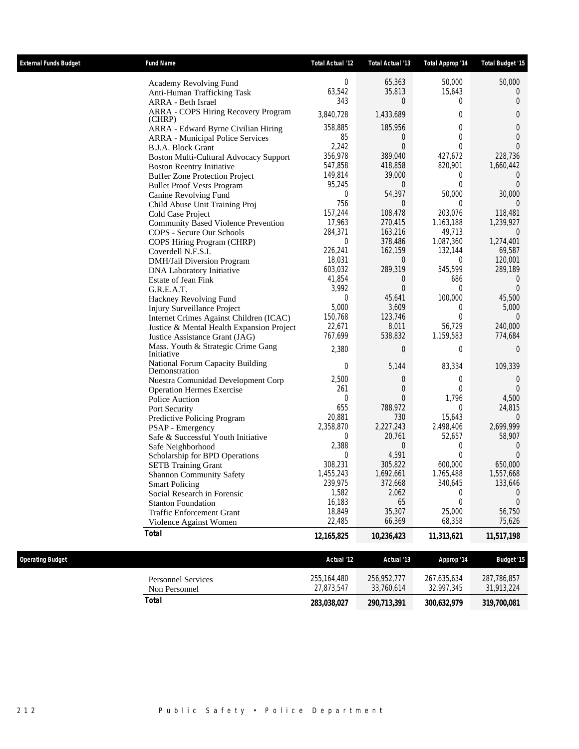| <b>External Funds Budget</b> | <b>Fund Name</b>                                                     | <b>Total Actual '12</b> | Total Actual '13    | Total Approp '14    | Total Budget '15    |
|------------------------------|----------------------------------------------------------------------|-------------------------|---------------------|---------------------|---------------------|
|                              | Academy Revolving Fund                                               | 0                       | 65,363              | 50,000              | 50,000              |
|                              | Anti-Human Trafficking Task                                          | 63,542                  | 35,813              | 15,643              | 0                   |
|                              | ARRA - Beth Israel                                                   | 343                     | 0                   | 0                   | $\overline{0}$      |
|                              | ARRA - COPS Hiring Recovery Program<br>(CHRP)                        | 3,840,728               | 1,433,689           | $\theta$            | 0                   |
|                              | ARRA - Edward Byrne Civilian Hiring                                  | 358,885                 | 185,956             | 0                   | 0                   |
|                              | <b>ARRA</b> - Municipal Police Services                              | 85                      | $\overline{0}$      | $\theta$            | $\mathbf 0$         |
|                              | B.J.A. Block Grant                                                   | 2,242                   | $\theta$            | $\theta$            | $\theta$            |
|                              | Boston Multi-Cultural Advocacy Support                               | 356,978                 | 389,040             | 427,672             | 228,736             |
|                              | <b>Boston Reentry Initiative</b>                                     | 547,858                 | 418,858             | 820,901             | 1,660,442           |
|                              | <b>Buffer Zone Protection Project</b>                                | 149,814                 | 39,000              | 0                   | $\overline{0}$      |
|                              | <b>Bullet Proof Vests Program</b>                                    | 95,245                  | $\overline{0}$      | $\theta$            | $\Omega$            |
|                              | Canine Revolving Fund                                                | 0                       | 54,397              | 50,000              | 30,000              |
|                              | Child Abuse Unit Training Proj                                       | 756                     | 0                   | 0                   | $\Omega$            |
|                              | Cold Case Project                                                    | 157,244                 | 108,478             | 203,076             | 118,481             |
|                              | <b>Community Based Violence Prevention</b>                           | 17,963                  | 270,415             | 1,163,188           | 1,239,927           |
|                              | COPS - Secure Our Schools                                            | 284,371                 | 163,216             | 49,713              | $\overline{0}$      |
|                              | COPS Hiring Program (CHRP)                                           | 0                       | 378,486             | 1,087,360           | 1,274,401           |
|                              | Coverdell N.F.S.I.                                                   | 226,241                 | 162,159             | 132,144             | 69,587              |
|                              | DMH/Jail Diversion Program                                           | 18,031                  | $\overline{0}$      | 0                   | 120,001             |
|                              | DNA Laboratory Initiative                                            | 603,032                 | 289,319             | 545,599             | 289,189             |
|                              | Estate of Jean Fink                                                  | 41,854                  | $\overline{0}$      | 686                 | $\overline{0}$      |
|                              | G.R.E.A.T.                                                           | 3,992                   | $\theta$            | $\theta$            | $\theta$            |
|                              | Hackney Revolving Fund                                               | $\overline{0}$          | 45,641              | 100,000             | 45,500              |
|                              | Injury Surveillance Project                                          | 5,000                   | 3,609               | 0                   | 5,000               |
|                              | Internet Crimes Against Children (ICAC)                              | 150,768                 | 123,746             | $\theta$            | $\overline{0}$      |
|                              | Justice & Mental Health Expansion Project                            | 22,671                  | 8,011               | 56,729              | 240,000             |
|                              | Justice Assistance Grant (JAG)<br>Mass. Youth & Strategic Crime Gang | 767,699                 | 538,832             | 1,159,583           | 774,684             |
|                              | Initiative                                                           | 2,380                   | $\overline{0}$      | $\theta$            | $\overline{0}$      |
|                              | National Forum Capacity Building<br>Demonstration                    | 0                       | 5,144               | 83,334              | 109,339             |
|                              | Nuestra Comunidad Development Corp                                   | 2,500                   | 0                   | 0                   | $\overline{0}$      |
|                              | <b>Operation Hermes Exercise</b>                                     | 261                     | $\theta$            | $\overline{0}$      | $\theta$            |
|                              | Police Auction                                                       | 0                       | $\Omega$            | 1,796               | 4,500               |
|                              | Port Security                                                        | 655                     | 788,972             | 0                   | 24,815              |
|                              | Predictive Policing Program                                          | 20,881                  | 730                 | 15,643              | 0                   |
|                              | PSAP - Emergency                                                     | 2,358,870<br>0          | 2,227,243<br>20,761 | 2,498,406<br>52,657 | 2,699,999<br>58,907 |
|                              | Safe & Successful Youth Initiative                                   | 2,388                   | 0                   | 0                   | $\theta$            |
|                              | Safe Neighborhood                                                    | 0                       | 4,591               | $\overline{0}$      | $\Omega$            |
|                              | Scholarship for BPD Operations                                       | 308,231                 | 305,822             | 600,000             | 650,000             |
|                              | <b>SETB</b> Training Grant                                           | 1,455,243               | 1,692,661           | 1,765,488           | 1,557,668           |
|                              | <b>Shannon Community Safety</b><br><b>Smart Policing</b>             | 239,975                 | 372,668             | 340,645             | 133,646             |
|                              | Social Research in Forensic                                          | 1,582                   | 2,062               | 0                   | $\overline{0}$      |
|                              | <b>Stanton Foundation</b>                                            | 16,183                  | 65                  | $\overline{0}$      | $\theta$            |
|                              | <b>Traffic Enforcement Grant</b>                                     | 18,849                  | 35,307              | 25,000              | 56,750              |
|                              | Violence Against Women                                               | 22,485                  | 66,369              | 68,358              | 75,626              |
|                              | <b>Total</b>                                                         | 12,165,825              | 10,236,423          | 11,313,621          | 11,517,198          |
|                              |                                                                      |                         |                     |                     |                     |
| <b>Operating Budget</b>      |                                                                      | Actual '12              | Actual '13          | Approp '14          | <b>Budget '15</b>   |
|                              | <b>Personnel Services</b>                                            | 255, 164, 480           | 256,952,777         | 267,635,634         | 287,786,857         |
|                              | Non Personnel                                                        | 27,873,547              | 33,760,614          | 32,997,345          | 31,913,224          |
|                              | <b>Total</b>                                                         | 283,038,027             | 290,713,391         | 300,632,979         | 319,700,081         |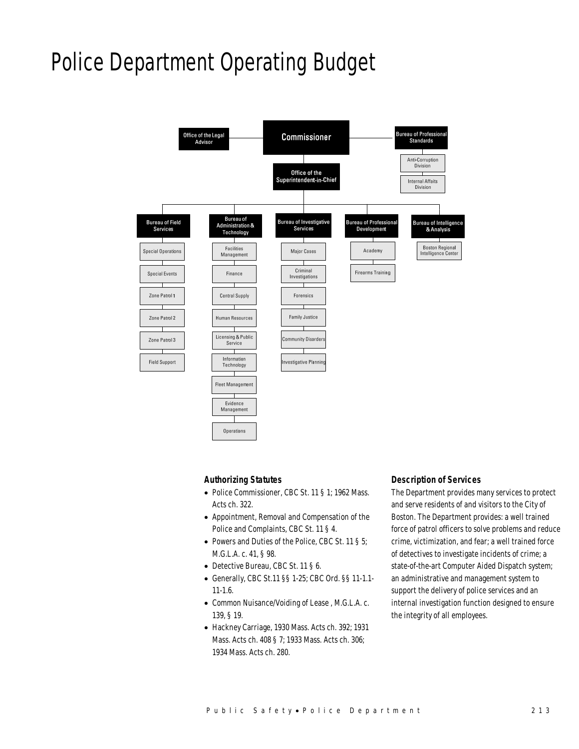# Police Department Operating Budget



## *Authorizing Statutes*

- Police Commissioner, CBC St. 11 § 1; 1962 Mass. Acts ch. 322.
- Appointment, Removal and Compensation of the Police and Complaints, CBC St. 11 § 4.
- Powers and Duties of the Police, CBC St. 11 § 5; M.G.L.A. c. 41, § 98.
- Detective Bureau, CBC St. 11 § 6.
- Generally, CBC St.11 §§ 1-25; CBC Ord. §§ 11-1.1- 11-1.6.
- Common Nuisance/Voiding of Lease , M.G.L.A. c. 139, § 19.
- Hackney Carriage, 1930 Mass. Acts ch. 392; 1931 Mass. Acts ch. 408 § 7; 1933 Mass. Acts ch. 306; 1934 Mass. Acts ch. 280.

### *Description of Services*

The Department provides many services to protect and serve residents of and visitors to the City of Boston. The Department provides: a well trained force of patrol officers to solve problems and reduce crime, victimization, and fear; a well trained force of detectives to investigate incidents of crime; a state-of-the-art Computer Aided Dispatch system; an administrative and management system to support the delivery of police services and an internal investigation function designed to ensure the integrity of all employees.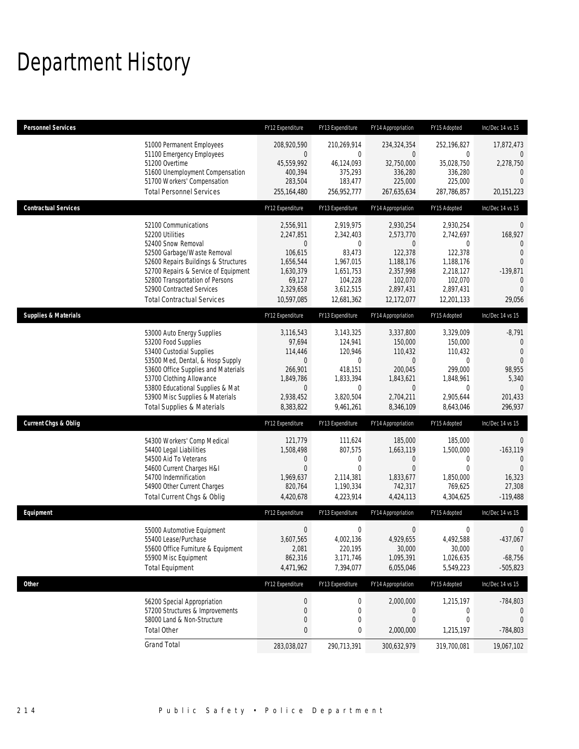# Department History

| <b>Personnel Services</b>       |                                                                                                                                                                                                                                                                                                      | FY12 Expenditure                                                                                                | FY13 Expenditure                                                                                                 | FY14 Appropriation                                                                                                  | FY15 Adopted                                                                                                       | Inc/Dec 14 vs 15                                                                                                 |
|---------------------------------|------------------------------------------------------------------------------------------------------------------------------------------------------------------------------------------------------------------------------------------------------------------------------------------------------|-----------------------------------------------------------------------------------------------------------------|------------------------------------------------------------------------------------------------------------------|---------------------------------------------------------------------------------------------------------------------|--------------------------------------------------------------------------------------------------------------------|------------------------------------------------------------------------------------------------------------------|
|                                 | 51000 Permanent Employees<br>51100 Emergency Employees<br>51200 Overtime<br>51600 Unemployment Compensation<br>51700 Workers' Compensation<br><b>Total Personnel Services</b>                                                                                                                        | 208,920,590<br>$\theta$<br>45,559,992<br>400,394<br>283,504<br>255,164,480                                      | 210,269,914<br>$\mathbf 0$<br>46,124,093<br>375,293<br>183,477<br>256,952,777                                    | 234,324,354<br>$\overline{0}$<br>32,750,000<br>336,280<br>225,000<br>267,635,634                                    | 252,196,827<br>0<br>35,028,750<br>336,280<br>225,000<br>287,786,857                                                | 17,872,473<br>$\mathbf{0}$<br>2,278,750<br>$\mathbf{0}$<br>$\Omega$<br>20,151,223                                |
| <b>Contractual Services</b>     |                                                                                                                                                                                                                                                                                                      | FY12 Expenditure                                                                                                | FY13 Expenditure                                                                                                 | FY14 Appropriation                                                                                                  | FY15 Adopted                                                                                                       | Inc/Dec 14 vs 15                                                                                                 |
|                                 | 52100 Communications<br>52200 Utilities<br>52400 Snow Removal<br>52500 Garbage/Waste Removal<br>52600 Repairs Buildings & Structures<br>52700 Repairs & Service of Equipment<br>52800 Transportation of Persons<br>52900 Contracted Services<br><b>Total Contractual Services</b>                    | 2,556,911<br>2,247,851<br>$\mathbf 0$<br>106,615<br>1,656,544<br>1,630,379<br>69,127<br>2,329,658<br>10,597,085 | 2,919,975<br>2,342,403<br>$\mathbf{0}$<br>83,473<br>1,967,015<br>1,651,753<br>104,228<br>3,612,515<br>12,681,362 | 2,930,254<br>2,573,770<br>$\overline{0}$<br>122,378<br>1,188,176<br>2,357,998<br>102,070<br>2,897,431<br>12,172,077 | 2,930,254<br>2,742,697<br>0<br>122,378<br>1,188,176<br>2,218,127<br>102,070<br>2,897,431<br>12,201,133             | 0<br>168,927<br>$\Omega$<br>$\Omega$<br>$\mathbf{0}$<br>$-139,871$<br>$\mathbf{0}$<br>$\Omega$<br>29,056         |
| <b>Supplies &amp; Materials</b> |                                                                                                                                                                                                                                                                                                      | FY12 Expenditure                                                                                                | FY13 Expenditure                                                                                                 | FY14 Appropriation                                                                                                  | FY15 Adopted                                                                                                       | Inc/Dec 14 vs 15                                                                                                 |
|                                 | 53000 Auto Energy Supplies<br>53200 Food Supplies<br>53400 Custodial Supplies<br>53500 Med, Dental, & Hosp Supply<br>53600 Office Supplies and Materials<br>53700 Clothing Allowance<br>53800 Educational Supplies & Mat<br>53900 Misc Supplies & Materials<br><b>Total Supplies &amp; Materials</b> | 3,116,543<br>97,694<br>114,446<br>$\mathbf 0$<br>266.901<br>1,849,786<br>$\mathbf 0$<br>2,938,452<br>8,383,822  | 3,143,325<br>124,941<br>120,946<br>0<br>418,151<br>1,833,394<br>$\mathbf 0$<br>3,820,504<br>9,461,261            | 3,337,800<br>150,000<br>110,432<br>$\mathbf 0$<br>200,045<br>1,843,621<br>$\overline{0}$<br>2,704,211<br>8,346,109  | 3,329,009<br>150,000<br>110,432<br>$\mathbf 0$<br>299.000<br>1,848,961<br>$\overline{0}$<br>2,905,644<br>8,643,046 | $-8,791$<br>$\mathbf 0$<br>$\overline{0}$<br>$\Omega$<br>98,955<br>5,340<br>$\overline{0}$<br>201,433<br>296,937 |
| <b>Current Chgs &amp; Oblig</b> |                                                                                                                                                                                                                                                                                                      | FY12 Expenditure                                                                                                | FY13 Expenditure                                                                                                 | FY14 Appropriation                                                                                                  | FY15 Adopted                                                                                                       | Inc/Dec 14 vs 15                                                                                                 |
|                                 | 54300 Workers' Comp Medical<br>54400 Legal Liabilities<br>54500 Aid To Veterans<br>54600 Current Charges H&I<br>54700 Indemnification<br>54900 Other Current Charges<br>Total Current Chgs & Oblig                                                                                                   | 121,779<br>1,508,498<br>$\mathbf 0$<br>$\overline{0}$<br>1,969,637<br>820,764<br>4,420,678                      | 111,624<br>807,575<br>$\mathbf 0$<br>$\mathbf{0}$<br>2,114,381<br>1,190,334<br>4,223,914                         | 185,000<br>1,663,119<br>0<br>$\mathbf{0}$<br>1,833,677<br>742,317<br>4,424,113                                      | 185,000<br>1,500,000<br>$\mathbf{0}$<br>$\overline{0}$<br>1,850,000<br>769,625<br>4,304,625                        | 0<br>$-163, 119$<br>$\theta$<br>$\Omega$<br>16,323<br>27,308<br>$-119,488$                                       |
| Equipment                       |                                                                                                                                                                                                                                                                                                      | FY12 Expenditure                                                                                                | FY13 Expenditure                                                                                                 | FY14 Appropriation                                                                                                  | FY15 Adopted                                                                                                       | Inc/Dec 14 vs 15                                                                                                 |
|                                 | 55000 Automotive Equipment<br>55400 Lease/Purchase<br>55600 Office Furniture & Equipment<br>55900 Misc Equipment<br><b>Total Equipment</b>                                                                                                                                                           | $\boldsymbol{0}$<br>3,607,565<br>2,081<br>862,316<br>4,471,962                                                  | $\boldsymbol{0}$<br>4,002,136<br>220,195<br>3,171,746<br>7,394,077                                               | $\boldsymbol{0}$<br>4,929,655<br>30,000<br>1,095,391<br>6,055,046                                                   | 0<br>4,492,588<br>30,000<br>1,026,635<br>5,549,223                                                                 | 0<br>$-437,067$<br>$\mathbf{0}$<br>$-68,756$<br>$-505,823$                                                       |
| Other                           |                                                                                                                                                                                                                                                                                                      | FY12 Expenditure                                                                                                | FY13 Expenditure                                                                                                 | FY14 Appropriation                                                                                                  | FY15 Adopted                                                                                                       | Inc/Dec 14 vs 15                                                                                                 |
|                                 | 56200 Special Appropriation<br>57200 Structures & Improvements<br>58000 Land & Non-Structure<br><b>Total Other</b>                                                                                                                                                                                   | $\boldsymbol{0}$<br>$\mathbf 0$<br>$\mathbf 0$<br>0                                                             | 0<br>0<br>$\mathbf 0$<br>0                                                                                       | 2,000,000<br>0<br>$\boldsymbol{0}$<br>2,000,000                                                                     | 1,215,197<br>0<br>0<br>1,215,197                                                                                   | $-784,803$<br>$\theta$<br>$\mathbf{0}$<br>$-784,803$                                                             |
|                                 | <b>Grand Total</b>                                                                                                                                                                                                                                                                                   | 283,038,027                                                                                                     | 290,713,391                                                                                                      | 300,632,979                                                                                                         | 319,700,081                                                                                                        | 19,067,102                                                                                                       |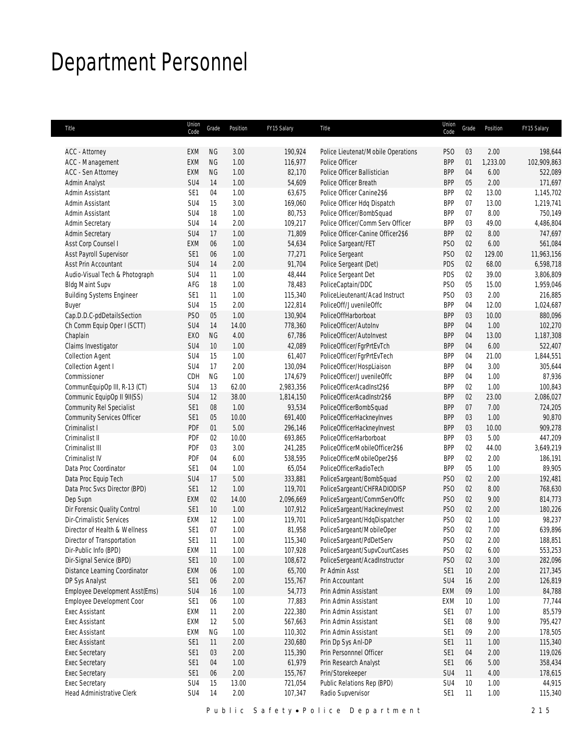# Department Personnel

| Title                                                | Union<br>Code          | Grade           | Position      | FY15 Salary        | Title                                                     | Union<br>Code                 | Grade    | Position         | FY15 Salary            |
|------------------------------------------------------|------------------------|-----------------|---------------|--------------------|-----------------------------------------------------------|-------------------------------|----------|------------------|------------------------|
|                                                      |                        |                 |               |                    |                                                           |                               |          |                  |                        |
| ACC - Attorney<br>ACC - Management                   | EXM<br>EXM             | ΝG<br><b>NG</b> | 3.00<br>1.00  | 190,924<br>116,977 | Police Lieutenat/Mobile Operations<br>Police Officer      | PS <sub>O</sub><br><b>BPP</b> | 03<br>01 | 2.00<br>1,233.00 | 198,644<br>102,909,863 |
| ACC - Sen Attorney                                   | <b>EXM</b>             | <b>NG</b>       | 1.00          | 82,170             | Police Officer Ballistician                               | <b>BPP</b>                    | 04       | 6.00             | 522,089                |
| Admin Analyst                                        | SU4                    | 14              | 1.00          | 54,609             | Police Officer Breath                                     | <b>BPP</b>                    | 05       | 2.00             | 171,697                |
| Admin Assistant                                      | SE <sub>1</sub>        | 04              | 1.00          | 63,675             | Police Officer Canine2\$6                                 | <b>BPP</b>                    | 02       | 13.00            | 1,145,702              |
| Admin Assistant                                      | SU <sub>4</sub>        | 15              | 3.00          | 169,060            | Police Officer Hdq Dispatch                               | <b>BPP</b>                    | 07       | 13.00            | 1,219,741              |
| Admin Assistant                                      | SU4                    | 18              | 1.00          | 80,753             | Police Officer/BombSquad                                  | <b>BPP</b>                    | 07       | 8.00             | 750,149                |
| <b>Admin Secretary</b>                               | SU4                    | 14              | 2.00          | 109,217            | Police Officer/Comm Serv Officer                          | <b>BPP</b>                    | 03       | 49.00            | 4,486,804              |
| <b>Admin Secretary</b>                               | SU4                    | 17              | 1.00          | 71,809             | Police Officer-Canine Officer2\$6                         | <b>BPP</b>                    | 02       | 8.00             | 747,697                |
| Asst Corp Counsel I                                  | EXM                    | 06              | 1.00          | 54,634             | Police Sargeant/FET                                       | PS <sub>O</sub>               | 02       | 6.00             | 561,084                |
| Asst Payroll Supervisor                              | SE <sub>1</sub>        | 06              | 1.00          | 77,271             | Police Sergeant                                           | PS <sub>O</sub>               | 02       | 129.00           | 11,963,156             |
| Asst Prin Accountant                                 | SU <sub>4</sub>        | 14              | 2.00          | 91,704             | Police Sergeant (Det)                                     | PDS                           | 02       | 68.00            | 6,598,718              |
| Audio-Visual Tech & Photograph                       | SU4                    | 11              | 1.00          | 48,444             | Police Sergeant Det                                       | PDS                           | 02       | 39.00            | 3,806,809              |
| <b>Bldg Maint Supv</b>                               | AFG                    | 18              | 1.00          | 78,483             | PoliceCaptain/DDC                                         | PS <sub>0</sub>               | 05       | 15.00            | 1,959,046              |
| <b>Building Systems Engineer</b>                     | SE <sub>1</sub>        | 11              | 1.00          | 115,340            | PoliceLieutenant/Acad Instruct                            | PS <sub>O</sub>               | 03       | 2.00             | 216,885                |
| Buyer                                                | SU <sub>4</sub>        | 15              | 2.00          | 122,814            | PoliceOff/JuvenileOffc                                    | <b>BPP</b>                    | 04       | 12.00            | 1,024,687              |
| Cap.D.D.C-pdDetailsSection                           | PS <sub>O</sub>        | 05              | 1.00          | 130,904            | PoliceOffHarborboat                                       | <b>BPP</b>                    | 03       | 10.00            | 880,096                |
| Ch Comm Equip Oper I (SCTT)                          | SU4                    | 14              | 14.00         | 778,360            | PoliceOfficer/AutoInv                                     | <b>BPP</b>                    | 04       | 1.00             | 102,270                |
| Chaplain                                             | EX <sub>0</sub>        | <b>NG</b>       | 4.00          | 67,786             | PoliceOfficer/AutoInvest                                  | <b>BPP</b>                    | 04       | 13.00            | 1,187,308              |
|                                                      | SU4                    | 10              | 1.00          | 42,089             |                                                           | <b>BPP</b>                    | 04       | 6.00             | 522,407                |
| Claims Investigator                                  | SU <sub>4</sub>        | 15              | 1.00          | 61,407             | PoliceOfficer/FgrPrtEvTch<br>PoliceOfficer/FgrPrtEvTech   | <b>BPP</b>                    | 04       | 21.00            | 1,844,551              |
| <b>Collection Agent</b><br><b>Collection Agent I</b> | SU <sub>4</sub>        | 17              | 2.00          | 130,094            | PoliceOfficer/HospLiaison                                 | <b>BPP</b>                    | 04       | 3.00             | 305,644                |
| Commissioner                                         | CDH                    | <b>NG</b>       | 1.00          | 174,679            | PoliceOfficer/JuvenileOffc                                | <b>BPP</b>                    | 04       | 1.00             | 87,936                 |
|                                                      |                        | 13              |               |                    | PoliceOfficerAcadInst2\$6                                 |                               |          |                  |                        |
| CommunEquipOp III, R-13 (CT)                         | SU4                    |                 | 62.00         | 2,983,356          |                                                           | <b>BPP</b>                    | 02<br>02 | 1.00             | 100,843                |
| Communic EquipOp II 9II(SS)                          | SU4<br>SE <sub>1</sub> | 12<br>08        | 38.00<br>1.00 | 1,814,150          | PoliceOfficerAcadInstr2\$6                                | <b>BPP</b>                    |          | 23.00<br>7.00    | 2,086,027              |
| Community Rel Specialist                             |                        |                 | 10.00         | 93,534             | PoliceOfficerBombSquad                                    | <b>BPP</b><br><b>BPP</b>      | 07       | 1.00             | 724,205                |
| <b>Community Services Officer</b><br>Criminalist I   | SE1<br>PDF             | 05              | 5.00          | 691,400            | PoliceOfficerHackneyInves                                 | <b>BPP</b>                    | 03<br>03 | 10.00            | 90,870<br>909,278      |
|                                                      |                        | 01<br>02        | 10.00         | 296,146            | PoliceOfficerHackneyInvest                                |                               |          | 5.00             |                        |
| Criminalist II<br>Criminalist III                    | <b>PDF</b><br>PDF      | 03              | 3.00          | 693,865<br>241,285 | PoliceOfficerHarborboat<br>PoliceOfficerMobileOfficer2\$6 | <b>BPP</b><br><b>BPP</b>      | 03<br>02 | 44.00            | 447,209<br>3,649,219   |
|                                                      |                        | 04              | 6.00          |                    |                                                           |                               | 02       | 2.00             |                        |
| Criminalist IV                                       | PDF<br>SE <sub>1</sub> | 04              | 1.00          | 538,595            | PoliceOfficerMobileOper2\$6<br>PoliceOfficerRadioTech     | <b>BPP</b><br><b>BPP</b>      | 05       | 1.00             | 186,191                |
| Data Proc Coordinator                                |                        |                 |               | 65,054             |                                                           |                               |          |                  | 89,905                 |
| Data Proc Equip Tech                                 | SU4                    | 17              | 5.00          | 333,881            | PoliceSargeant/BombSquad                                  | PS <sub>O</sub>               | 02       | 2.00             | 192,481                |
| Data Proc Svcs Director (BPD)                        | SE1                    | 12              | 1.00          | 119,701            | PoliceSargeant/CHFRADIODISP                               | PS <sub>0</sub>               | 02       | 8.00             | 768,630                |
| Dep Supn                                             | EXM                    | 02              | 14.00         | 2,096,669          | PoliceSargeant/CommServOffc                               | PS <sub>O</sub>               | 02       | 9.00             | 814,773                |
| Dir Forensic Quality Control                         | SE1                    | 10              | 1.00          | 107,912            | PoliceSargeant/HackneyInvest                              | PS <sub>O</sub>               | 02       | 2.00             | 180,226                |
| Dir-Crimalistic Services                             | <b>EXM</b>             | 12              | 1.00          | 119,701            | PoliceSargeant/HdqDispatcher                              | PS <sub>O</sub>               | 02       | 1.00             | 98,237                 |
| Director of Health & Wellness                        | SE <sub>1</sub>        | 07              | 1.00          | 81,958             | PoliceSargeant/MobileOper                                 | PS <sub>O</sub>               | 02       | 7.00             | 639,896                |
| Director of Transportation                           | SE1                    | 11              | 1.00          | 115,340            | PoliceSargeant/PdDetServ                                  | PS <sub>O</sub>               | 02       | 2.00             | 188,851                |
| Dir-Public Info (BPD)                                | EXM                    | 11              | 1.00          | 107,928            | PoliceSargeant/SupvCourtCases                             | PS <sub>0</sub>               | 02       | 6.00             | 553,253                |
| Dir-Signal Service (BPD)                             | SE1                    | 10              | 1.00          | 108,672            | PoliceSergeant/AcadInstructor                             | PSO                           | 02       | 3.00             | 282,096                |
| Distance Learning Coordinator                        | EXM                    | 06              | 1.00          | 65,700             | Pr Admin Asst                                             | SE1                           | 10       | 2.00             | 217,345                |
| DP Sys Analyst                                       | SE <sub>1</sub>        | 06              | 2.00          | 155,767            | Prin Accountant                                           | SU4                           | 16       | 2.00             | 126,819                |
| Employee Development Asst(Ems)                       | SU4                    | 16              | 1.00          | 54,773             | Prin Admin Assistant                                      | EXM                           | 09       | 1.00             | 84,788                 |
| Employee Development Coor                            | SE <sub>1</sub>        | 06              | 1.00          | 77,883             | Prin Admin Assistant                                      | EXM                           | 10       | 1.00             | 77,744                 |
| Exec Assistant                                       | EXM                    | 11              | 2.00          | 222,380            | Prin Admin Assistant                                      | SE <sub>1</sub>               | 07       | 1.00             | 85,579                 |
| Exec Assistant                                       | EXM                    | 12              | 5.00          | 567,663            | Prin Admin Assistant                                      | SE <sub>1</sub>               | 08       | 9.00             | 795,427                |
| Exec Assistant                                       | EXM                    | ΝG              | 1.00          | 110,302            | Prin Admin Assistant                                      | SE <sub>1</sub>               | 09       | 2.00             | 178,505                |
| <b>Exec Assistant</b>                                | SE <sub>1</sub>        | 11              | 2.00          | 230,680            | Prin Dp Sys Anl-DP                                        | SE <sub>1</sub>               | 11       | 1.00             | 115,340                |
| <b>Exec Secretary</b>                                | SE1                    | 03              | 2.00          | 115,390            | Prin Personnnel Officer                                   | SE <sub>1</sub>               | 04       | 2.00             | 119,026                |
| <b>Exec Secretary</b>                                | SE <sub>1</sub>        | 04              | 1.00          | 61,979             | Prin Research Analyst                                     | SE <sub>1</sub>               | 06       | 5.00             | 358,434                |
| <b>Exec Secretary</b>                                | SE1                    | 06              | 2.00          | 155,767            | Prin/Storekeeper                                          | SU4                           | 11       | 4.00             | 178,615                |
| <b>Exec Secretary</b>                                | SU4                    | 15              | 13.00         | 721,054            | Public Relations Rep (BPD)                                | SU4                           | 10       | 1.00             | 44,915                 |
| Head Administrative Clerk                            | SU <sub>4</sub>        | 14              | 2.00          | 107,347            | Radio Supvervisor                                         | SE1                           | 11       | 1.00             | 115,340                |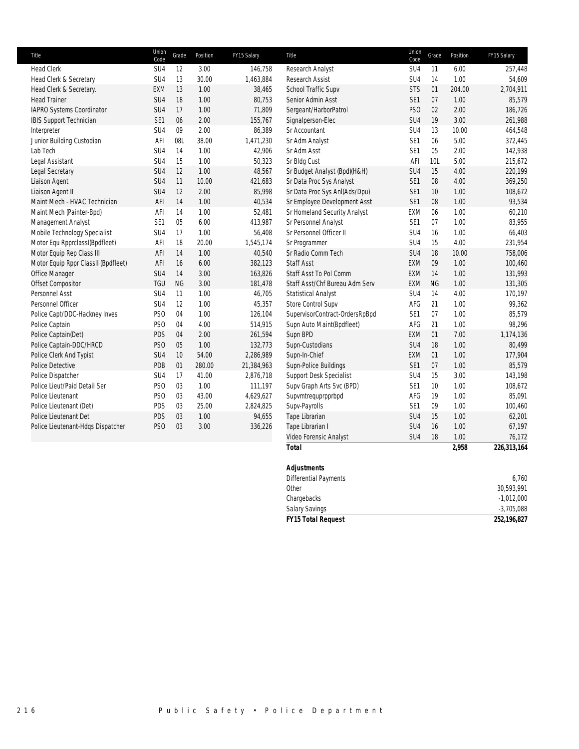| Title                               | Union<br>Code   | Grade     | Position | FY15 Salary | Title                          | Union<br>Code   | Grade     | Position | FY15 Salary |
|-------------------------------------|-----------------|-----------|----------|-------------|--------------------------------|-----------------|-----------|----------|-------------|
| <b>Head Clerk</b>                   | SU4             | 12        | 3.00     | 146,758     | Research Analyst               | SU4             | 11        | 6.00     | 257,448     |
| Head Clerk & Secretary              | SU4             | 13        | 30.00    | 1,463,884   | Research Assist                | SU <sub>4</sub> | 14        | 1.00     | 54,609      |
| Head Clerk & Secretary.             | <b>EXM</b>      | 13        | 1.00     | 38,465      | School Traffic Supv            | <b>STS</b>      | 01        | 204.00   | 2,704,911   |
| <b>Head Trainer</b>                 | SU4             | 18        | 1.00     | 80,753      | Senior Admin Asst              | SE <sub>1</sub> | 07        | 1.00     | 85,579      |
| IAPRO Systems Coordinator           | SU4             | 17        | 1.00     | 71,809      | Sergeant/HarborPatrol          | PS <sub>O</sub> | 02        | 2.00     | 186,726     |
| IBIS Support Technician             | SE1             | 06        | 2.00     | 155,767     | Signalperson-Elec              | SU4             | 19        | 3.00     | 261,988     |
| Interpreter                         | SU4             | 09        | 2.00     | 86,389      | Sr Accountant                  | SU <sub>4</sub> | 13        | 10.00    | 464,548     |
| Junior Building Custodian           | AFI             | 08L       | 38.00    | 1,471,230   | Sr Adm Analyst                 | SE <sub>1</sub> | 06        | 5.00     | 372,445     |
| Lab Tech                            | SU <sub>4</sub> | 14        | 1.00     | 42,906      | Sr Adm Asst                    | SE <sub>1</sub> | 05        | 2.00     | 142,938     |
| Legal Assistant                     | SU4             | 15        | 1.00     | 50,323      | Sr Bldg Cust                   | AFI             | 10L       | 5.00     | 215,672     |
| Legal Secretary                     | SU4             | 12        | 1.00     | 48,567      | Sr Budget Analyst (Bpd)(H&H)   | SU <sub>4</sub> | 15        | 4.00     | 220,199     |
| Liaison Agent                       | SU4             | 11        | 10.00    | 421,683     | Sr Data Proc Sys Analyst       | SE <sub>1</sub> | 08        | 4.00     | 369,250     |
| Liaison Agent II                    | SU4             | 12        | 2.00     | 85,998      | Sr Data Proc Sys Anl(Ads/Dpu)  | SE <sub>1</sub> | 10        | 1.00     | 108,672     |
| Maint Mech - HVAC Technician        | AFI             | 14        | 1.00     | 40,534      | Sr Employee Development Asst   | SE <sub>1</sub> | 08        | 1.00     | 93,534      |
| Maint Mech (Painter-Bpd)            | AFI             | 14        | 1.00     | 52,481      | Sr Homeland Security Analyst   | EXM             | 06        | 1.00     | 60,210      |
| Management Analyst                  | SE <sub>1</sub> | 05        | 6.00     | 413,987     | Sr Personnel Analyst           | SE <sub>1</sub> | 07        | 1.00     | 83,955      |
| Mobile Technology Specialist        | SU4             | 17        | 1.00     | 56,408      | Sr Personnel Officer II        | SU <sub>4</sub> | 16        | 1.00     | 66,403      |
| Motor Equ RpprclassI(Bpdfleet)      | AFI             | 18        | 20.00    | 1,545,174   | Sr Programmer                  | SU <sub>4</sub> | 15        | 4.00     | 231,954     |
| Motor Equip Rep Class III           | AFI             | 14        | 1.00     | 40,540      | Sr Radio Comm Tech             | SU <sub>4</sub> | 18        | 10.00    | 758,006     |
| Motor Equip Rppr ClassII (Bpdfleet) | AFI             | 16        | 6.00     | 382,123     | <b>Staff Asst</b>              | EXM             | 09        | 1.00     | 100,460     |
| Office Manager                      | SU <sub>4</sub> | 14        | 3.00     | 163,826     | Staff Asst To Pol Comm         | EXM             | 14        | 1.00     | 131,993     |
| Offset Compositor                   | <b>TGU</b>      | <b>NG</b> | 3.00     | 181,478     | Staff Asst/Chf Bureau Adm Serv | EXM             | <b>NG</b> | 1.00     | 131,305     |
| Personnel Asst                      | SU <sub>4</sub> | 11        | 1.00     | 46,705      | <b>Statistical Analyst</b>     | SU <sub>4</sub> | 14        | 4.00     | 170,197     |
| Personnel Officer                   | SU4             | 12        | 1.00     | 45,357      | Store Control Supv             | AFG             | 21        | 1.00     | 99,362      |
| Police Capt/DDC-Hackney Inves       | PS <sub>O</sub> | 04        | 1.00     | 126,104     | SupervisorContract-OrdersRpBpd | SE <sub>1</sub> | 07        | 1.00     | 85,579      |
| Police Captain                      | PS <sub>O</sub> | 04        | 4.00     | 514,915     | Supn Auto Maint(Bpdfleet)      | AFG             | 21        | 1.00     | 98,296      |
| Police Captain(Det)                 | PDS             | 04        | 2.00     | 261,594     | Supn BPD                       | EXM             | 01        | 7.00     | 1,174,136   |
| Police Captain-DDC/HRCD             | PS <sub>O</sub> | 05        | 1.00     | 132,773     | Supn-Custodians                | SU <sub>4</sub> | 18        | 1.00     | 80,499      |
| Police Clerk And Typist             | SU4             | 10        | 54.00    | 2,286,989   | Supn-In-Chief                  | EXM             | 01        | 1.00     | 177,904     |
| Police Detective                    | PDB             | 01        | 280.00   | 21,384,963  | Supn-Police Buildings          | SE <sub>1</sub> | 07        | 1.00     | 85,579      |
| Police Dispatcher                   | SU4             | 17        | 41.00    | 2,876,718   | Support Desk Specialist        | SU <sub>4</sub> | 15        | 3.00     | 143,198     |
| Police Lieut/Paid Detail Ser        | PS <sub>O</sub> | 03        | 1.00     | 111,197     | Supv Graph Arts Svc (BPD)      | SE <sub>1</sub> | 10        | 1.00     | 108,672     |
| Police Lieutenant                   | PS <sub>O</sub> | 03        | 43.00    | 4,629,627   | Supvmtrequprpprbpd             | AFG             | 19        | 1.00     | 85,091      |
| Police Lieutenant (Det)             | PDS             | 03        | 25.00    | 2,824,825   | Supv-Payrolls                  | SE <sub>1</sub> | 09        | 1.00     | 100,460     |
| Police Lieutenant Det               | PDS             | 03        | 1.00     | 94,655      | Tape Librarian                 | SU <sub>4</sub> | 15        | 1.00     | 62,201      |
| Police Lieutenant-Hdqs Dispatcher   | PS <sub>O</sub> | 03        | 3.00     | 336,226     | Tape Librarian I               | SU <sub>4</sub> | 16        | 1.00     | 67,197      |
|                                     |                 |           |          |             | Video Forensic Analyst         | SU4             | 18        | 1.00     | 76,172      |
|                                     |                 |           |          |             | <b>Total</b>                   |                 |           | 2,958    | 226,313,164 |

| <b>FY15 Total Request</b>    | 252,196,827  |
|------------------------------|--------------|
| <b>Salary Savings</b>        | $-3,705,088$ |
| Chargebacks                  | $-1,012,000$ |
| Other                        | 30,593,991   |
| <b>Differential Payments</b> | 6,760        |
| <b>Adjustments</b>           |              |
|                              |              |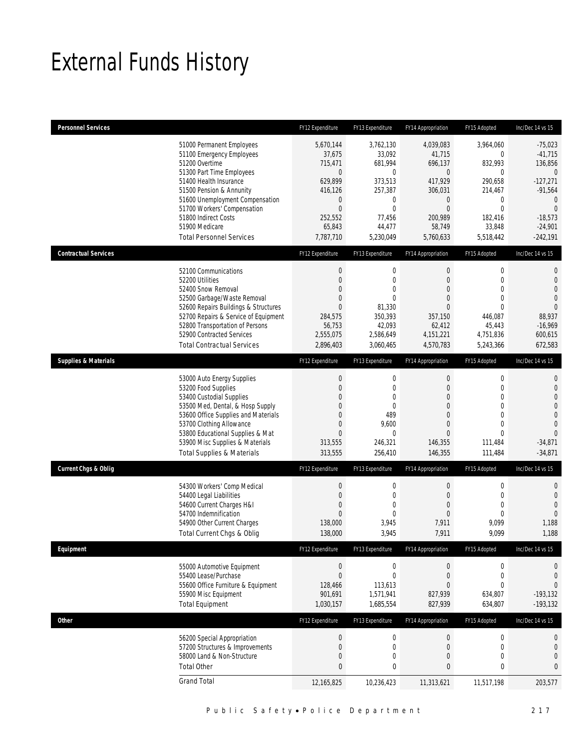# External Funds History

| <b>Personnel Services</b>       |                                                                                                                                                                                                                                                                                                            | FY12 Expenditure                                                                                                               | FY13 Expenditure                                                                                                                       | FY14 Appropriation                                                                                                                          | FY15 Adopted                                                                                                                         | Inc/Dec 14 vs 15                                                                                                                                         |
|---------------------------------|------------------------------------------------------------------------------------------------------------------------------------------------------------------------------------------------------------------------------------------------------------------------------------------------------------|--------------------------------------------------------------------------------------------------------------------------------|----------------------------------------------------------------------------------------------------------------------------------------|---------------------------------------------------------------------------------------------------------------------------------------------|--------------------------------------------------------------------------------------------------------------------------------------|----------------------------------------------------------------------------------------------------------------------------------------------------------|
|                                 | 51000 Permanent Employees<br>51100 Emergency Employees<br>51200 Overtime<br>51300 Part Time Employees<br>51400 Health Insurance<br>51500 Pension & Annunity<br>51600 Unemployment Compensation<br>51700 Workers' Compensation<br>51800 Indirect Costs<br>51900 Medicare<br><b>Total Personnel Services</b> | 5,670,144<br>37,675<br>715,471<br>$\mathbf{0}$<br>629,899<br>416,126<br>0<br>$\mathbf 0$<br>252,552<br>65,843<br>7,787,710     | 3,762,130<br>33,092<br>681,994<br>$\overline{0}$<br>373,513<br>257,387<br>$\mathbf 0$<br>$\mathbf{0}$<br>77,456<br>44,477<br>5,230,049 | 4,039,083<br>41,715<br>696,137<br>$\overline{0}$<br>417,929<br>306,031<br>$\mathbf 0$<br>$\boldsymbol{0}$<br>200,989<br>58,749<br>5,760,633 | 3,964,060<br>0<br>832,993<br>$\mathbf 0$<br>290,658<br>214,467<br>0<br>$\boldsymbol{0}$<br>182,416<br>33,848<br>5,518,442            | $-75,023$<br>$-41,715$<br>136,856<br>$\overline{0}$<br>$-127,271$<br>$-91,564$<br>$\mathbf{0}$<br>$\overline{0}$<br>$-18,573$<br>$-24,901$<br>$-242,191$ |
| <b>Contractual Services</b>     |                                                                                                                                                                                                                                                                                                            | FY12 Expenditure                                                                                                               | FY13 Expenditure                                                                                                                       | FY14 Appropriation                                                                                                                          | FY15 Adopted                                                                                                                         | Inc/Dec 14 vs 15                                                                                                                                         |
|                                 | 52100 Communications<br>52200 Utilities<br>52400 Snow Removal<br>52500 Garbage/Waste Removal<br>52600 Repairs Buildings & Structures<br>52700 Repairs & Service of Equipment<br>52800 Transportation of Persons<br>52900 Contracted Services<br><b>Total Contractual Services</b>                          | $\boldsymbol{0}$<br>$\mathbf 0$<br>$\mathbf{0}$<br>$\mathbf{0}$<br>$\mathbf{0}$<br>284,575<br>56,753<br>2,555,075<br>2,896,403 | $\mathbf 0$<br>$\mathbf 0$<br>$\overline{0}$<br>$\overline{0}$<br>81,330<br>350,393<br>42,093<br>2,586,649<br>3,060,465                | $\boldsymbol{0}$<br>$\mathbf{0}$<br>$\mathbf{0}$<br>$\mathbf{0}$<br>$\overline{0}$<br>357,150<br>62,412<br>4,151,221<br>4,570,783           | $\boldsymbol{0}$<br>$\mathbf 0$<br>$\mathbf{0}$<br>$\mathbf{0}$<br>$\mathbf{0}$<br>446,087<br>45,443<br>4,751,836<br>5,243,366       | $\mathbf 0$<br>$\mathbf 0$<br>$\overline{0}$<br>$\overline{0}$<br>$\overline{0}$<br>88,937<br>$-16,969$<br>600,615<br>672,583                            |
| <b>Supplies &amp; Materials</b> |                                                                                                                                                                                                                                                                                                            | FY12 Expenditure                                                                                                               | FY13 Expenditure                                                                                                                       | FY14 Appropriation                                                                                                                          | FY15 Adopted                                                                                                                         | Inc/Dec 14 vs 15                                                                                                                                         |
|                                 | 53000 Auto Energy Supplies<br>53200 Food Supplies<br>53400 Custodial Supplies<br>53500 Med, Dental, & Hosp Supply<br>53600 Office Supplies and Materials<br>53700 Clothing Allowance<br>53800 Educational Supplies & Mat<br>53900 Misc Supplies & Materials<br><b>Total Supplies &amp; Materials</b>       | 0<br>$\mathbf 0$<br>$\Omega$<br>0<br>$\Omega$<br>$\mathbf 0$<br>$\overline{0}$<br>313,555<br>313,555                           | $\mathbf 0$<br>$\mathbf 0$<br>0<br>$\overline{0}$<br>489<br>9,600<br>$\mathbf{0}$<br>246,321<br>256,410                                | 0<br>$\mathbf{0}$<br>$\mathbf{0}$<br>$\overline{0}$<br>$\overline{0}$<br>$\mathbf{0}$<br>$\mathbf{0}$<br>146,355<br>146,355                 | $\boldsymbol{0}$<br>$\mathbf 0$<br>$\mathbf{0}$<br>$\mathbf 0$<br>$\mathbf{0}$<br>$\mathbf{0}$<br>$\mathbf{0}$<br>111,484<br>111,484 | $\mathbf 0$<br>$\mathbf 0$<br>$\overline{0}$<br>$\overline{0}$<br>$\mathbf 0$<br>$\overline{0}$<br>$\overline{0}$<br>$-34,871$<br>$-34,871$              |
| <b>Current Chgs &amp; Oblig</b> |                                                                                                                                                                                                                                                                                                            | FY12 Expenditure                                                                                                               | FY13 Expenditure                                                                                                                       | FY14 Appropriation                                                                                                                          | FY15 Adopted                                                                                                                         | Inc/Dec 14 vs 15                                                                                                                                         |
|                                 | 54300 Workers' Comp Medical<br>54400 Legal Liabilities<br>54600 Current Charges H&I<br>54700 Indemnification<br>54900 Other Current Charges<br>Total Current Chgs & Oblig                                                                                                                                  | $\boldsymbol{0}$<br>$\mathbf 0$<br>$\mathbf{0}$<br>$\overline{0}$<br>138,000<br>138,000                                        | $\boldsymbol{0}$<br>$\mathbf 0$<br>0<br>$\overline{0}$<br>3,945<br>3,945                                                               | 0<br>$\mathbf{0}$<br>$\mathbf{0}$<br>$\boldsymbol{0}$<br>7,911<br>7,911                                                                     | $\boldsymbol{0}$<br>$\mathbf 0$<br>$\mathbf{0}$<br>$\mathbf{0}$<br>9,099<br>9,099                                                    | $\mathbf 0$<br>$\mathbf 0$<br>$\overline{0}$<br>$\overline{0}$<br>1,188<br>1,188                                                                         |
| Equipment                       |                                                                                                                                                                                                                                                                                                            | FY12 Expenditure                                                                                                               | FY13 Expenditure                                                                                                                       | FY14 Appropriation                                                                                                                          | FY15 Adopted                                                                                                                         | Inc/Dec 14 vs 15                                                                                                                                         |
|                                 | 55000 Automotive Equipment<br>55400 Lease/Purchase<br>55600 Office Furniture & Equipment<br>55900 Misc Equipment<br><b>Total Equipment</b>                                                                                                                                                                 | $\boldsymbol{0}$<br>$\boldsymbol{0}$<br>128,466<br>901,691<br>1,030,157                                                        | $\boldsymbol{0}$<br>$\mathbf 0$<br>113.613<br>1,571,941<br>1,685,554                                                                   | $\boldsymbol{0}$<br>$\boldsymbol{0}$<br>$\overline{0}$<br>827,939<br>827,939                                                                | $\boldsymbol{0}$<br>$\boldsymbol{0}$<br>$\mathbf{0}$<br>634,807<br>634,807                                                           | 0<br>$\mathbf 0$<br>$\overline{0}$<br>$-193, 132$<br>$-193, 132$                                                                                         |
| Other                           |                                                                                                                                                                                                                                                                                                            | FY12 Expenditure                                                                                                               | FY13 Expenditure                                                                                                                       | FY14 Appropriation                                                                                                                          | FY15 Adopted                                                                                                                         | Inc/Dec 14 vs 15                                                                                                                                         |
|                                 | 56200 Special Appropriation<br>57200 Structures & Improvements<br>58000 Land & Non-Structure<br><b>Total Other</b>                                                                                                                                                                                         | $\boldsymbol{0}$<br>$\mathbf 0$<br>0<br>$\bf{0}$                                                                               | $\boldsymbol{0}$<br>$\mathbf 0$<br>0<br>$\bf{0}$                                                                                       | $\boldsymbol{0}$<br>$\boldsymbol{0}$<br>$\boldsymbol{0}$<br>$\bf{0}$                                                                        | $\boldsymbol{0}$<br>$\mathbf 0$<br>$\boldsymbol{0}$<br>$\bf{0}$                                                                      | 0<br>$\boldsymbol{0}$<br>$\mathbf 0$<br>$\bf{0}$                                                                                                         |
|                                 | <b>Grand Total</b>                                                                                                                                                                                                                                                                                         | 12,165,825                                                                                                                     | 10,236,423                                                                                                                             | 11,313,621                                                                                                                                  | 11,517,198                                                                                                                           | 203,577                                                                                                                                                  |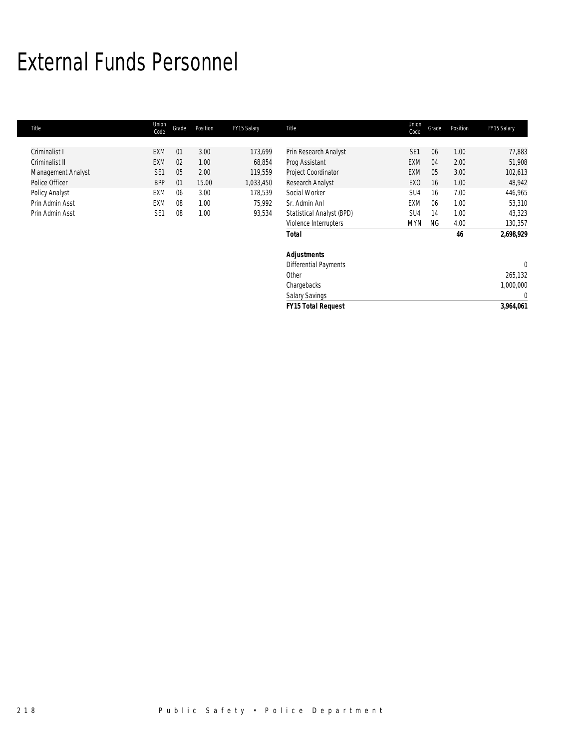# External Funds Personnel

| Title              | Union<br>Code   | Grade | Position | FY15 Salary | Title                        | Union<br>Code   | Grade     | Position | FY15 Salary    |
|--------------------|-----------------|-------|----------|-------------|------------------------------|-----------------|-----------|----------|----------------|
|                    |                 |       |          |             |                              |                 |           |          |                |
| Criminalist I      | EXM             | 01    | 3.00     | 173,699     | Prin Research Analyst        | SE <sub>1</sub> | 06        | 1.00     | 77,883         |
| Criminalist II     | <b>EXM</b>      | 02    | 1.00     | 68,854      | Prog Assistant               | <b>EXM</b>      | 04        | 2.00     | 51,908         |
| Management Analyst | SE <sub>1</sub> | 05    | 2.00     | 119,559     | Project Coordinator          | <b>EXM</b>      | 05        | 3.00     | 102,613        |
| Police Officer     | <b>BPP</b>      | 01    | 15.00    | 1,033,450   | Research Analyst             | EX <sub>0</sub> | 16        | 1.00     | 48,942         |
| Policy Analyst     | EXM             | 06    | 3.00     | 178,539     | Social Worker                | SU4             | 16        | 7.00     | 446,965        |
| Prin Admin Asst    | EXM             | 08    | 1.00     | 75,992      | Sr. Admin Anl                | EXM             | 06        | 1.00     | 53,310         |
| Prin Admin Asst    | SE <sub>1</sub> | 08    | 1.00     | 93,534      | Statistical Analyst (BPD)    | SU4             | 14        | 1.00     | 43,323         |
|                    |                 |       |          |             | Violence Interrupters        | <b>MYN</b>      | <b>NG</b> | 4.00     | 130,357        |
|                    |                 |       |          |             | <b>Total</b>                 |                 |           | 46       | 2,698,929      |
|                    |                 |       |          |             | <b>Adjustments</b>           |                 |           |          |                |
|                    |                 |       |          |             | <b>Differential Payments</b> |                 |           |          | $\overline{0}$ |
|                    |                 |       |          |             | Other                        |                 |           |          | 265,132        |
|                    |                 |       |          |             | Chargebacks                  |                 |           |          | 1,000,000      |
|                    |                 |       |          |             | <b>Salary Savings</b>        |                 |           |          | $\mathbf 0$    |
|                    |                 |       |          |             | <b>FY15 Total Request</b>    |                 |           |          | 3,964,061      |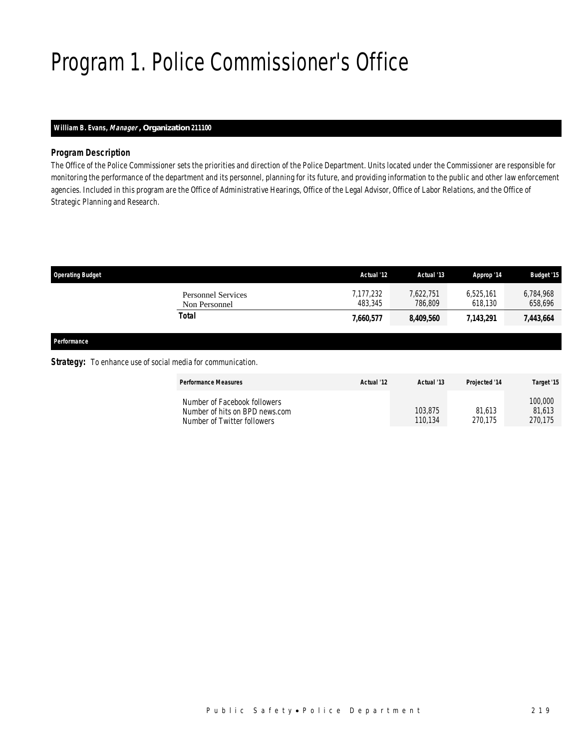# Program 1. Police Commissioner's Office

## *William B. Evans, Manager , Organization 211100*

## *Program Description*

The Office of the Police Commissioner sets the priorities and direction of the Police Department. Units located under the Commissioner are responsible for monitoring the performance of the department and its personnel, planning for its future, and providing information to the public and other law enforcement agencies. Included in this program are the Office of Administrative Hearings, Office of the Legal Advisor, Office of Labor Relations, and the Office of Strategic Planning and Research.

| <b>Operating Budget</b>                    | Actual '12           | Actual '13           | Approp '14           | <b>Budget '15</b>    |
|--------------------------------------------|----------------------|----------------------|----------------------|----------------------|
| <b>Personnel Services</b><br>Non Personnel | 7,177,232<br>483.345 | 7,622,751<br>786.809 | 6.525.161<br>618.130 | 6,784,968<br>658,696 |
| Total                                      | 7,660,577            | 8,409,560            | 7,143,291            | 7,443,664            |
|                                            |                      |                      |                      |                      |

*Performance* 

### **Strategy:** To enhance use of social media for communication.

| <b>Performance Measures</b>                                                                   | Actual '12 | Actual '13         | <b>Projected '14</b> | Target '15                   |
|-----------------------------------------------------------------------------------------------|------------|--------------------|----------------------|------------------------------|
| Number of Facebook followers<br>Number of hits on BPD news.com<br>Number of Twitter followers |            | 103,875<br>110.134 | 81.613<br>270.175    | 100,000<br>81.613<br>270.175 |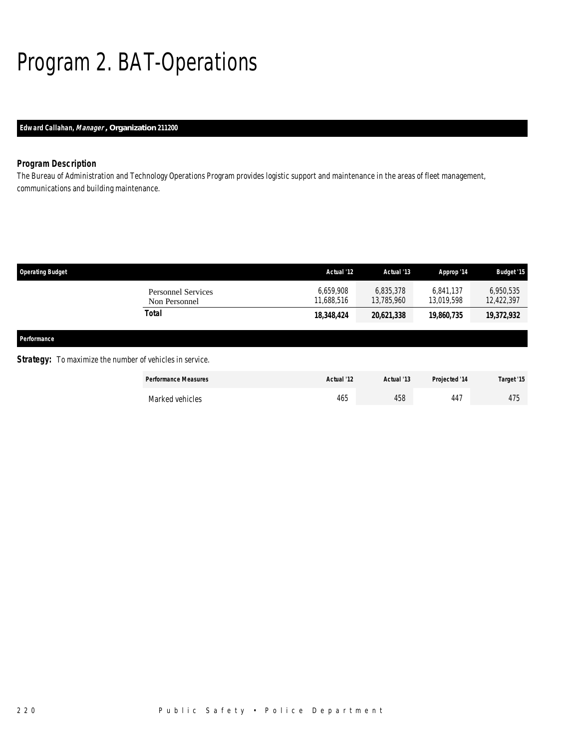# Program 2. BAT-Operations

## *Edward Callahan, Manager , Organization 211200*

## *Program Description*

The Bureau of Administration and Technology Operations Program provides logistic support and maintenance in the areas of fleet management, communications and building maintenance.

| <b>Operating Budget</b>                                         |                                            | Actual '12              | Actual '13              | Approp '14              | Budget '15              |
|-----------------------------------------------------------------|--------------------------------------------|-------------------------|-------------------------|-------------------------|-------------------------|
|                                                                 | <b>Personnel Services</b><br>Non Personnel | 6,659,908<br>11,688,516 | 6,835,378<br>13,785,960 | 6,841,137<br>13,019,598 | 6,950,535<br>12,422,397 |
|                                                                 | <b>Total</b>                               | 18,348,424              | 20,621,338              | 19,860,735              | 19,372,932              |
| Performance                                                     |                                            |                         |                         |                         |                         |
| <b>Strategy:</b> To maximize the number of vehicles in service. |                                            |                         |                         |                         |                         |
|                                                                 | <b>Performance Measures</b>                | Actual '12              | Actual '13              | Projected '14           | Target '15              |

Marked vehicles 475 465 465 447 475

220 Public Safety • Police Department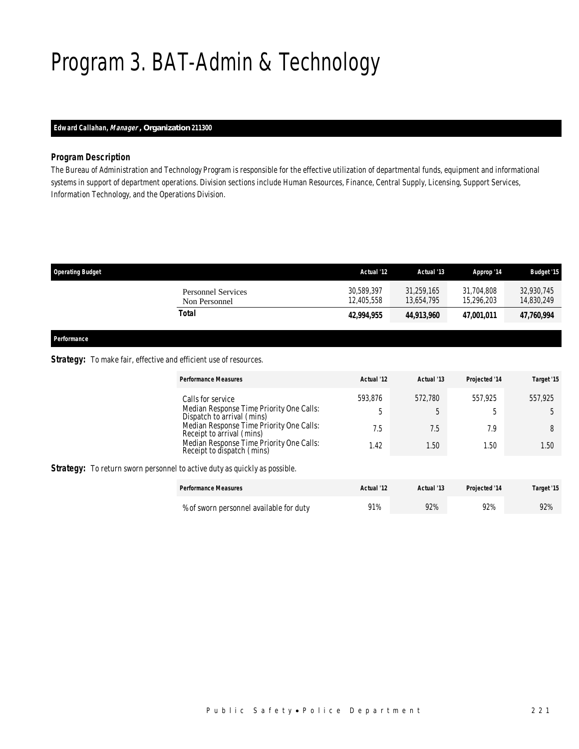# Program 3. BAT-Admin & Technology

## *Edward Callahan, Manager , Organization 211300*

## *Program Description*

The Bureau of Administration and Technology Program is responsible for the effective utilization of departmental funds, equipment and informational systems in support of department operations. Division sections include Human Resources, Finance, Central Supply, Licensing, Support Services, Information Technology, and the Operations Division.

| <b>Operating Budget</b>                    | Actual '12               | Actual '13               | Approp '14               | <b>Budget '15</b>        |
|--------------------------------------------|--------------------------|--------------------------|--------------------------|--------------------------|
| <b>Personnel Services</b><br>Non Personnel | 30,589,397<br>12.405.558 | 31,259,165<br>13,654,795 | 31,704,808<br>15,296,203 | 32,930,745<br>14,830,249 |
| Total                                      | 42.994.955               | 44,913,960               | 47.001.011               | 47,760,994               |
|                                            |                          |                          |                          |                          |

*Performance* 

## **Strategy:** To make fair, effective and efficient use of resources.

|                                                                                   | <b>Performance Measures</b>                                            | Actual '12 | Actual '13 | Projected '14 | Target '15 |
|-----------------------------------------------------------------------------------|------------------------------------------------------------------------|------------|------------|---------------|------------|
|                                                                                   | Calls for service                                                      | 593.876    | 572.780    | 557.925       | 557.925    |
|                                                                                   | Median Response Time Priority One Calls:<br>Dispatch to arrival (mins) | 5          | 5          | b             |            |
|                                                                                   | Median Response Time Priority One Calls:<br>Receipt to arrival (mins)  | 7.5        | 7.5        | 7.9           | 8          |
|                                                                                   | Median Response Time Priority One Calls:<br>Receipt to dispatch (mins) | 1.42       | 1.50       | 1.50          | 1.50       |
| <b>Strategy:</b> To return sworn personnel to active duty as quickly as possible. |                                                                        |            |            |               |            |
|                                                                                   | <b>Performance Measures</b>                                            | Actual '12 | Actual '13 | Projected '14 | Target '15 |
|                                                                                   | % of sworn personnel available for duty                                | 91%        | 92%        | 92%           | 92%        |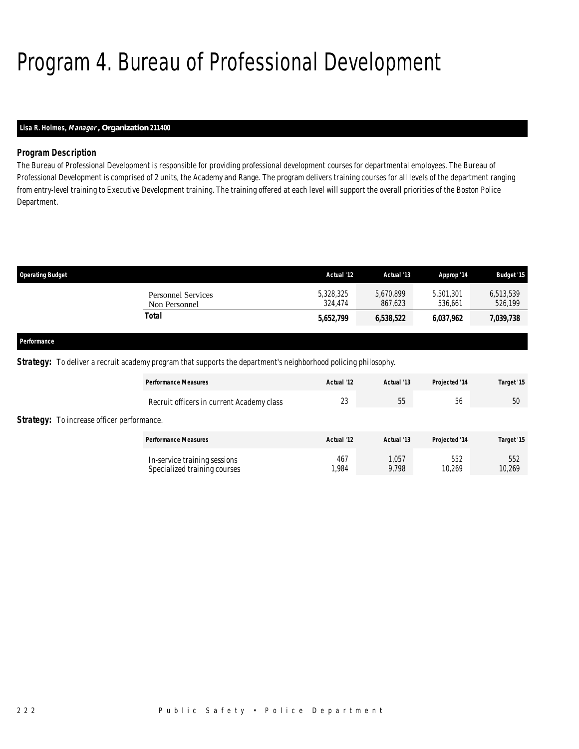# Program 4. Bureau of Professional Development

## *Lisa R. Holmes, Manager , Organization 211400*

## *Program Description*

The Bureau of Professional Development is responsible for providing professional development courses for departmental employees. The Bureau of Professional Development is comprised of 2 units, the Academy and Range. The program delivers training courses for all levels of the department ranging from entry-level training to Executive Development training. The training offered at each level will support the overall priorities of the Boston Police Department.

| <b>Operating Budget</b>                    | Actual '12           | Actual '13           | Approp '14           | <b>Budget '15</b>    |
|--------------------------------------------|----------------------|----------------------|----------------------|----------------------|
| <b>Personnel Services</b><br>Non Personnel | 5,328,325<br>324.474 | 5,670,899<br>867.623 | 5,501,301<br>536.661 | 6,513,539<br>526,199 |
| Total                                      | 5,652,799            | 6,538,522            | 6,037,962            | 7,039,738            |
|                                            |                      |                      |                      |                      |

#### *Performance*

**Strategy:** To deliver a recruit academy program that supports the department's neighborhood policing philosophy.

|                                                   | <b>Performance Measures</b>                                  | Actual '12   | Actual '13     | Projected '14 | Target '15    |
|---------------------------------------------------|--------------------------------------------------------------|--------------|----------------|---------------|---------------|
|                                                   | Recruit officers in current Academy class                    | 23           | 55             | 56            | 50            |
| <b>Strategy:</b> To increase officer performance. |                                                              |              |                |               |               |
|                                                   | <b>Performance Measures</b>                                  | Actual '12   | Actual '13     | Projected '14 | Target '15    |
|                                                   | In-service training sessions<br>Specialized training courses | 467<br>1.984 | 1,057<br>9,798 | 552<br>10,269 | 552<br>10,269 |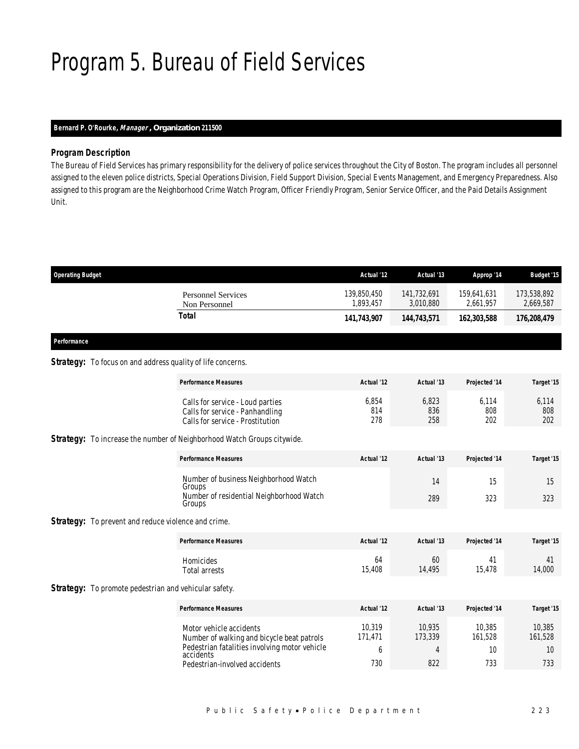# Program 5. Bureau of Field Services

## *Bernard P. O'Rourke, Manager , Organization 211500*

## *Program Description*

The Bureau of Field Services has primary responsibility for the delivery of police services throughout the City of Boston. The program includes all personnel assigned to the eleven police districts, Special Operations Division, Field Support Division, Special Events Management, and Emergency Preparedness. Also assigned to this program are the Neighborhood Crime Watch Program, Officer Friendly Program, Senior Service Officer, and the Paid Details Assignment Unit.

| <b>Operating Budget</b>                                            |                                                                                                                                                                      | Actual '12                    | Actual '13                                 | Approp '14                     | <b>Budget '15</b>              |
|--------------------------------------------------------------------|----------------------------------------------------------------------------------------------------------------------------------------------------------------------|-------------------------------|--------------------------------------------|--------------------------------|--------------------------------|
|                                                                    | <b>Personnel Services</b><br>Non Personnel                                                                                                                           | 139,850,450<br>1,893,457      | 141,732,691<br>3,010,880                   | 159,641,631<br>2,661,957       | 173,538,892<br>2,669,587       |
|                                                                    | <b>Total</b>                                                                                                                                                         | 141,743,907                   | 144,743,571                                | 162,303,588                    | 176,208,479                    |
| Performance                                                        |                                                                                                                                                                      |                               |                                            |                                |                                |
| <b>Strategy:</b> To focus on and address quality of life concerns. |                                                                                                                                                                      |                               |                                            |                                |                                |
|                                                                    | <b>Performance Measures</b>                                                                                                                                          | Actual '12                    | Actual '13                                 | Projected '14                  | Target '15                     |
|                                                                    | Calls for service - Loud parties<br>Calls for service - Panhandling<br>Calls for service - Prostitution                                                              | 6,854<br>814<br>278           | 6,823<br>836<br>258                        | 6,114<br>808<br>202            | 6.114<br>808<br>202            |
|                                                                    | <b>Strategy:</b> To increase the number of Neighborhood Watch Groups citywide.                                                                                       |                               |                                            |                                |                                |
|                                                                    | <b>Performance Measures</b>                                                                                                                                          | Actual '12                    | Actual '13                                 | Projected '14                  | Target '15                     |
|                                                                    | Number of business Neighborhood Watch<br>Groups<br>Number of residential Neighborhood Watch<br>Groups                                                                |                               | 14<br>289                                  | 15<br>323                      | 15<br>323                      |
| <b>Strategy:</b> To prevent and reduce violence and crime.         |                                                                                                                                                                      |                               |                                            |                                |                                |
|                                                                    | <b>Performance Measures</b>                                                                                                                                          | Actual '12                    | Actual '13                                 | Projected '14                  | Target '15                     |
|                                                                    | Homicides<br><b>Total arrests</b>                                                                                                                                    | 64<br>15,408                  | 60<br>14.495                               | 41<br>15,478                   | 41<br>14,000                   |
| <b>Strategy:</b> To promote pedestrian and vehicular safety.       |                                                                                                                                                                      |                               |                                            |                                |                                |
|                                                                    | <b>Performance Measures</b>                                                                                                                                          | Actual '12                    | Actual '13                                 | Projected '14                  | Target '15                     |
|                                                                    | Motor vehicle accidents<br>Number of walking and bicycle beat patrols<br>Pedestrian fatalities involving motor vehicle<br>accidents<br>Pedestrian-involved accidents | 10,319<br>171,471<br>6<br>730 | 10,935<br>173,339<br>$\overline{4}$<br>822 | 10,385<br>161,528<br>10<br>733 | 10,385<br>161,528<br>10<br>733 |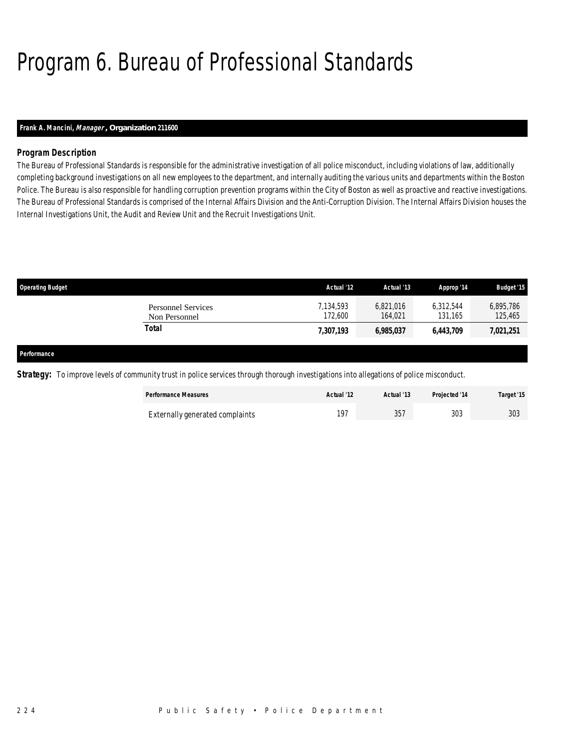# Program 6. Bureau of Professional Standards

## *Frank A. Mancini, Manager , Organization 211600*

## *Program Description*

The Bureau of Professional Standards is responsible for the administrative investigation of all police misconduct, including violations of law, additionally completing background investigations on all new employees to the department, and internally auditing the various units and departments within the Boston Police. The Bureau is also responsible for handling corruption prevention programs within the City of Boston as well as proactive and reactive investigations. The Bureau of Professional Standards is comprised of the Internal Affairs Division and the Anti-Corruption Division. The Internal Affairs Division houses the Internal Investigations Unit, the Audit and Review Unit and the Recruit Investigations Unit.

| <b>Operating Budget</b>             | Actual '12           | Actual '13           | Approp '14           | <b>Budget '15</b>    |
|-------------------------------------|----------------------|----------------------|----------------------|----------------------|
| Personnel Services<br>Non Personnel | 7,134,593<br>172,600 | 6,821,016<br>164.021 | 6,312,544<br>131.165 | 6,895,786<br>125,465 |
| Total                               | 7,307,193            | 6,985,037            | 6,443,709            | 7,021,251            |
|                                     |                      |                      |                      |                      |

#### *Performance*

**Strategy:** To improve levels of community trust in police services through thorough investigations into allegations of police misconduct.

| <b>Performance Measures</b>     | Actual '12 | Actual '13 | Projected '14 | Target '15 |
|---------------------------------|------------|------------|---------------|------------|
| Externally generated complaints | 107        | 357        | 303           | 303        |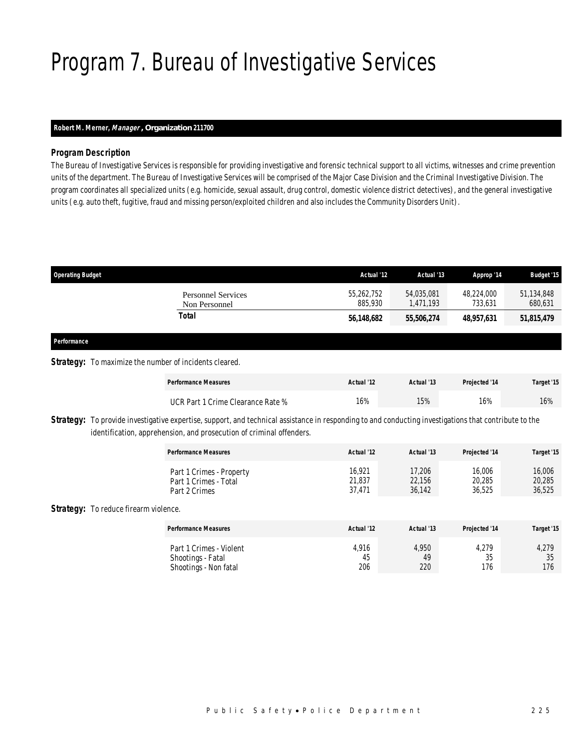# Program 7. Bureau of Investigative Services

## *Robert M. Merner, Manager , Organization 211700*

## *Program Description*

The Bureau of Investigative Services is responsible for providing investigative and forensic technical support to all victims, witnesses and crime prevention units of the department. The Bureau of Investigative Services will be comprised of the Major Case Division and the Criminal Investigative Division. The program coordinates all specialized units (e.g. homicide, sexual assault, drug control, domestic violence district detectives), and the general investigative units (e.g. auto theft, fugitive, fraud and missing person/exploited children and also includes the Community Disorders Unit).

| <b>Operating Budget</b>                                       |                                            | Actual '12            | Actual '13              | Approp '14            | <b>Budget '15</b>     |
|---------------------------------------------------------------|--------------------------------------------|-----------------------|-------------------------|-----------------------|-----------------------|
|                                                               | <b>Personnel Services</b><br>Non Personnel | 55,262,752<br>885,930 | 54,035,081<br>1,471,193 | 48,224,000<br>733,631 | 51,134,848<br>680,631 |
|                                                               | <b>Total</b>                               | 56,148,682            | 55,506,274              | 48,957,631            | 51,815,479            |
| Performance                                                   |                                            |                       |                         |                       |                       |
| <b>Strategy:</b> To maximize the number of incidents cleared. |                                            |                       |                         |                       |                       |
|                                                               | <b>Performance Measures</b>                | Actual '12            | Actual '13              | Projected '14         | Target '15            |

| Strategy: To provide investigative expertise, support, and technical assistance in responding to and conducting investigations that contribute to the |
|-------------------------------------------------------------------------------------------------------------------------------------------------------|
| identification, apprehension, and prosecution of criminal offenders.                                                                                  |

| <b>Performance Measures</b> | Actual '12 | Actual '13 | <b>Projected '14</b> | Target '15 |
|-----------------------------|------------|------------|----------------------|------------|
| Part 1 Crimes - Property    | 16.921     | 17,206     | 16,006               | 16,006     |
| Part 1 Crimes - Total       | 21,837     | 22,156     | 20,285               | 20,285     |
| Part 2 Crimes               | 37.471     | 36.142     | 36.525               | 36,525     |

UCR Part 1 Crime Clearance Rate % 16% 16% 15% 16% 16% 16% 16%

### Strategy: To reduce firearm violence.

| <b>Performance Measures</b>                                           | Actual '12         | Actual '13         | Projected '14            | Target '15         |
|-----------------------------------------------------------------------|--------------------|--------------------|--------------------------|--------------------|
| Part 1 Crimes - Violent<br>Shootings - Fatal<br>Shootings - Non fatal | 4,916<br>45<br>206 | 4,950<br>49<br>220 | 4,279<br>२६<br>JJ<br>176 | 4,279<br>35<br>176 |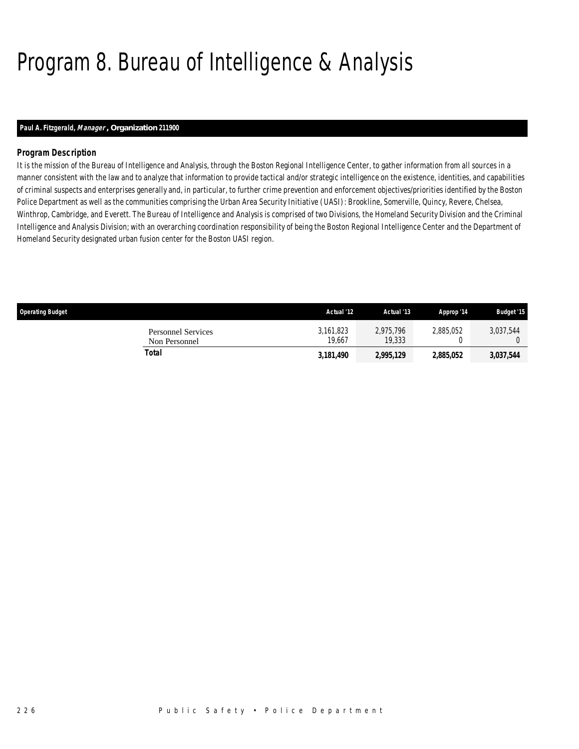# Program 8. Bureau of Intelligence & Analysis

## *Paul A. Fitzgerald, Manager , Organization 211900*

## *Program Description*

It is the mission of the Bureau of Intelligence and Analysis, through the Boston Regional Intelligence Center, to gather information from all sources in a manner consistent with the law and to analyze that information to provide tactical and/or strategic intelligence on the existence, identities, and capabilities of criminal suspects and enterprises generally and, in particular, to further crime prevention and enforcement objectives/priorities identified by the Boston Police Department as well as the communities comprising the Urban Area Security Initiative (UASI): Brookline, Somerville, Quincy, Revere, Chelsea, Winthrop, Cambridge, and Everett. The Bureau of Intelligence and Analysis is comprised of two Divisions, the Homeland Security Division and the Criminal Intelligence and Analysis Division; with an overarching coordination responsibility of being the Boston Regional Intelligence Center and the Department of Homeland Security designated urban fusion center for the Boston UASI region.

| <b>Operating Budget</b>                    | Actual '12          | Actual '13          | Approp '14 | <b>Budget '15</b> |
|--------------------------------------------|---------------------|---------------------|------------|-------------------|
| <b>Personnel Services</b><br>Non Personnel | 3.161.823<br>19.667 | 2.975.796<br>19,333 | 2.885.052  | 3,037,544         |
| Total                                      | 3,181,490           | 2,995,129           | 2,885,052  | 3,037,544         |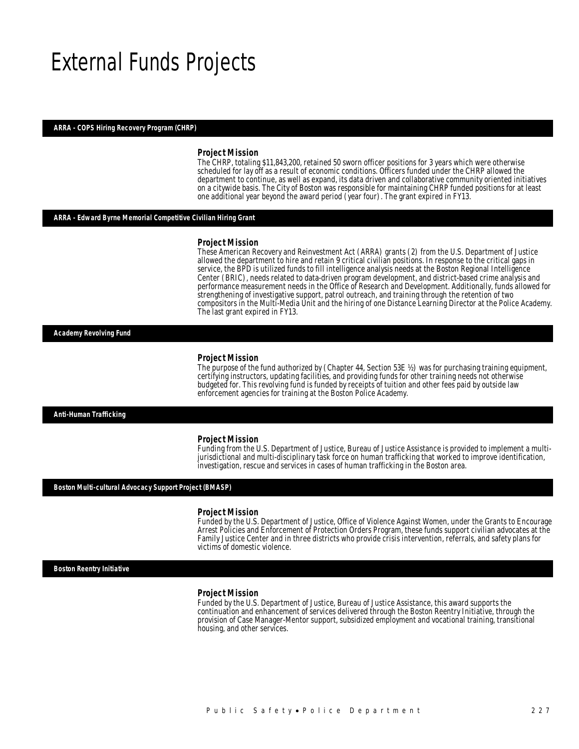## External Funds Projects

### *ARRA - COPS Hiring Recovery Program (CHRP)*

#### *Project Mission*

The CHRP, totaling \$11,843,200, retained 50 sworn officer positions for 3 years which were otherwise scheduled for lay off as a result of economic conditions. Officers funded under the CHRP allowed the department to continue, as well as expand, its data driven and collaborative community oriented initiatives on a citywide basis. The City of Boston was responsible for maintaining CHRP funded positions for at least one additional year beyond the award period (year four). The grant expired in FY13.

### *ARRA - Edward Byrne Memorial Competitive Civilian Hiring Grant*

#### *Project Mission*

These American Recovery and Reinvestment Act (ARRA) grants (2) from the U.S. Department of Justice allowed the department to hire and retain 9 critical civilian positions. In response to the critical gaps in service, the BPD is utilized funds to fill intelligence analysis needs at the Boston Regional Intelligence Center (BRIC), needs related to data-driven program development, and district-based crime analysis and performance measurement needs in the Office of Research and Development. Additionally, funds allowed for strengthening of investigative support, patrol outreach, and training through the retention of two compositors in the Multi-Media Unit and the hiring of one Distance Learning Director at the Police Academy. The last grant expired in FY13.

*Academy Revolving Fund* 

#### *Project Mission*

The purpose of the fund authorized by (Chapter 44, Section 53E ½) was for purchasing training equipment, certifying instructors, updating facilities, and providing funds for other training needs not otherwise budgeted for. This revolving fund is funded by receipts of tuition and other fees paid by outside law enforcement agencies for training at the Boston Police Academy.

*Anti-Human Trafficking* 

#### *Project Mission*

Funding from the U.S. Department of Justice, Bureau of Justice Assistance is provided to implement a multijurisdictional and multi-disciplinary task force on human trafficking that worked to improve identification, investigation, rescue and services in cases of human trafficking in the Boston area.

#### *Boston Multi-cultural Advocacy Support Project (BMASP)*

#### *Project Mission*

Funded by the U.S. Department of Justice, Office of Violence Against Women, under the Grants to Encourage Arrest Policies and Enforcement of Protection Orders Program, these funds support civilian advocates at the Family Justice Center and in three districts who provide crisis intervention, referrals, and safety plans for victims of domestic violence.

*Boston Reentry Initiative* 

#### *Project Mission*

Funded by the U.S. Department of Justice, Bureau of Justice Assistance, this award supports the continuation and enhancement of services delivered through the Boston Reentry Initiative, through the provision of Case Manager-Mentor support, subsidized employment and vocational training, transitional housing, and other services.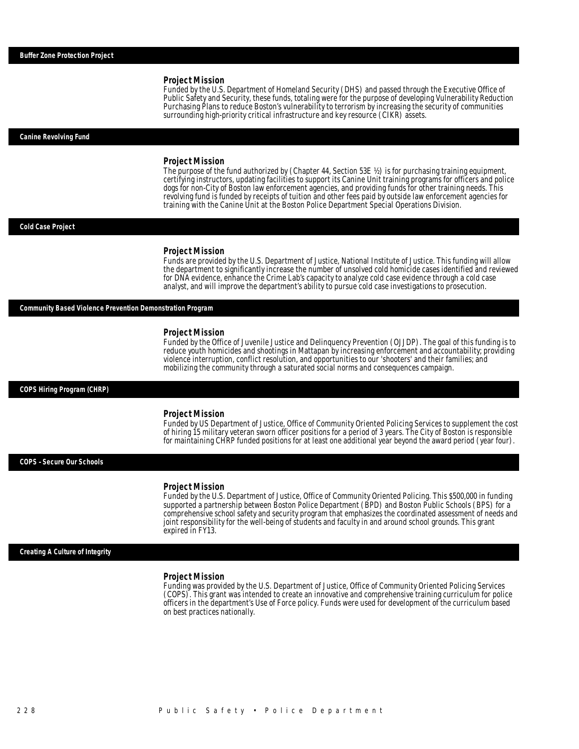Funded by the U.S. Department of Homeland Security (DHS) and passed through the Executive Office of Public Safety and Security, these funds, totaling were for the purpose of developing Vulnerability Reduction Purchasing Plans to reduce Boston's vulnerability to terrorism by increasing the security of communities surrounding high-priority critical infrastructure and key resource (CIKR) assets.

#### *Canine Revolving Fund*

#### *Project Mission*

The purpose of the fund authorized by (Chapter 44, Section 53E ½) is for purchasing training equipment, certifying instructors, updating facilities to support its Canine Unit training programs for officers and police dogs for non-City of Boston law enforcement agencies, and providing funds for other training needs. This revolving fund is funded by receipts of tuition and other fees paid by outside law enforcement agencies for training with the Canine Unit at the Boston Police Department Special Operations Division.

#### *Cold Case Project*

#### *Project Mission*

Funds are provided by the U.S. Department of Justice, National Institute of Justice. This funding will allow the department to significantly increase the number of unsolved cold homicide cases identified and reviewed for DNA evidence, enhance the Crime Lab's capacity to analyze cold case evidence through a cold case analyst, and will improve the department's ability to pursue cold case investigations to prosecution.

## *Community Based Violence Prevention Demonstration Program*

#### *Project Mission*

Funded by the Office of Juvenile Justice and Delinquency Prevention (OJJDP). The goal of this funding is to reduce youth homicides and shootings in Mattapan by increasing enforcement and accountability; providing violence interruption, conflict resolution, and opportunities to our 'shooters' and their families; and mobilizing the community through a saturated social norms and consequences campaign.

#### *COPS Hiring Program (CHRP)*

#### *Project Mission*

Funded by US Department of Justice, Office of Community Oriented Policing Services to supplement the cost of hiring 15 military veteran sworn officer positions for a period of 3 years. The City of Boston is responsible for maintaining CHRP funded positions for at least one additional year beyond the award period (year four).

### *COPS –Secure Our Schools*

#### *Project Mission*

Funded by the U.S. Department of Justice, Office of Community Oriented Policing. This \$500,000 in funding supported a partnership between Boston Police Department (BPD) and Boston Public Schools (BPS) for a comprehensive school safety and security program that emphasizes the coordinated assessment of needs and joint responsibility for the well-being of students and faculty in and around school grounds. This grant expired in FY13.

#### *Creating A Culture of Integrity*

#### *Project Mission*

Funding was provided by the U.S. Department of Justice, Office of Community Oriented Policing Services (COPS). This grant was intended to create an innovative and comprehensive training curriculum for police officers in the department's Use of Force policy. Funds were used for development of the curriculum based on best practices nationally.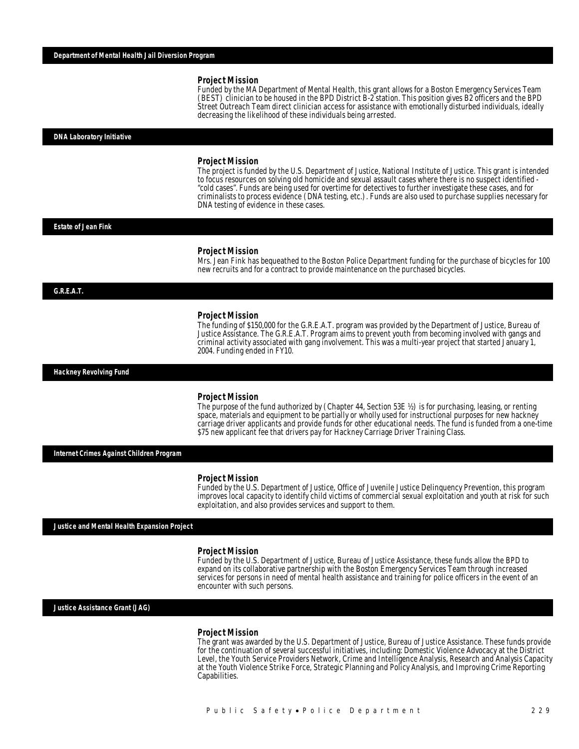Funded by the MA Department of Mental Health, this grant allows for a Boston Emergency Services Team (BEST) clinician to be housed in the BPD District B-2 station. This position gives B2 officers and the BPD Street Outreach Team direct clinician access for assistance with emotionally disturbed individuals, ideally decreasing the likelihood of these individuals being arrested.

#### *DNA Laboratory Initiative*

#### *Project Mission*

The project is funded by the U.S. Department of Justice, National Institute of Justice. This grant is intended to focus resources on solving old homicide and sexual assault cases where there is no suspect identified - "cold cases". Funds are being used for overtime for detectives to further investigate these cases, and for criminalists to process evidence (DNA testing, etc.). Funds are also used to purchase supplies necessary for DNA testing of evidence in these cases.

#### *Estate of Jean Fink*

#### *Project Mission*

Mrs. Jean Fink has bequeathed to the Boston Police Department funding for the purchase of bicycles for 100 new recruits and for a contract to provide maintenance on the purchased bicycles.

### *G.R.E.A.T.*

#### *Project Mission*

The funding of \$150,000 for the G.R.E.A.T. program was provided by the Department of Justice, Bureau of Justice Assistance. The G.R.E.A.T. Program aims to prevent youth from becoming involved with gangs and criminal activity associated with gang involvement. This was a multi-year project that started January 1, 2004. Funding ended in FY10.

*Hackney Revolving Fund* 

#### *Project Mission*

The purpose of the fund authorized by (Chapter 44, Section 53E ½) is for purchasing, leasing, or renting space, materials and equipment to be partially or wholly used for instructional purposes for new hackney carriage driver applicants and provide funds for other educational needs. The fund is funded from a one-time \$75 new applicant fee that drivers pay for Hackney Carriage Driver Training Class.

*Internet Crimes Against Children Program* 

#### *Project Mission*

Funded by the U.S. Department of Justice, Office of Juvenile Justice Delinquency Prevention, this program improves local capacity to identify child victims of commercial sexual exploitation and youth at risk for such exploitation, and also provides services and support to them.

*Justice and Mental Health Expansion Project* 

#### *Project Mission*

Funded by the U.S. Department of Justice, Bureau of Justice Assistance, these funds allow the BPD to expand on its collaborative partnership with the Boston Emergency Services Team through increased services for persons in need of mental health assistance and training for police officers in the event of an encounter with such persons.

*Justice Assistance Grant (JAG)* 

#### *Project Mission*

The grant was awarded by the U.S. Department of Justice, Bureau of Justice Assistance. These funds provide for the continuation of several successful initiatives, including: Domestic Violence Advocacy at the District Level, the Youth Service Providers Network, Crime and Intelligence Analysis, Research and Analysis Capacity at the Youth Violence Strike Force, Strategic Planning and Policy Analysis, and Improving Crime Reporting Capabilities.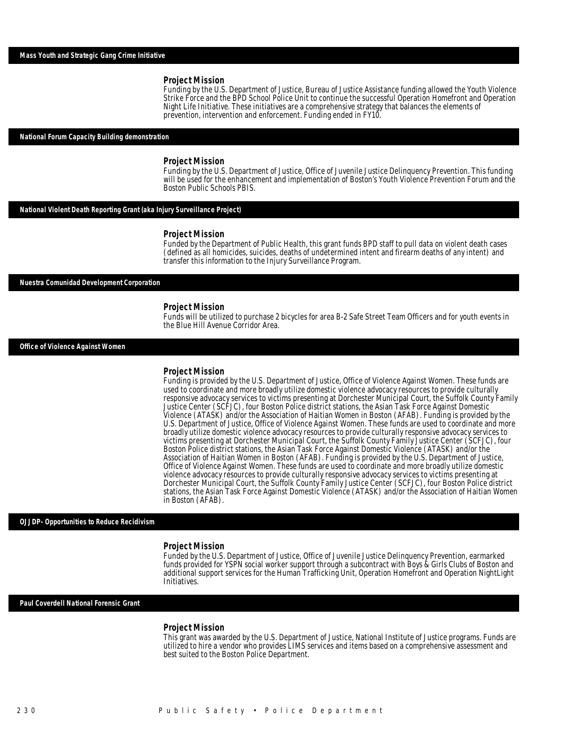Funding by the U.S. Department of Justice, Bureau of Justice Assistance funding allowed the Youth Violence Strike Force and the BPD School Police Unit to continue the successful Operation Homefront and Operation Night Life Initiative. These initiatives are a comprehensive strategy that balances the elements of prevention, intervention and enforcement. Funding ended in FY10.

#### *National Forum Capacity Building demonstration*

#### *Project Mission*

Î

Funding by the U.S. Department of Justice, Office of Juvenile Justice Delinquency Prevention. This funding will be used for the enhancement and implementation of Boston's Youth Violence Prevention Forum and the Boston Public Schools PBIS.

*National Violent Death Reporting Grant (aka Injury Surveillance Project)* 

#### *Project Mission*

Funded by the Department of Public Health, this grant funds BPD staff to pull data on violent death cases (defined as all homicides, suicides, deaths of undetermined intent and firearm deaths of any intent) and transfer this information to the Injury Surveillance Program.

#### *Nuestra Comunidad Development Corporation*

#### *Project Mission*

Funds will be utilized to purchase 2 bicycles for area B-2 Safe Street Team Officers and for youth events in the Blue Hill Avenue Corridor Area.

*Office of Violence Against Women* 

#### *Project Mission*

Funding is provided by the U.S. Department of Justice, Office of Violence Against Women. These funds are used to coordinate and more broadly utilize domestic violence advocacy resources to provide culturally responsive advocacy services to victims presenting at Dorchester Municipal Court, the Suffolk County Family Justice Center (SCFJC), four Boston Police district stations, the Asian Task Force Against Domestic Violence (ATASK) and/or the Association of Haitian Women in Boston (AFAB). Funding is provided by the U.S. Department of Justice, Office of Violence Against Women. These funds are used to coordinate and more broadly utilize domestic violence advocacy resources to provide culturally responsive advocacy services to victims presenting at Dorchester Municipal Court, the Suffolk County Family Justice Center (SCFJC), four Boston Police district stations, the Asian Task Force Against Domestic Violence (ATASK) and/or the Association of Haitian Women in Boston (AFAB). Funding is provided by the U.S. Department of Justice, Office of Violence Against Women. These funds are used to coordinate and more broadly utilize domestic violence advocacy resources to provide culturally responsive advocacy services to victims presenting at Dorchester Municipal Court, the Suffolk County Family Justice Center (SCFJC), four Boston Police district stations, the Asian Task Force Against Domestic Violence (ATASK) and/or the Association of Haitian Women in Boston (AFAB).

#### *OJJDP- Opportunities to Reduce Recidivism*

#### *Project Mission*

Funded by the U.S. Department of Justice, Office of Juvenile Justice Delinquency Prevention, earmarked funds provided for YSPN social worker support through a subcontract with Boys & Girls Clubs of Boston and additional support services for the Human Trafficking Unit, Operation Homefront and Operation NightLight Initiatives.

#### *Paul Coverdell National Forensic Grant*

#### *Project Mission*

This grant was awarded by the U.S. Department of Justice, National Institute of Justice programs. Funds are utilized to hire a vendor who provides LIMS services and items based on a comprehensive assessment and best suited to the Boston Police Department.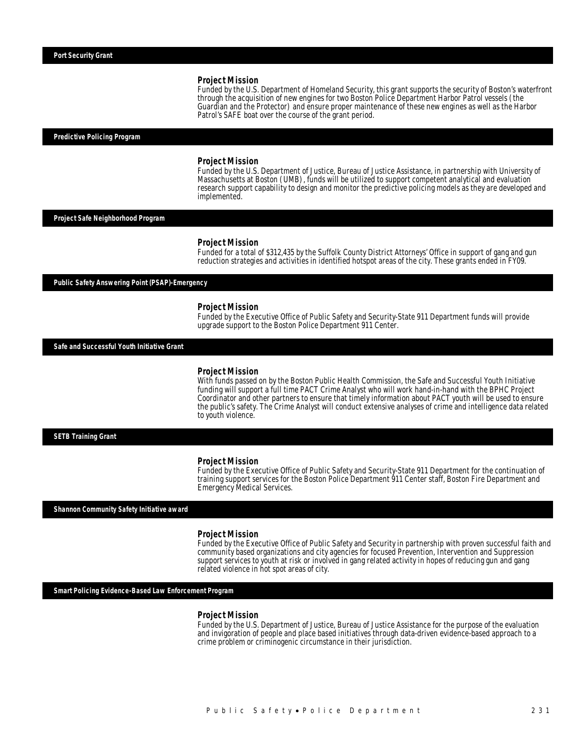Funded by the U.S. Department of Homeland Security, this grant supports the security of Boston's waterfront through the acquisition of new engines for two Boston Police Department Harbor Patrol vessels (the Guardian and the Protector) and ensure proper maintenance of these new engines as well as the Harbor Patrol's SAFE boat over the course of the grant period.

#### *Predictive Policing Program*

#### *Project Mission*

Funded by the U.S. Department of Justice, Bureau of Justice Assistance, in partnership with University of Massachusetts at Boston (UMB), funds will be utilized to support competent analytical and evaluation research support capability to design and monitor the predictive policing models as they are developed and implemented.

## *Project Safe Neighborhood Program*

#### *Project Mission*

Funded for a total of \$312,435 by the Suffolk County District Attorneys' Office in support of gang and gun reduction strategies and activities in identified hotspot areas of the city. These grants ended in FY09.

*Public Safety Answering Point (PSAP)-Emergency* 

#### *Project Mission*

Funded by the Executive Office of Public Safety and Security-State 911 Department funds will provide upgrade support to the Boston Police Department 911 Center.

*Safe and Successful Youth Initiative Grant* 

#### *Project Mission*

With funds passed on by the Boston Public Health Commission, the Safe and Successful Youth Initiative funding will support a full time PACT Crime Analyst who will work hand-in-hand with the BPHC Project Coordinator and other partners to ensure that timely information about PACT youth will be used to ensure the public's safety. The Crime Analyst will conduct extensive analyses of crime and intelligence data related to youth violence.

*SETB Training Grant* 

#### *Project Mission*

Funded by the Executive Office of Public Safety and Security-State 911 Department for the continuation of training support services for the Boston Police Department 911 Center staff, Boston Fire Department and Emergency Medical Services.

*Shannon Community Safety Initiative award* 

#### *Project Mission*

Funded by the Executive Office of Public Safety and Security in partnership with proven successful faith and community based organizations and city agencies for focused Prevention, Intervention and Suppression support services to youth at risk or involved in gang related activity in hopes of reducing gun and gang related violence in hot spot areas of city.

### *Smart Policing Evidence-Based Law Enforcement Program*

#### *Project Mission*

Funded by the U.S. Department of Justice, Bureau of Justice Assistance for the purpose of the evaluation and invigoration of people and place based initiatives through data-driven evidence-based approach to a crime problem or criminogenic circumstance in their jurisdiction.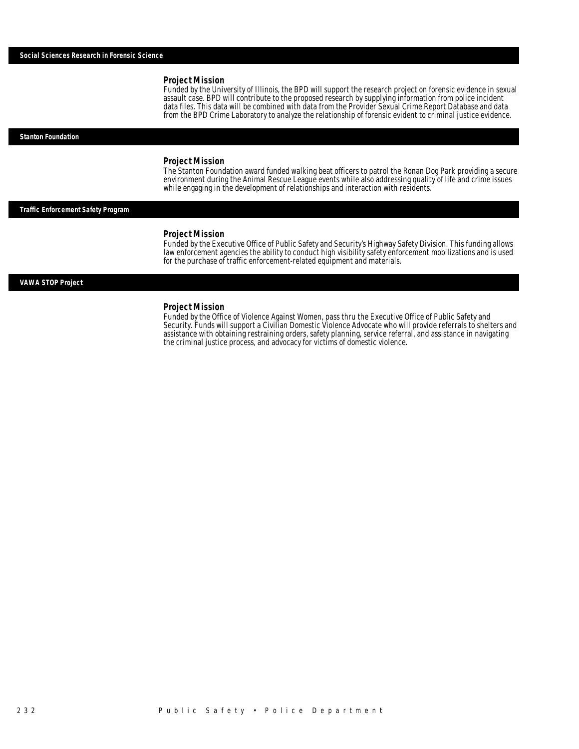Funded by the University of Illinois, the BPD will support the research project on forensic evidence in sexual assault case. BPD will contribute to the proposed research by supplying information from police incident data files. This data will be combined with data from the Provider Sexual Crime Report Database and data from the BPD Crime Laboratory to analyze the relationship of forensic evident to criminal justice evidence.

#### *Stanton Foundation*

#### *Project Mission*

The Stanton Foundation award funded walking beat officers to patrol the Ronan Dog Park providing a secure environment during the Animal Rescue League events while also addressing quality of life and crime issues while engaging in the development of relationships and interaction with residents.

### *Traffic Enforcement Safety Program*

#### *Project Mission*

Funded by the Executive Office of Public Safety and Security's Highway Safety Division. This funding allows law enforcement agencies the ability to conduct high visibility safety enforcement mobilizations and is used for the purchase of traffic enforcement-related equipment and materials.

#### *VAWA STOP Project*

#### *Project Mission*

Funded by the Office of Violence Against Women, pass thru the Executive Office of Public Safety and Security. Funds will support a Civilian Domestic Violence Advocate who will provide referrals to shelters and assistance with obtaining restraining orders, safety planning, service referral, and assistance in navigating the criminal justice process, and advocacy for victims of domestic violence.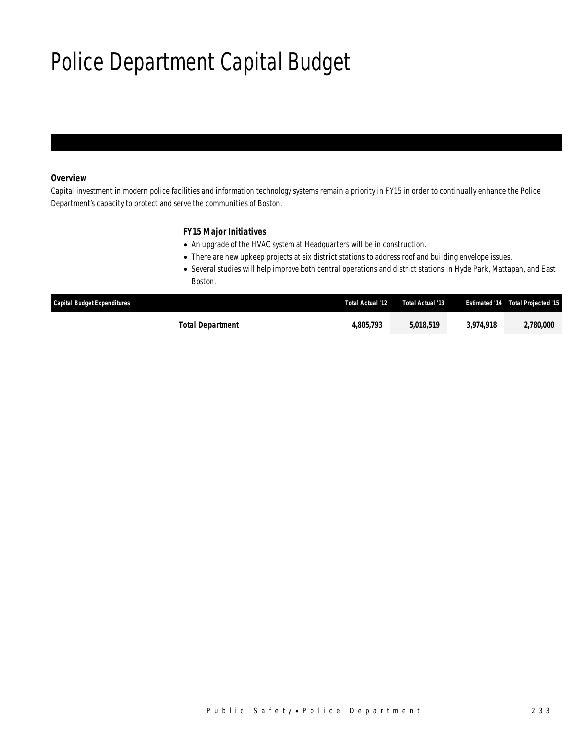# Police Department Capital Budget

## *Overview*

Capital investment in modern police facilities and information technology systems remain a priority in FY15 in order to continually enhance the Police Department's capacity to protect and serve the communities of Boston.

## *FY15 Major Initiatives*

- An upgrade of the HVAC system at Headquarters will be in construction.
- There are new upkeep projects at six district stations to address roof and building envelope issues.
- Several studies will help improve both central operations and district stations in Hyde Park, Mattapan, and East Boston.

| <b>Capital Budget Expenditures</b> | Total Actual '12 | Total Actual '13 |           | <b>Estimated '14 Total Projected '15</b> |
|------------------------------------|------------------|------------------|-----------|------------------------------------------|
| Total Department                   | 4,805,793        | 5,018,519        | 3.974.918 | 2,780,000                                |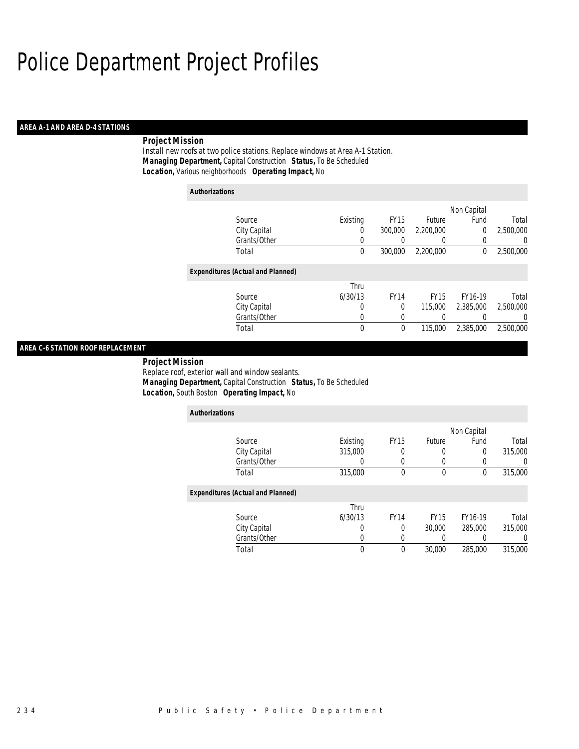## *AREA A-1 AND AREA D-4 STATIONS*

## *Project Mission*

Install new roofs at two police stations. Replace windows at Area A-1 Station. *Managing Department,* Capital Construction *Status,* To Be Scheduled *Location,* Various neighborhoods *Operating Impact,* No

| <b>Authorizations</b>                    |          |             |                  |             |           |
|------------------------------------------|----------|-------------|------------------|-------------|-----------|
|                                          |          |             |                  | Non Capital |           |
| Source                                   | Existing | <b>FY15</b> | Future           | Fund        | Total     |
| City Capital                             | 0        | 300,000     | 2.200.000        | 0           | 2.500.000 |
| Grants/Other                             | 0        |             | $\left( \right)$ |             | 0         |
| Total                                    | 0        | 300,000     | 2,200,000        | 0           | 2,500,000 |
| <b>Expenditures (Actual and Planned)</b> |          |             |                  |             |           |
|                                          | Thru     |             |                  |             |           |
| Source                                   | 6/30/13  | <b>FY14</b> | <b>FY15</b>      | FY16-19     | Total     |
| City Capital                             | 0        | 0           | 115,000          | 2,385,000   | 2,500,000 |
| Grants/Other                             | 0        | 0           |                  |             | 0         |
| Total                                    | 0        | 0           | 115,000          | 2,385,000   | 2,500,000 |

## *AREA C-6 STATION ROOF REPLACEMENT*

 *Project Mission* Replace roof, exterior wall and window sealants. *Managing Department,* Capital Construction *Status,* To Be Scheduled *Location,* South Boston *Operating Impact,* No

| <b>Authorizations</b>                    |          |             |             |             |         |
|------------------------------------------|----------|-------------|-------------|-------------|---------|
|                                          |          |             |             | Non Capital |         |
| Source                                   | Existing | <b>FY15</b> | Future      | Fund        | Total   |
| City Capital                             | 315,000  | 0           | 0           | 0           | 315,000 |
| Grants/Other                             |          | 0           | 0           | 0           |         |
| Total                                    | 315,000  | 0           | $\Omega$    | $\mathbf 0$ | 315,000 |
| <b>Expenditures (Actual and Planned)</b> |          |             |             |             |         |
|                                          | Thru     |             |             |             |         |
| Source                                   | 6/30/13  | <b>FY14</b> | <b>FY15</b> | FY16-19     | Total   |
| City Capital                             |          | 0           | 30,000      | 285,000     | 315,000 |
| Grants/Other                             |          | 0           | 0           | 0           |         |
| Total                                    | $\theta$ | $\theta$    | 30,000      | 285,000     | 315,000 |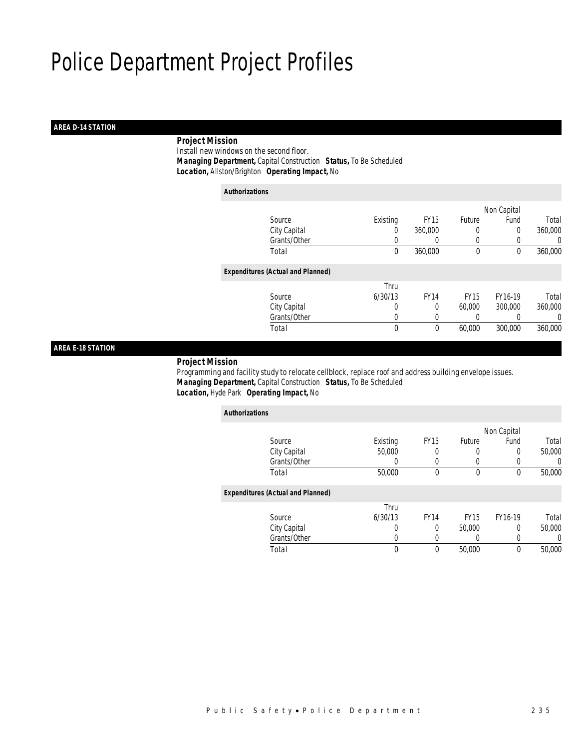## *AREA D-14 STATION*

## *Project Mission*

 Install new windows on the second floor. *Managing Department,* Capital Construction *Status,* To Be Scheduled *Location,* Allston/Brighton *Operating Impact,* No

| <b>Authorizations</b>                    |             |             |             |             |         |
|------------------------------------------|-------------|-------------|-------------|-------------|---------|
|                                          |             |             |             | Non Capital |         |
| Source                                   | Existing    | <b>FY15</b> | Future      | Fund        | Total   |
| City Capital                             | 0           | 360,000     | 0           | 0           | 360,000 |
| Grants/Other                             | 0           | 0           | 0           | 0           | 0       |
| Total                                    | 0           | 360,000     | 0           | 0           | 360,000 |
| <b>Expenditures (Actual and Planned)</b> |             |             |             |             |         |
|                                          | Thru        |             |             |             |         |
| Source                                   | 6/30/13     | <b>FY14</b> | <b>FY15</b> | FY16-19     | Total   |
| City Capital                             | 0           | 0           | 60,000      | 300,000     | 360,000 |
| Grants/Other                             | 0           |             | 0           |             | 0       |
| Total                                    | $\mathbf 0$ | 0           | 60,000      | 300,000     | 360,000 |

## *AREA E-18 STATION*

### *Project Mission*

 Programming and facility study to relocate cellblock, replace roof and address building envelope issues. *Managing Department,* Capital Construction *Status,* To Be Scheduled *Location,* Hyde Park *Operating Impact,* No

| <b>Authorizations</b>                    |          |             |             |                  |        |
|------------------------------------------|----------|-------------|-------------|------------------|--------|
|                                          |          |             |             | Non Capital      |        |
| Source                                   | Existing | <b>FY15</b> | Future      | Fund             | Total  |
| City Capital                             | 50,000   | 0           | 0           | 0                | 50,000 |
| Grants/Other                             | 0        | 0           | 0           |                  | 0      |
| Total                                    | 50,000   | 0           | 0           | $\boldsymbol{0}$ | 50,000 |
| <b>Expenditures (Actual and Planned)</b> |          |             |             |                  |        |
|                                          | Thru     |             |             |                  |        |
| Source                                   | 6/30/13  | <b>FY14</b> | <b>FY15</b> | FY16-19          | Total  |
| City Capital                             | 0        | 0           | 50,000      | 0                | 50,000 |
| Grants/Other                             | 0        | 0           | 0           | 0                | 0      |
| Total                                    | 0        | 0           | 50,000      | $\boldsymbol{0}$ | 50,000 |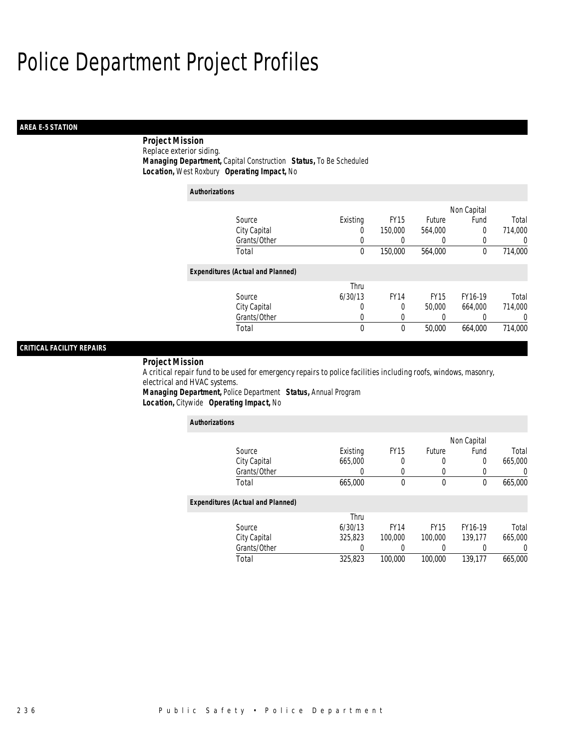## *AREA E-5 STATION*

## *Project Mission*

Replace exterior siding. *Managing Department,* Capital Construction *Status,* To Be Scheduled *Location,* West Roxbury *Operating Impact,* No

| <b>Authorizations</b>                    |          |             |             |             |                |
|------------------------------------------|----------|-------------|-------------|-------------|----------------|
|                                          |          |             |             | Non Capital |                |
| Source                                   | Existing | <b>FY15</b> | Future      | Fund        | Total          |
| City Capital                             | 0        | 150,000     | 564.000     | $\Omega$    | 714,000        |
| Grants/Other                             | 0        | 0           | 0           | 0           | $\Omega$       |
| Total                                    | 0        | 150,000     | 564,000     | 0           | 714,000        |
| <b>Expenditures (Actual and Planned)</b> |          |             |             |             |                |
|                                          | Thru     |             |             |             |                |
| Source                                   | 6/30/13  | <b>FY14</b> | <b>FY15</b> | FY16-19     | Total          |
| City Capital                             | 0        | 0           | 50,000      | 664.000     | 714,000        |
| Grants/Other                             | 0        | 0           |             | 0           | $\overline{0}$ |
| Total                                    | 0        | 0           | 50,000      | 664,000     | 714,000        |

## *CRITICAL FACILITY REPAIRS*

### *Project Mission*

A critical repair fund to be used for emergency repairs to police facilities including roofs, windows, masonry, electrical and HVAC systems.

*Managing Department,* Police Department *Status,* Annual Program *Location,* Citywide *Operating Impact,* No

| <b>Authorizations</b>                    |          |             |             |              |         |
|------------------------------------------|----------|-------------|-------------|--------------|---------|
|                                          |          |             |             | Non Capital  |         |
| Source                                   | Existing | <b>FY15</b> | Future      | Fund         | Total   |
| City Capital                             | 665,000  | 0           | 0           | 0            | 665,000 |
| Grants/Other                             | O        | $\Omega$    | 0           | 0            | 0       |
| Total                                    | 665,000  | $\theta$    | 0           | $\mathbf{0}$ | 665,000 |
| <b>Expenditures (Actual and Planned)</b> |          |             |             |              |         |
|                                          | Thru     |             |             |              |         |
| Source                                   | 6/30/13  | <b>FY14</b> | <b>FY15</b> | FY16-19      | Total   |
| City Capital                             | 325,823  | 100,000     | 100,000     | 139.177      | 665,000 |
| Grants/Other                             | 0        |             |             | 0            | 0       |
| Total                                    | 325,823  | 100,000     | 100,000     | 139.177      | 665,000 |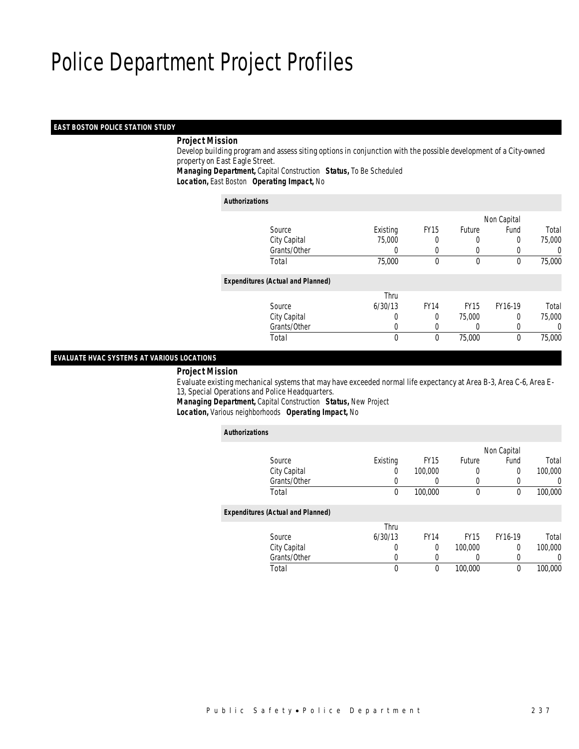## *EAST BOSTON POLICE STATION STUDY*

### *Project Mission*

 Develop building program and assess siting options in conjunction with the possible development of a City-owned property on East Eagle Street.

*Managing Department,* Capital Construction *Status,* To Be Scheduled

*Location,* East Boston *Operating Impact,* No

### *Authorizations*

|                                          |                  |             |               | Non Capital |        |
|------------------------------------------|------------------|-------------|---------------|-------------|--------|
| Source                                   | Existing         | <b>FY15</b> | <b>Future</b> | Fund        | Total  |
| City Capital                             | 75,000           | 0           |               | 0           | 75,000 |
| Grants/Other                             | $\left( \right)$ |             | $\left($      |             | 0      |
| Total                                    | 75,000           | $\theta$    | $\theta$      | 0           | 75,000 |
| <b>Expenditures (Actual and Planned)</b> |                  |             |               |             |        |
|                                          | Thru             |             |               |             |        |
| Source                                   | 6/30/13          | <b>FY14</b> | <b>FY15</b>   | FY16-19     | Total  |
| City Capital                             | 0                | 0           | 75,000        | 0           | 75,000 |
| Grants/Other                             | 0                |             |               |             | 0      |
| Total                                    | 0                | $\theta$    | 75,000        | $\theta$    | 75,000 |
|                                          |                  |             |               |             |        |

## *EVALUATE HVAC SYSTEMS AT VARIOUS LOCATIONS*

*Project Mission*

 Evaluate existing mechanical systems that may have exceeded normal life expectancy at Area B-3, Area C-6, Area E-13, Special Operations and Police Headquarters.

*Managing Department,* Capital Construction *Status,* New Project *Location,* Various neighborhoods *Operating Impact,* No

| $\checkmark$<br>ັ                        |          |             |             |             |          |
|------------------------------------------|----------|-------------|-------------|-------------|----------|
| <b>Authorizations</b>                    |          |             |             |             |          |
|                                          |          |             |             | Non Capital |          |
| Source                                   | Existing | <b>FY15</b> | Future      | Fund        | Total    |
| City Capital                             | 0        | 100,000     | 0           | $\Omega$    | 100,000  |
| Grants/Other                             | 0        | 0           | 0           | $\left($    | $\left($ |
| Total                                    | 0        | 100,000     | 0           | $\theta$    | 100,000  |
| <b>Expenditures (Actual and Planned)</b> |          |             |             |             |          |
|                                          | Thru     |             |             |             |          |
| Source                                   | 6/30/13  | <b>FY14</b> | <b>FY15</b> | FY16-19     | Total    |
| City Capital                             | 0        | $\Omega$    | 100,000     | $\Omega$    | 100,000  |
| Grants/Other                             | 0        | 0           | 0           | $\Omega$    | $\left($ |
| Total                                    | 0        | $\mathbf 0$ | 100,000     | $\theta$    | 100,000  |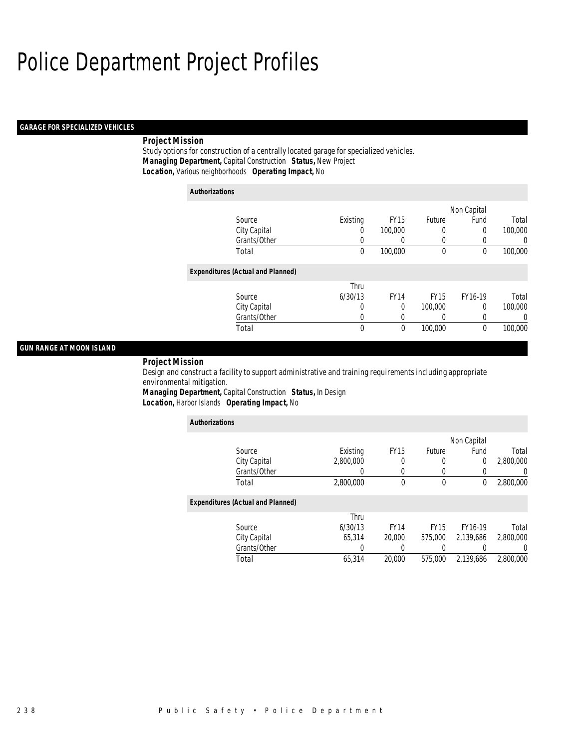### *GARAGE FOR SPECIALIZED VEHICLES*

## *Project Mission*

Study options for construction of a centrally located garage for specialized vehicles. *Managing Department,* Capital Construction *Status,* New Project *Location,* Various neighborhoods *Operating Impact,* No

| <b>Authorizations</b> |                                          |             |             |             |             |         |
|-----------------------|------------------------------------------|-------------|-------------|-------------|-------------|---------|
|                       |                                          |             |             |             | Non Capital |         |
|                       | Source                                   | Existing    | <b>FY15</b> | Future      | Fund        | Total   |
|                       | City Capital                             | 0           | 100,000     | 0           | 0           | 100,000 |
|                       | Grants/Other                             | 0           | 0           | 0           | 0           | 0       |
|                       | Total                                    | $\mathbf 0$ | 100,000     | 0           | 0           | 100,000 |
|                       | <b>Expenditures (Actual and Planned)</b> |             |             |             |             |         |
|                       |                                          | Thru        |             |             |             |         |
|                       | Source                                   | 6/30/13     | <b>FY14</b> | <b>FY15</b> | FY16-19     | Total   |
|                       | City Capital                             | 0           | 0           | 100,000     | $\Omega$    | 100,000 |
|                       | Grants/Other                             | 0           | 0           | 0           | 0           | 0       |
|                       | Total                                    | 0           | 0           | 100,000     | $\theta$    | 100,000 |

## *GUN RANGE AT MOON ISLAND*

*Project Mission* 

Design and construct a facility to support administrative and training requirements including appropriate environmental mitigation. *Managing Department,* Capital Construction *Status,* In Design

*Location,* Harbor Islands *Operating Impact,* No

| <b>Authorizations</b>                    |           |              |             |             |                  |
|------------------------------------------|-----------|--------------|-------------|-------------|------------------|
|                                          |           |              |             | Non Capital |                  |
| Source                                   | Existing  | <b>FY15</b>  | Future      | Fund        | Total            |
| City Capital                             | 2,800,000 | 0            |             | 0           | 2,800,000        |
| Grants/Other                             | 0         | $\left($     |             |             | 0                |
| Total                                    | 2,800,000 | $\mathbf{0}$ | $\theta$    | 0           | 2,800,000        |
| <b>Expenditures (Actual and Planned)</b> |           |              |             |             |                  |
|                                          | Thru      |              |             |             |                  |
| Source                                   | 6/30/13   | <b>FY14</b>  | <b>FY15</b> | FY16-19     | Total            |
| City Capital                             | 65.314    | 20,000       | 575,000     | 2.139.686   | 2,800,000        |
| Grants/Other                             | 0         | 0            |             |             | $\left( \right)$ |
| Total                                    | 65.314    | 20,000       | 575,000     | 2.139.686   | 2,800,000        |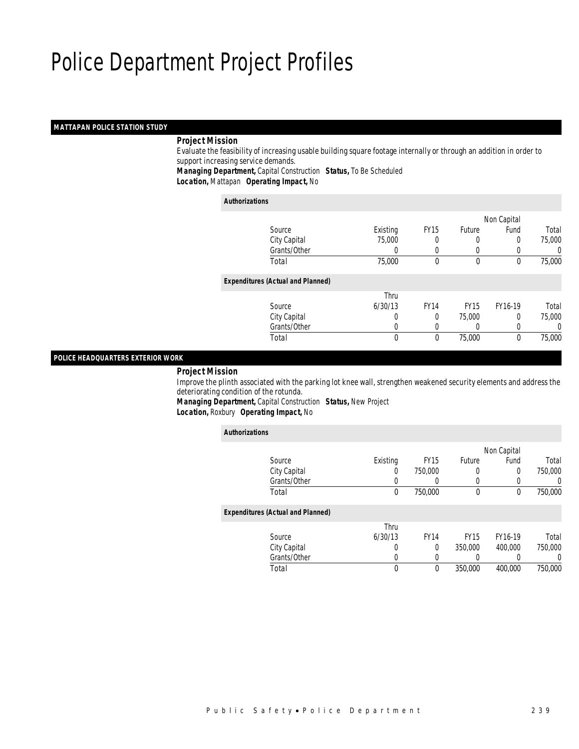## *MATTAPAN POLICE STATION STUDY*

### *Project Mission*

 Evaluate the feasibility of increasing usable building square footage internally or through an addition in order to support increasing service demands.

*Managing Department,* Capital Construction *Status,* To Be Scheduled

*Location,* Mattapan *Operating Impact,* No

### *Authorizations*

|                                          |                  |             |                  | Non Capital |        |
|------------------------------------------|------------------|-------------|------------------|-------------|--------|
| Source                                   | Existing         | <b>FY15</b> | <b>Future</b>    | Fund        | Total  |
| City Capital                             | 75,000           | 0           |                  | 0           | 75,000 |
| Grants/Other                             | $\left( \right)$ |             | $\left( \right)$ |             | 0      |
| Total                                    | 75,000           | $\theta$    | $\mathbf 0$      | 0           | 75,000 |
| <b>Expenditures (Actual and Planned)</b> |                  |             |                  |             |        |
|                                          | Thru             |             |                  |             |        |
| Source                                   | 6/30/13          | <b>FY14</b> | <b>FY15</b>      | FY16-19     | Total  |
| City Capital                             | 0                | $\Omega$    | 75,000           | 0           | 75,000 |
| Grants/Other                             | 0                |             | 0                |             | 0      |
| Total                                    | $\theta$         | $\theta$    | 75,000           | 0           | 75,000 |
|                                          |                  |             |                  |             |        |

### *POLICE HEADQUARTERS EXTERIOR WORK*

*Project Mission*

 Improve the plinth associated with the parking lot knee wall, strengthen weakened security elements and address the deteriorating condition of the rotunda.

*Managing Department,* Capital Construction *Status,* New Project *Location,* Roxbury *Operating Impact,* No

| <b>Authorizations</b> |                                          |          |             |             |                  |          |
|-----------------------|------------------------------------------|----------|-------------|-------------|------------------|----------|
|                       |                                          |          |             |             | Non Capital      |          |
|                       | Source                                   | Existing | <b>FY15</b> | Future      | Fund             | Total    |
|                       | City Capital                             | 0        | 750,000     | 0           | 0                | 750,000  |
|                       | Grants/Other                             | 0        | 0           | 0           | $\left( \right)$ | $\left($ |
|                       | Total                                    | 0        | 750,000     | $\mathbf 0$ | 0                | 750,000  |
|                       | <b>Expenditures (Actual and Planned)</b> |          |             |             |                  |          |
|                       |                                          | Thru     |             |             |                  |          |
|                       | Source                                   | 6/30/13  | <b>FY14</b> | <b>FY15</b> | FY16-19          | Total    |
|                       | City Capital                             | 0        | $\Omega$    | 350,000     | 400.000          | 750,000  |
|                       | Grants/Other                             | 0        | $\left($    | 0           | 0                | 0        |
|                       | Total                                    | 0        | 0           | 350,000     | 400,000          | 750,000  |